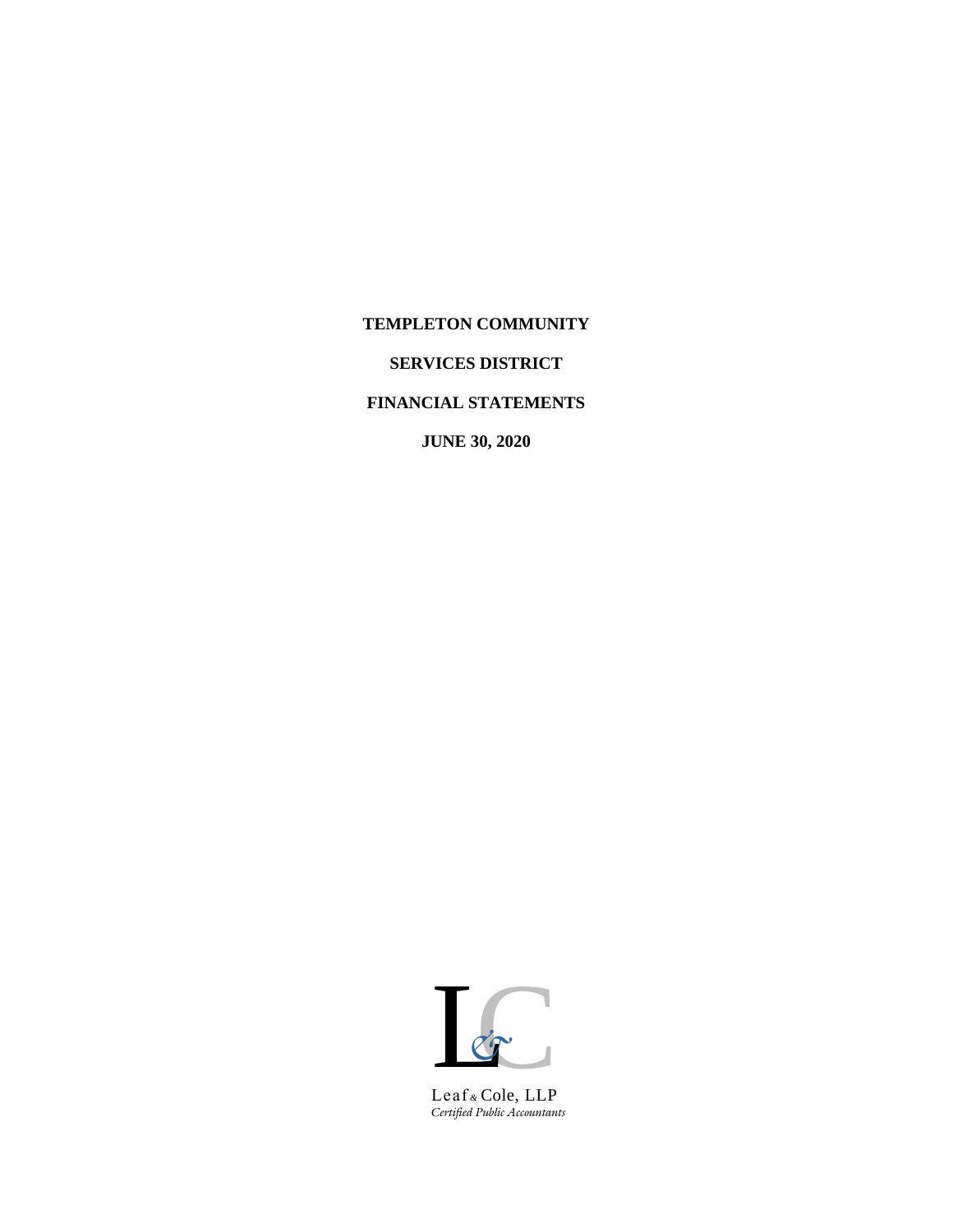## **TEMPLETON COMMUNITY**

# **SERVICES DISTRICT**

# **FINANCIAL STATEMENTS**

**JUNE 30, 2020**



*Certified Public Accountants* Leaf *&* Cole, LLP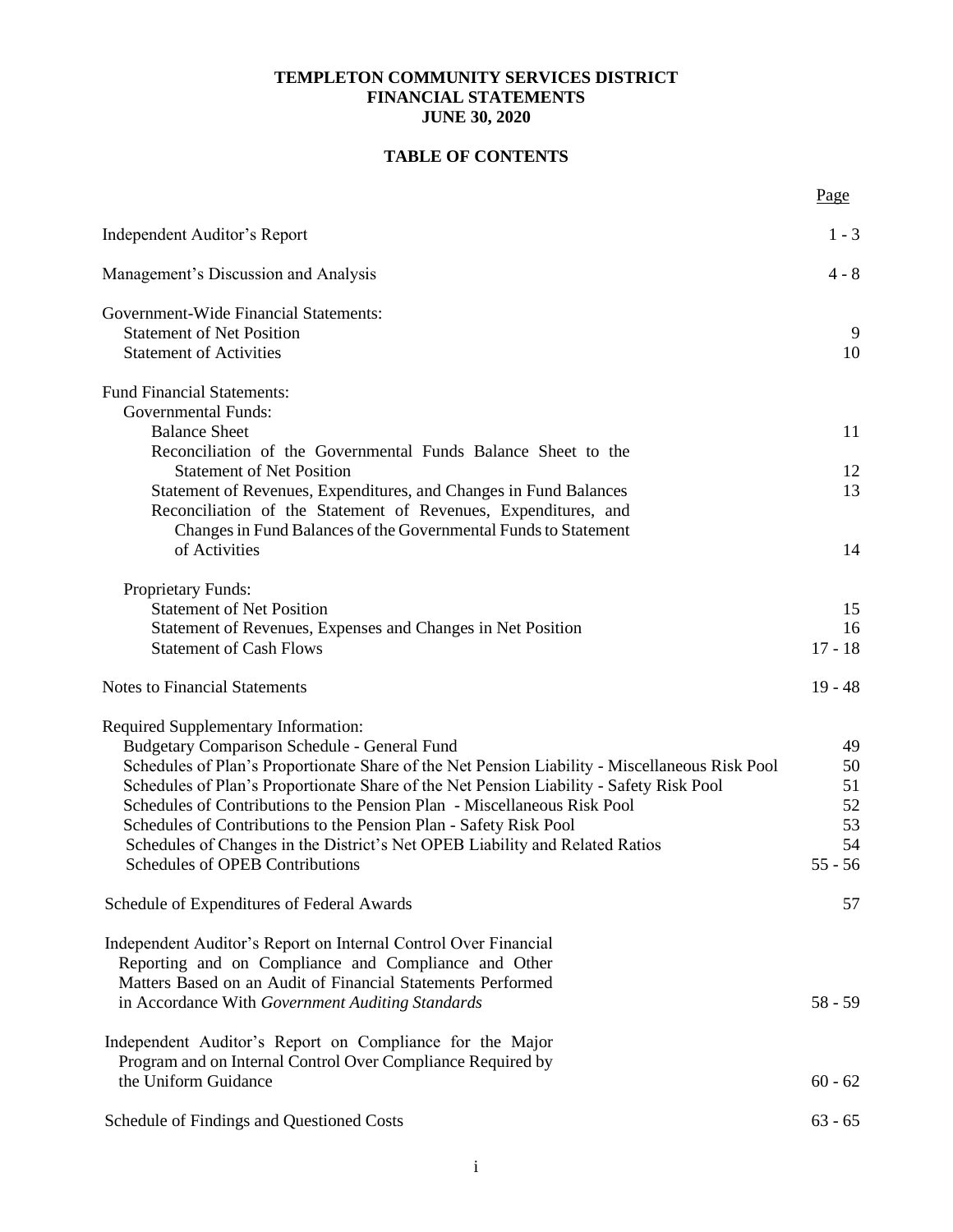# **TABLE OF CONTENTS**

|                                                                                                                                               | Page      |
|-----------------------------------------------------------------------------------------------------------------------------------------------|-----------|
| Independent Auditor's Report                                                                                                                  | $1 - 3$   |
| Management's Discussion and Analysis                                                                                                          | $4 - 8$   |
| Government-Wide Financial Statements:                                                                                                         |           |
| <b>Statement of Net Position</b>                                                                                                              | 9<br>10   |
| <b>Statement of Activities</b>                                                                                                                |           |
| <b>Fund Financial Statements:</b>                                                                                                             |           |
| <b>Governmental Funds:</b>                                                                                                                    |           |
| <b>Balance Sheet</b><br>Reconciliation of the Governmental Funds Balance Sheet to the                                                         | 11        |
| <b>Statement of Net Position</b>                                                                                                              | 12        |
| Statement of Revenues, Expenditures, and Changes in Fund Balances                                                                             | 13        |
| Reconciliation of the Statement of Revenues, Expenditures, and                                                                                |           |
| Changes in Fund Balances of the Governmental Funds to Statement                                                                               |           |
| of Activities                                                                                                                                 | 14        |
| <b>Proprietary Funds:</b>                                                                                                                     |           |
| <b>Statement of Net Position</b>                                                                                                              | 15        |
| Statement of Revenues, Expenses and Changes in Net Position                                                                                   | 16        |
| <b>Statement of Cash Flows</b>                                                                                                                | $17 - 18$ |
| <b>Notes to Financial Statements</b>                                                                                                          | $19 - 48$ |
| Required Supplementary Information:                                                                                                           |           |
| Budgetary Comparison Schedule - General Fund                                                                                                  | 49        |
| Schedules of Plan's Proportionate Share of the Net Pension Liability - Miscellaneous Risk Pool                                                | 50        |
| Schedules of Plan's Proportionate Share of the Net Pension Liability - Safety Risk Pool                                                       | 51        |
| Schedules of Contributions to the Pension Plan - Miscellaneous Risk Pool<br>Schedules of Contributions to the Pension Plan - Safety Risk Pool | 52<br>53  |
| Schedules of Changes in the District's Net OPEB Liability and Related Ratios                                                                  | 54        |
| Schedules of OPEB Contributions                                                                                                               | $55 - 56$ |
| Schedule of Expenditures of Federal Awards                                                                                                    | 57        |
| Independent Auditor's Report on Internal Control Over Financial                                                                               |           |
| Reporting and on Compliance and Compliance and Other                                                                                          |           |
| Matters Based on an Audit of Financial Statements Performed                                                                                   |           |
| in Accordance With Government Auditing Standards                                                                                              | $58 - 59$ |
| Independent Auditor's Report on Compliance for the Major                                                                                      |           |
| Program and on Internal Control Over Compliance Required by                                                                                   |           |
| the Uniform Guidance                                                                                                                          | $60 - 62$ |
| Schedule of Findings and Questioned Costs                                                                                                     | $63 - 65$ |
|                                                                                                                                               |           |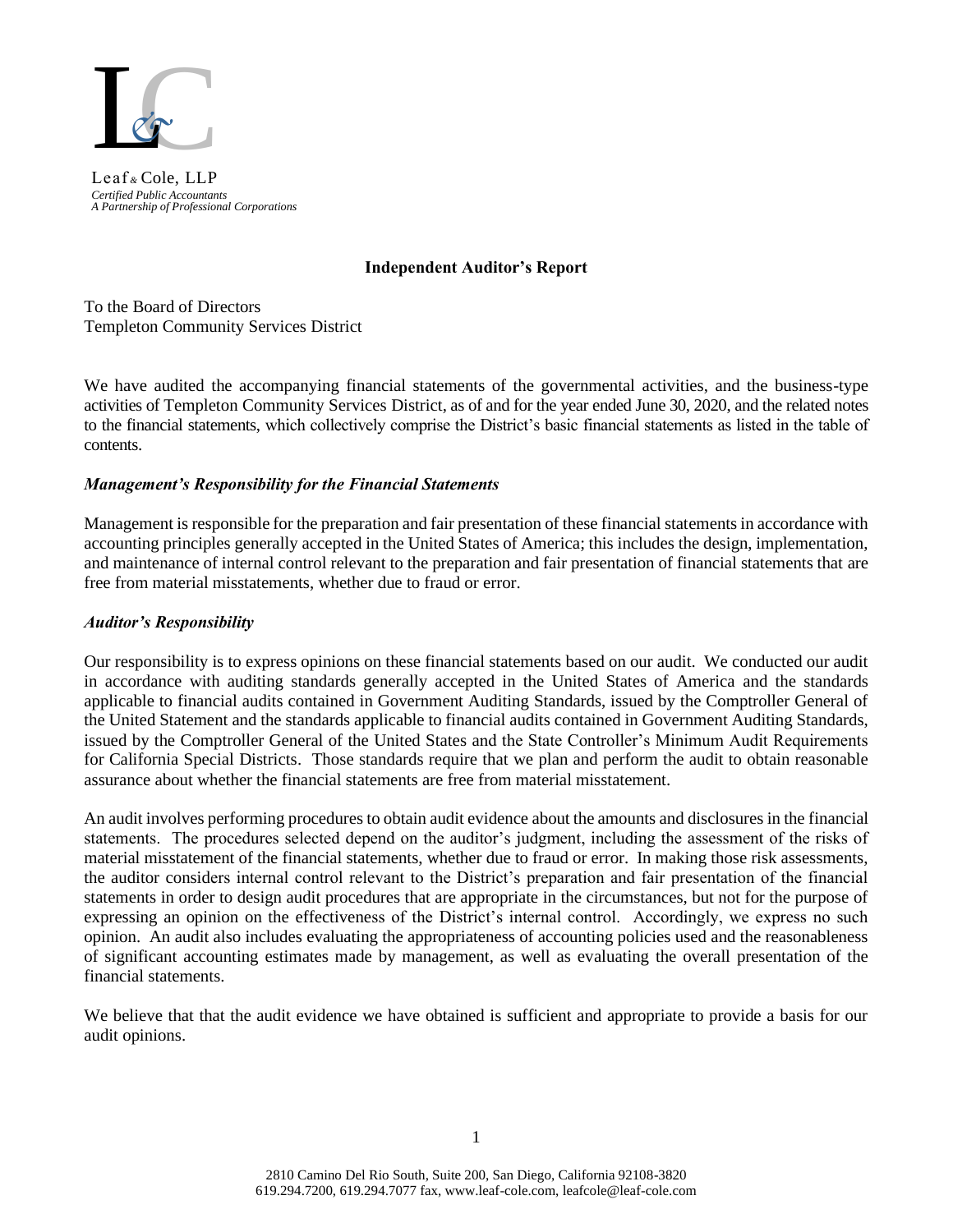

*Certified Public Accountants A Partnership of Professional Corporations* Leaf *&* Cole, LLP

## **Independent Auditor's Report**

To the Board of Directors Templeton Community Services District

We have audited the accompanying financial statements of the governmental activities, and the business-type activities of Templeton Community Services District, as of and for the year ended June 30, 2020, and the related notes to the financial statements, which collectively comprise the District's basic financial statements as listed in the table of contents.

## *Management's Responsibility for the Financial Statements*

Management is responsible for the preparation and fair presentation of these financial statements in accordance with accounting principles generally accepted in the United States of America; this includes the design, implementation, and maintenance of internal control relevant to the preparation and fair presentation of financial statements that are free from material misstatements, whether due to fraud or error.

### *Auditor's Responsibility*

Our responsibility is to express opinions on these financial statements based on our audit. We conducted our audit in accordance with auditing standards generally accepted in the United States of America and the standards applicable to financial audits contained in Government Auditing Standards, issued by the Comptroller General of the United Statement and the standards applicable to financial audits contained in Government Auditing Standards, issued by the Comptroller General of the United States and the State Controller's Minimum Audit Requirements for California Special Districts. Those standards require that we plan and perform the audit to obtain reasonable assurance about whether the financial statements are free from material misstatement.

An audit involves performing procedures to obtain audit evidence about the amounts and disclosures in the financial statements. The procedures selected depend on the auditor's judgment, including the assessment of the risks of material misstatement of the financial statements, whether due to fraud or error. In making those risk assessments, the auditor considers internal control relevant to the District's preparation and fair presentation of the financial statements in order to design audit procedures that are appropriate in the circumstances, but not for the purpose of expressing an opinion on the effectiveness of the District's internal control. Accordingly, we express no such opinion. An audit also includes evaluating the appropriateness of accounting policies used and the reasonableness of significant accounting estimates made by management, as well as evaluating the overall presentation of the financial statements.

We believe that that the audit evidence we have obtained is sufficient and appropriate to provide a basis for our audit opinions.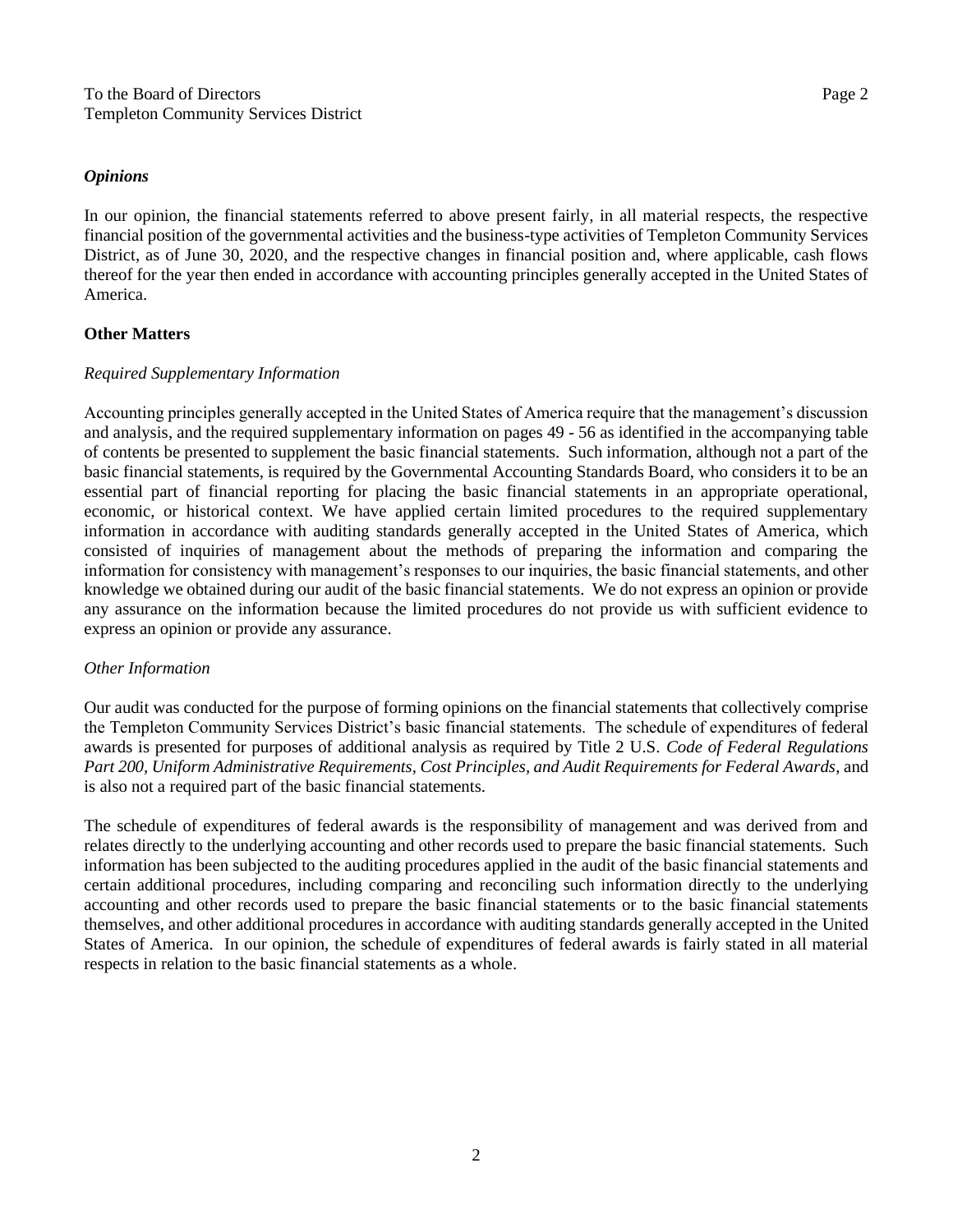## *Opinions*

In our opinion, the financial statements referred to above present fairly, in all material respects, the respective financial position of the governmental activities and the business-type activities of Templeton Community Services District, as of June 30, 2020, and the respective changes in financial position and, where applicable, cash flows thereof for the year then ended in accordance with accounting principles generally accepted in the United States of America.

## **Other Matters**

### *Required Supplementary Information*

Accounting principles generally accepted in the United States of America require that the management's discussion and analysis, and the required supplementary information on pages 49 - 56 as identified in the accompanying table of contents be presented to supplement the basic financial statements. Such information, although not a part of the basic financial statements, is required by the Governmental Accounting Standards Board, who considers it to be an essential part of financial reporting for placing the basic financial statements in an appropriate operational, economic, or historical context. We have applied certain limited procedures to the required supplementary information in accordance with auditing standards generally accepted in the United States of America, which consisted of inquiries of management about the methods of preparing the information and comparing the information for consistency with management's responses to our inquiries, the basic financial statements, and other knowledge we obtained during our audit of the basic financial statements. We do not express an opinion or provide any assurance on the information because the limited procedures do not provide us with sufficient evidence to express an opinion or provide any assurance.

## *Other Information*

Our audit was conducted for the purpose of forming opinions on the financial statements that collectively comprise the Templeton Community Services District's basic financial statements. The schedule of expenditures of federal awards is presented for purposes of additional analysis as required by Title 2 U.S. *Code of Federal Regulations Part 200, Uniform Administrative Requirements, Cost Principles, and Audit Requirements for Federal Awards*, and is also not a required part of the basic financial statements.

The schedule of expenditures of federal awards is the responsibility of management and was derived from and relates directly to the underlying accounting and other records used to prepare the basic financial statements. Such information has been subjected to the auditing procedures applied in the audit of the basic financial statements and certain additional procedures, including comparing and reconciling such information directly to the underlying accounting and other records used to prepare the basic financial statements or to the basic financial statements themselves, and other additional procedures in accordance with auditing standards generally accepted in the United States of America. In our opinion, the schedule of expenditures of federal awards is fairly stated in all material respects in relation to the basic financial statements as a whole.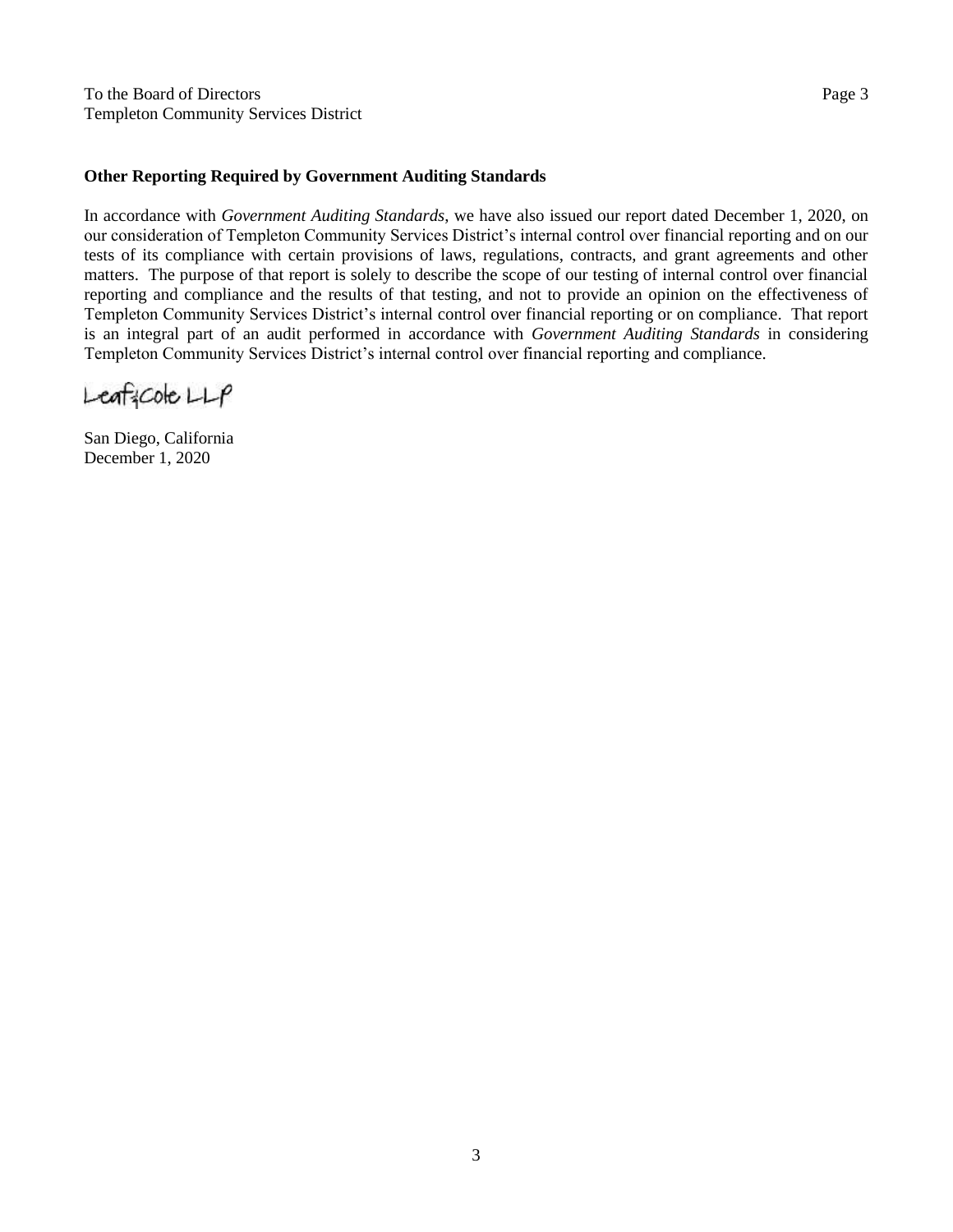To the Board of Directors Page 3 Templeton Community Services District

### **Other Reporting Required by Government Auditing Standards**

In accordance with *Government Auditing Standards*, we have also issued our report dated December 1, 2020, on our consideration of Templeton Community Services District's internal control over financial reporting and on our tests of its compliance with certain provisions of laws, regulations, contracts, and grant agreements and other matters. The purpose of that report is solely to describe the scope of our testing of internal control over financial reporting and compliance and the results of that testing, and not to provide an opinion on the effectiveness of Templeton Community Services District's internal control over financial reporting or on compliance. That report is an integral part of an audit performed in accordance with *Government Auditing Standards* in considering Templeton Community Services District's internal control over financial reporting and compliance.

Leaficole LLP

San Diego, California December 1, 2020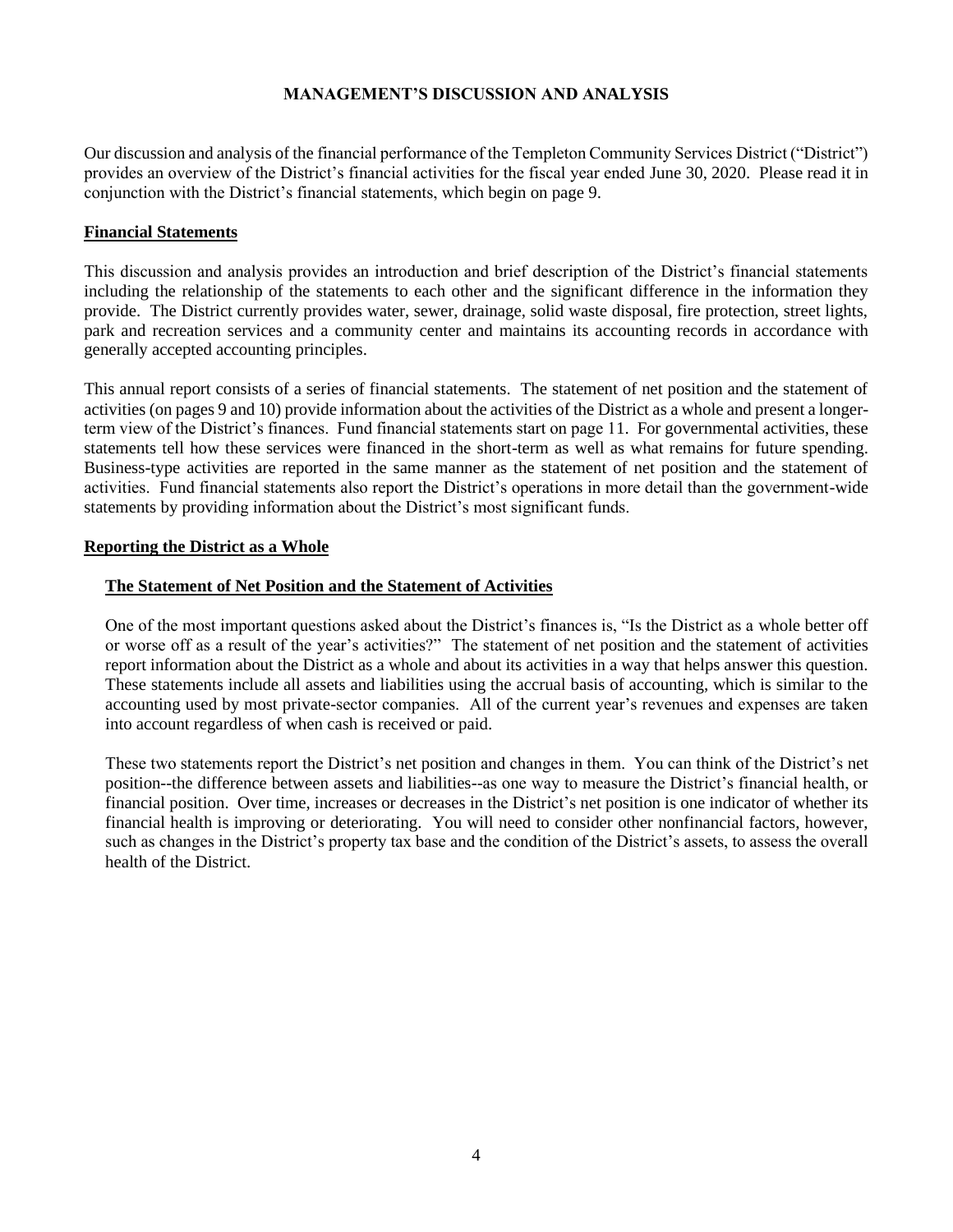Our discussion and analysis of the financial performance of the Templeton Community Services District ("District") provides an overview of the District's financial activities for the fiscal year ended June 30, 2020. Please read it in conjunction with the District's financial statements, which begin on page 9.

### **Financial Statements**

This discussion and analysis provides an introduction and brief description of the District's financial statements including the relationship of the statements to each other and the significant difference in the information they provide. The District currently provides water, sewer, drainage, solid waste disposal, fire protection, street lights, park and recreation services and a community center and maintains its accounting records in accordance with generally accepted accounting principles.

This annual report consists of a series of financial statements. The statement of net position and the statement of activities (on pages 9 and 10) provide information about the activities of the District as a whole and present a longerterm view of the District's finances. Fund financial statements start on page 11. For governmental activities, these statements tell how these services were financed in the short-term as well as what remains for future spending. Business-type activities are reported in the same manner as the statement of net position and the statement of activities. Fund financial statements also report the District's operations in more detail than the government-wide statements by providing information about the District's most significant funds.

## **Reporting the District as a Whole**

## **The Statement of Net Position and the Statement of Activities**

One of the most important questions asked about the District's finances is, "Is the District as a whole better off or worse off as a result of the year's activities?" The statement of net position and the statement of activities report information about the District as a whole and about its activities in a way that helps answer this question. These statements include all assets and liabilities using the accrual basis of accounting, which is similar to the accounting used by most private-sector companies. All of the current year's revenues and expenses are taken into account regardless of when cash is received or paid.

These two statements report the District's net position and changes in them. You can think of the District's net position--the difference between assets and liabilities--as one way to measure the District's financial health, or financial position. Over time, increases or decreases in the District's net position is one indicator of whether its financial health is improving or deteriorating. You will need to consider other nonfinancial factors, however, such as changes in the District's property tax base and the condition of the District's assets, to assess the overall health of the District.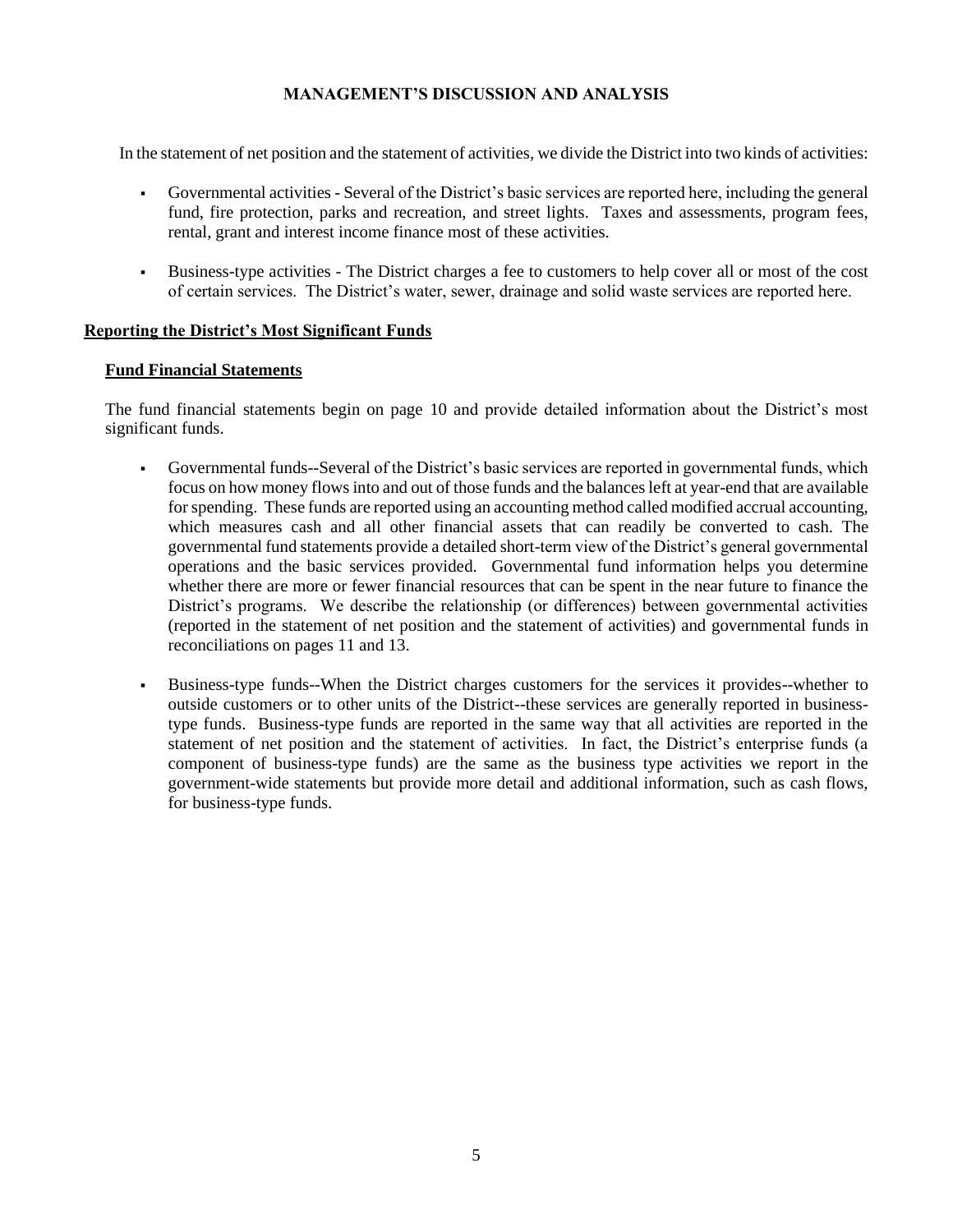In the statement of net position and the statement of activities, we divide the District into two kinds of activities:

- Governmental activities Several of the District's basic services are reported here, including the general fund, fire protection, parks and recreation, and street lights. Taxes and assessments, program fees, rental, grant and interest income finance most of these activities.
- Business-type activities The District charges a fee to customers to help cover all or most of the cost of certain services. The District's water, sewer, drainage and solid waste services are reported here.

### **Reporting the District's Most Significant Funds**

### **Fund Financial Statements**

The fund financial statements begin on page 10 and provide detailed information about the District's most significant funds.

- Governmental funds--Several of the District's basic services are reported in governmental funds, which focus on how money flows into and out of those funds and the balances left at year-end that are available for spending. These funds are reported using an accounting method called modified accrual accounting, which measures cash and all other financial assets that can readily be converted to cash. The governmental fund statements provide a detailed short-term view of the District's general governmental operations and the basic services provided. Governmental fund information helps you determine whether there are more or fewer financial resources that can be spent in the near future to finance the District's programs. We describe the relationship (or differences) between governmental activities (reported in the statement of net position and the statement of activities) and governmental funds in reconciliations on pages 11 and 13.
- Business-type funds--When the District charges customers for the services it provides--whether to outside customers or to other units of the District--these services are generally reported in businesstype funds. Business-type funds are reported in the same way that all activities are reported in the statement of net position and the statement of activities. In fact, the District's enterprise funds (a component of business-type funds) are the same as the business type activities we report in the government-wide statements but provide more detail and additional information, such as cash flows, for business-type funds.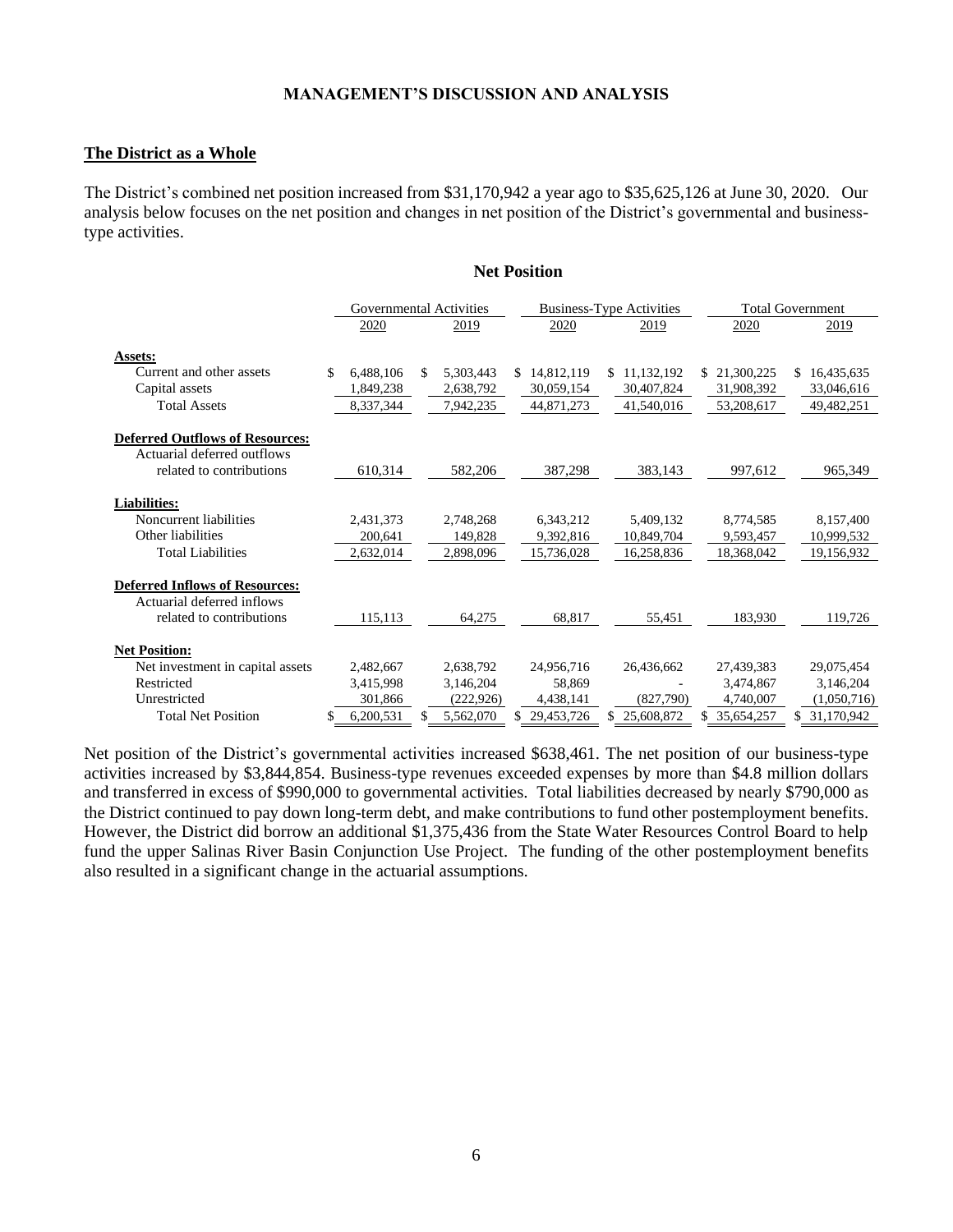## **The District as a Whole**

The District's combined net position increased from \$31,170,942 a year ago to \$35,625,126 at June 30, 2020. Our analysis below focuses on the net position and changes in net position of the District's governmental and businesstype activities.

#### **Net Position**

|                                                                     |    | <b>Governmental Activities</b> |     |           |                   | <b>Business-Type Activities</b> |            | <b>Total Government</b> |
|---------------------------------------------------------------------|----|--------------------------------|-----|-----------|-------------------|---------------------------------|------------|-------------------------|
|                                                                     |    | 2020                           |     | 2019      | 2020              | 2019                            | 2020       | 2019                    |
| Assets:                                                             |    |                                |     |           |                   |                                 |            |                         |
| Current and other assets                                            | \$ | 6,488,106                      | \$. | 5,303,443 | 14,812,119<br>\$. | 11,132,192<br>\$.               | 21,300,225 | 16,435,635              |
| Capital assets                                                      |    | 1,849,238                      |     | 2,638,792 | 30,059,154        | 30,407,824                      | 31,908,392 | 33,046,616              |
| <b>Total Assets</b>                                                 |    | 8,337,344                      |     | 7,942,235 | 44,871,273        | 41,540,016                      | 53,208,617 | 49,482,251              |
| <b>Deferred Outflows of Resources:</b>                              |    |                                |     |           |                   |                                 |            |                         |
| Actuarial deferred outflows                                         |    |                                |     |           |                   |                                 |            |                         |
| related to contributions                                            |    | 610,314                        |     | 582,206   | 387,298           | 383,143                         | 997,612    | 965,349                 |
| <b>Liabilities:</b>                                                 |    |                                |     |           |                   |                                 |            |                         |
| Noncurrent liabilities                                              |    | 2,431,373                      |     | 2,748,268 | 6,343,212         | 5,409,132                       | 8,774,585  | 8,157,400               |
| Other liabilities                                                   |    | 200,641                        |     | 149,828   | 9,392,816         | 10,849,704                      | 9,593,457  | 10,999,532              |
| <b>Total Liabilities</b>                                            |    | 2,632,014                      |     | 2,898,096 | 15,736,028        | 16,258,836                      | 18,368,042 | 19,156,932              |
| <b>Deferred Inflows of Resources:</b><br>Actuarial deferred inflows |    |                                |     |           |                   |                                 |            |                         |
| related to contributions                                            |    | 115,113                        |     | 64,275    | 68,817            | 55,451                          | 183,930    | 119,726                 |
| <b>Net Position:</b>                                                |    |                                |     |           |                   |                                 |            |                         |
| Net investment in capital assets                                    |    | 2,482,667                      |     | 2,638,792 | 24,956,716        | 26,436,662                      | 27,439,383 | 29,075,454              |
| Restricted                                                          |    | 3,415,998                      |     | 3,146,204 | 58,869            |                                 | 3,474,867  | 3,146,204               |
| Unrestricted                                                        |    | 301,866                        |     | (222.926) | 4,438,141         | (827,790)                       | 4,740,007  | (1,050,716)             |
| <b>Total Net Position</b>                                           | S  | 6,200,531                      |     | 5,562,070 | 29,453,726        | 25,608,872                      | 35,654,257 | 31,170,942              |

Net position of the District's governmental activities increased \$638,461. The net position of our business-type activities increased by \$3,844,854. Business-type revenues exceeded expenses by more than \$4.8 million dollars and transferred in excess of \$990,000 to governmental activities. Total liabilities decreased by nearly \$790,000 as the District continued to pay down long-term debt, and make contributions to fund other postemployment benefits. However, the District did borrow an additional \$1,375,436 from the State Water Resources Control Board to help fund the upper Salinas River Basin Conjunction Use Project. The funding of the other postemployment benefits also resulted in a significant change in the actuarial assumptions.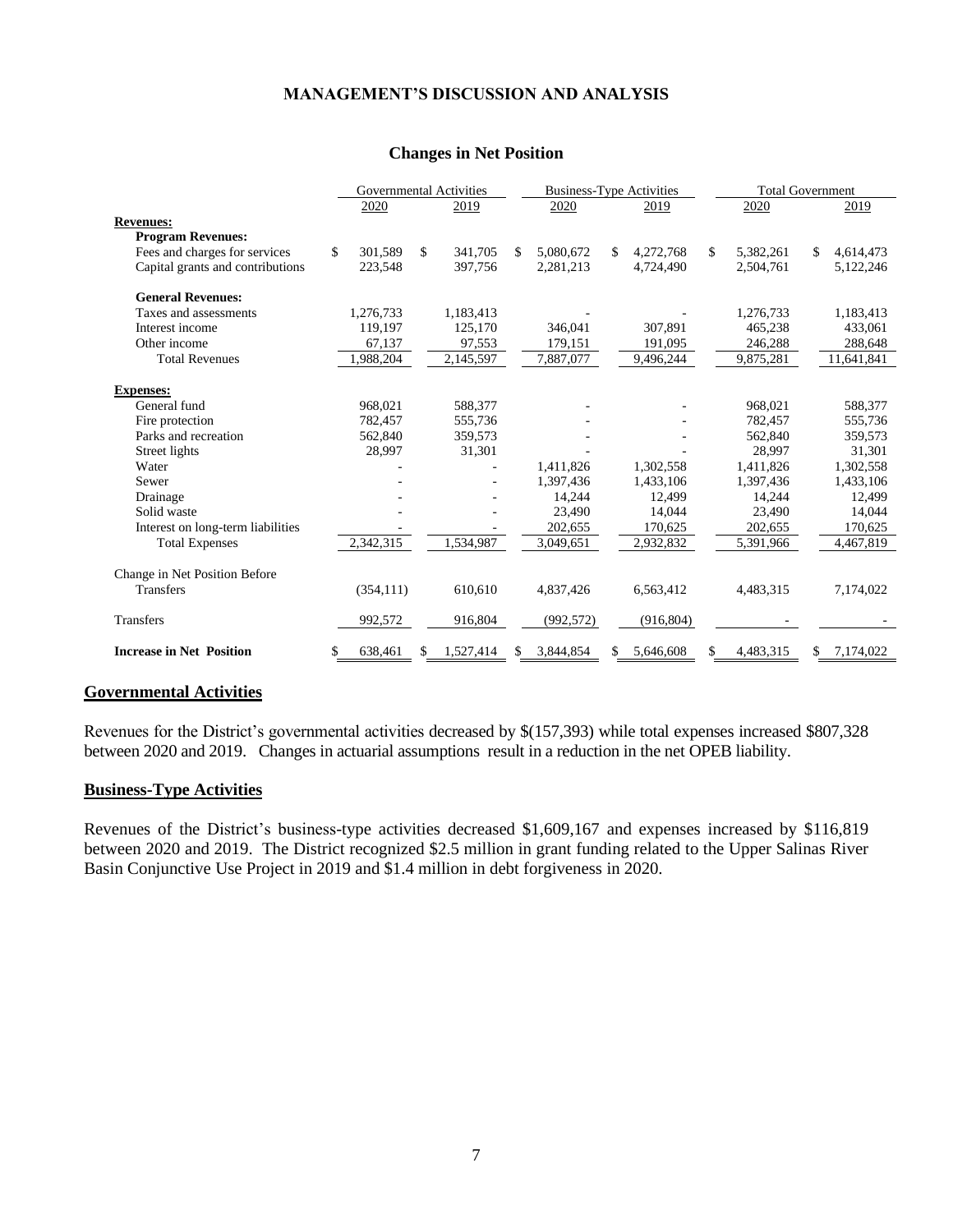### **Changes in Net Position**

|                                   | <b>Governmental Activities</b> |               |     | <b>Business-Type Activities</b> |     |            | <b>Total Government</b> |           |    |            |
|-----------------------------------|--------------------------------|---------------|-----|---------------------------------|-----|------------|-------------------------|-----------|----|------------|
|                                   | 2020                           | 2019          |     | 2020                            |     | 2019       |                         | 2020      |    | 2019       |
| Revenues:                         |                                |               |     |                                 |     |            |                         |           |    |            |
| <b>Program Revenues:</b>          |                                |               |     |                                 |     |            |                         |           |    |            |
| Fees and charges for services     | \$<br>301,589                  | \$<br>341,705 | \$. | 5,080,672                       | \$. | 4,272,768  | \$.                     | 5,382,261 | S. | 4,614,473  |
| Capital grants and contributions  | 223,548                        | 397,756       |     | 2,281,213                       |     | 4,724,490  |                         | 2,504,761 |    | 5,122,246  |
| <b>General Revenues:</b>          |                                |               |     |                                 |     |            |                         |           |    |            |
| Taxes and assessments             | 1,276,733                      | 1,183,413     |     |                                 |     |            |                         | 1,276,733 |    | 1,183,413  |
| Interest income                   | 119,197                        | 125,170       |     | 346,041                         |     | 307,891    |                         | 465,238   |    | 433,061    |
| Other income                      | 67,137                         | 97,553        |     | 179,151                         |     | 191,095    |                         | 246,288   |    | 288,648    |
| <b>Total Revenues</b>             | 1,988,204                      | 2,145,597     |     | 7,887,077                       |     | 9,496,244  |                         | 9,875,281 |    | 11,641,841 |
|                                   |                                |               |     |                                 |     |            |                         |           |    |            |
| <b>Expenses:</b>                  |                                |               |     |                                 |     |            |                         |           |    |            |
| General fund                      | 968,021                        | 588,377       |     |                                 |     |            |                         | 968.021   |    | 588,377    |
| Fire protection                   | 782.457                        | 555,736       |     |                                 |     |            |                         | 782,457   |    | 555,736    |
| Parks and recreation              | 562,840                        | 359,573       |     |                                 |     |            |                         | 562,840   |    | 359,573    |
| Street lights                     | 28,997                         | 31,301        |     |                                 |     |            |                         | 28,997    |    | 31,301     |
| Water                             |                                |               |     | 1,411,826                       |     | 1,302,558  |                         | 1,411,826 |    | 1,302,558  |
| Sewer                             |                                |               |     | 1,397,436                       |     | 1,433,106  |                         | 1,397,436 |    | 1,433,106  |
| Drainage                          |                                |               |     | 14,244                          |     | 12.499     |                         | 14.244    |    | 12,499     |
| Solid waste                       |                                |               |     | 23,490                          |     | 14,044     |                         | 23,490    |    | 14,044     |
| Interest on long-term liabilities |                                |               |     | 202,655                         |     | 170,625    |                         | 202,655   |    | 170,625    |
| <b>Total Expenses</b>             | 2,342,315                      | 1,534,987     |     | 3,049,651                       |     | 2,932,832  |                         | 5,391,966 |    | 4,467,819  |
| Change in Net Position Before     |                                |               |     |                                 |     |            |                         |           |    |            |
| <b>Transfers</b>                  | (354, 111)                     | 610,610       |     | 4,837,426                       |     | 6,563,412  |                         | 4,483,315 |    | 7,174,022  |
| Transfers                         | 992,572                        | 916,804       |     | (992, 572)                      |     | (916, 804) |                         |           |    |            |
| <b>Increase in Net Position</b>   | 638,461                        | 1,527,414     |     | 3,844,854                       | S.  | 5,646,608  |                         | 4,483,315 | S. | 7,174,022  |

### **Governmental Activities**

Revenues for the District's governmental activities decreased by \$(157,393) while total expenses increased \$807,328 between 2020 and 2019. Changes in actuarial assumptions result in a reduction in the net OPEB liability.

### **Business-Type Activities**

Revenues of the District's business-type activities decreased \$1,609,167 and expenses increased by \$116,819 between 2020 and 2019. The District recognized \$2.5 million in grant funding related to the Upper Salinas River Basin Conjunctive Use Project in 2019 and \$1.4 million in debt forgiveness in 2020.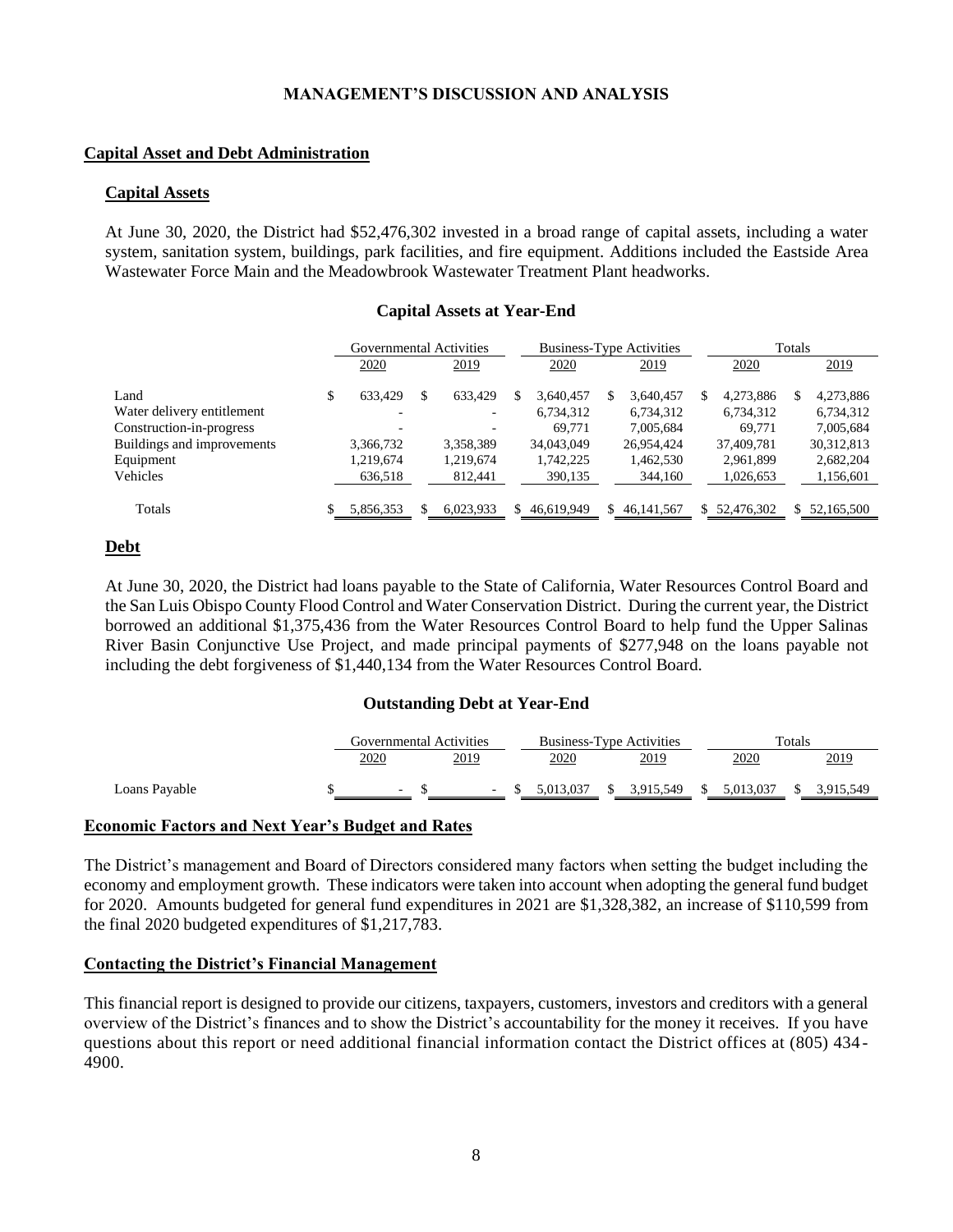### **Capital Asset and Debt Administration**

### **Capital Assets**

At June 30, 2020, the District had \$52,476,302 invested in a broad range of capital assets, including a water system, sanitation system, buildings, park facilities, and fire equipment. Additions included the Eastside Area Wastewater Force Main and the Meadowbrook Wastewater Treatment Plant headworks.

### **Capital Assets at Year-End**

|                            | Governmental Activities |      |           |      |            | <b>Business-Type Activities</b> |              | Totals |              |      |            |
|----------------------------|-------------------------|------|-----------|------|------------|---------------------------------|--------------|--------|--------------|------|------------|
|                            | 2020                    | 2019 |           | 2020 |            | 2019                            | 2020         |        |              | 2019 |            |
| Land                       | \$<br>633.429           | \$.  | 633,429   | S.   | 3.640.457  | S                               | 3,640,457    | S      | 4.273.886    |      | 4,273,886  |
| Water delivery entitlement |                         |      | -         |      | 6,734,312  |                                 | 6,734,312    |        | 6,734,312    |      | 6,734,312  |
| Construction-in-progress   |                         |      |           |      | 69.771     |                                 | 7.005.684    |        | 69.771       |      | 7,005,684  |
| Buildings and improvements | 3,366,732               |      | 3,358,389 |      | 34,043,049 |                                 | 26,954,424   |        | 37,409,781   |      | 30,312,813 |
| Equipment                  | 1,219,674               |      | 1,219,674 |      | 1,742,225  |                                 | 1,462,530    |        | 2,961,899    |      | 2,682,204  |
| Vehicles                   | 636,518                 |      | 812,441   |      | 390,135    |                                 | 344,160      |        | 1,026,653    |      | 1,156,601  |
|                            |                         |      |           |      |            |                                 |              |        |              |      |            |
| Totals                     | 5,856,353               | S.   | 6,023,933 | S    | 46.619.949 |                                 | \$46,141,567 |        | \$52,476,302 | S.   | 52,165,500 |

### **Debt**

At June 30, 2020, the District had loans payable to the State of California, Water Resources Control Board and the San Luis Obispo County Flood Control and Water Conservation District. During the current year, the District borrowed an additional \$1,375,436 from the Water Resources Control Board to help fund the Upper Salinas River Basin Conjunctive Use Project, and made principal payments of \$277,948 on the loans payable not including the debt forgiveness of \$1,440,134 from the Water Resources Control Board.

### **Outstanding Debt at Year-End**

|               | Governmental Activities  |        |           | <b>Business-Type Activities</b> | Totals    |           |  |  |
|---------------|--------------------------|--------|-----------|---------------------------------|-----------|-----------|--|--|
|               | 2020                     | 2019   | 2020      | 2019                            | 2020      | 2019      |  |  |
| Loans Payable | $\overline{\phantom{a}}$ | $\sim$ | 5,013,037 | 3.915.549                       | 5.013.037 | 1.915.549 |  |  |

### **Economic Factors and Next Year's Budget and Rates**

The District's management and Board of Directors considered many factors when setting the budget including the economy and employment growth. These indicators were taken into account when adopting the general fund budget for 2020. Amounts budgeted for general fund expenditures in 2021 are \$1,328,382, an increase of \$110,599 from the final 2020 budgeted expenditures of \$1,217,783.

### **Contacting the District's Financial Management**

This financial report is designed to provide our citizens, taxpayers, customers, investors and creditors with a general overview of the District's finances and to show the District's accountability for the money it receives. If you have questions about this report or need additional financial information contact the District offices at (805) 434 - 4900.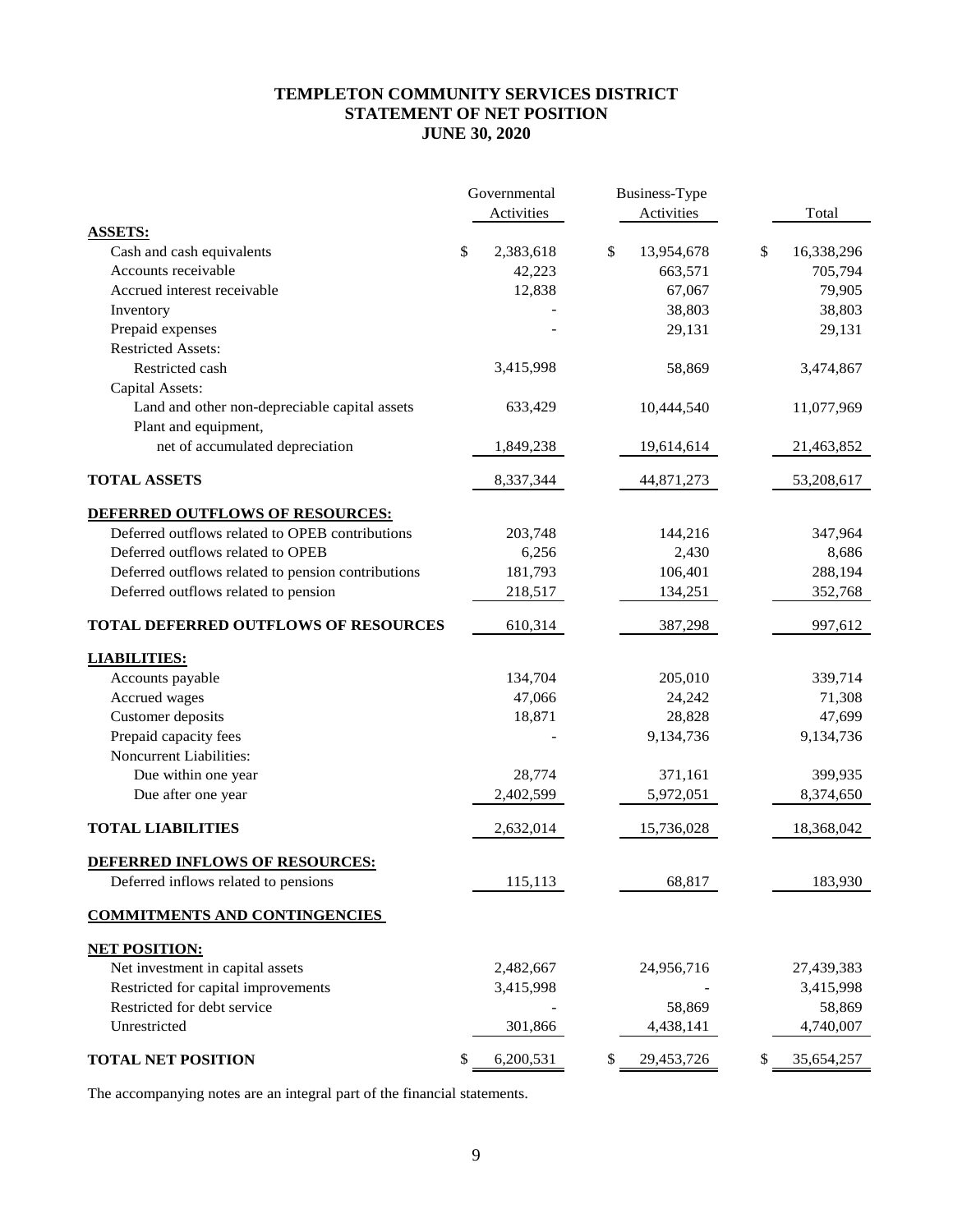# **TEMPLETON COMMUNITY SERVICES DISTRICT STATEMENT OF NET POSITION JUNE 30, 2020**

|                                                    | Governmental    | Business-Type    |                  |
|----------------------------------------------------|-----------------|------------------|------------------|
|                                                    | Activities      | Activities       | Total            |
| <b>ASSETS:</b>                                     |                 |                  |                  |
| Cash and cash equivalents                          | \$<br>2,383,618 | \$<br>13,954,678 | \$<br>16,338,296 |
| Accounts receivable                                | 42,223          | 663,571          | 705,794          |
| Accrued interest receivable                        | 12,838          | 67,067           | 79,905           |
| Inventory                                          |                 | 38,803           | 38,803           |
| Prepaid expenses                                   |                 | 29,131           | 29,131           |
| <b>Restricted Assets:</b>                          |                 |                  |                  |
| Restricted cash                                    | 3,415,998       | 58,869           | 3,474,867        |
| Capital Assets:                                    |                 |                  |                  |
| Land and other non-depreciable capital assets      | 633,429         | 10,444,540       | 11,077,969       |
| Plant and equipment,                               |                 |                  |                  |
| net of accumulated depreciation                    | 1,849,238       | 19,614,614       | 21,463,852       |
| <b>TOTAL ASSETS</b>                                | 8,337,344       | 44,871,273       | 53,208,617       |
| DEFERRED OUTFLOWS OF RESOURCES:                    |                 |                  |                  |
| Deferred outflows related to OPEB contributions    | 203,748         | 144,216          | 347,964          |
| Deferred outflows related to OPEB                  | 6,256           | 2,430            | 8,686            |
| Deferred outflows related to pension contributions | 181,793         | 106,401          | 288,194          |
| Deferred outflows related to pension               | 218,517         | 134,251          | 352,768          |
| TOTAL DEFERRED OUTFLOWS OF RESOURCES               | 610,314         | 387,298          | 997,612          |
| <b>LIABILITIES:</b>                                |                 |                  |                  |
| Accounts payable                                   | 134,704         | 205,010          | 339,714          |
| Accrued wages                                      | 47,066          | 24,242           | 71,308           |
| Customer deposits                                  | 18,871          | 28,828           | 47,699           |
| Prepaid capacity fees                              |                 | 9,134,736        | 9,134,736        |
| Noncurrent Liabilities:                            |                 |                  |                  |
| Due within one year                                | 28,774          | 371,161          | 399,935          |
| Due after one year                                 | 2,402,599       | 5,972,051        | 8,374,650        |
| <b>TOTAL LIABILITIES</b>                           | 2,632,014       | 15,736,028       | 18,368,042       |
| DEFERRED INFLOWS OF RESOURCES:                     |                 |                  |                  |
| Deferred inflows related to pensions               | 115,113         | 68,817           | 183.930          |
| <b>COMMITMENTS AND CONTINGENCIES</b>               |                 |                  |                  |
| <b>NET POSITION:</b>                               |                 |                  |                  |
| Net investment in capital assets                   | 2,482,667       | 24,956,716       | 27,439,383       |
| Restricted for capital improvements                | 3,415,998       |                  | 3,415,998        |
| Restricted for debt service                        |                 | 58,869           | 58,869           |
| Unrestricted                                       | 301,866         | 4,438,141        | 4,740,007        |
| <b>TOTAL NET POSITION</b>                          | \$<br>6,200,531 | \$<br>29,453,726 | \$<br>35,654,257 |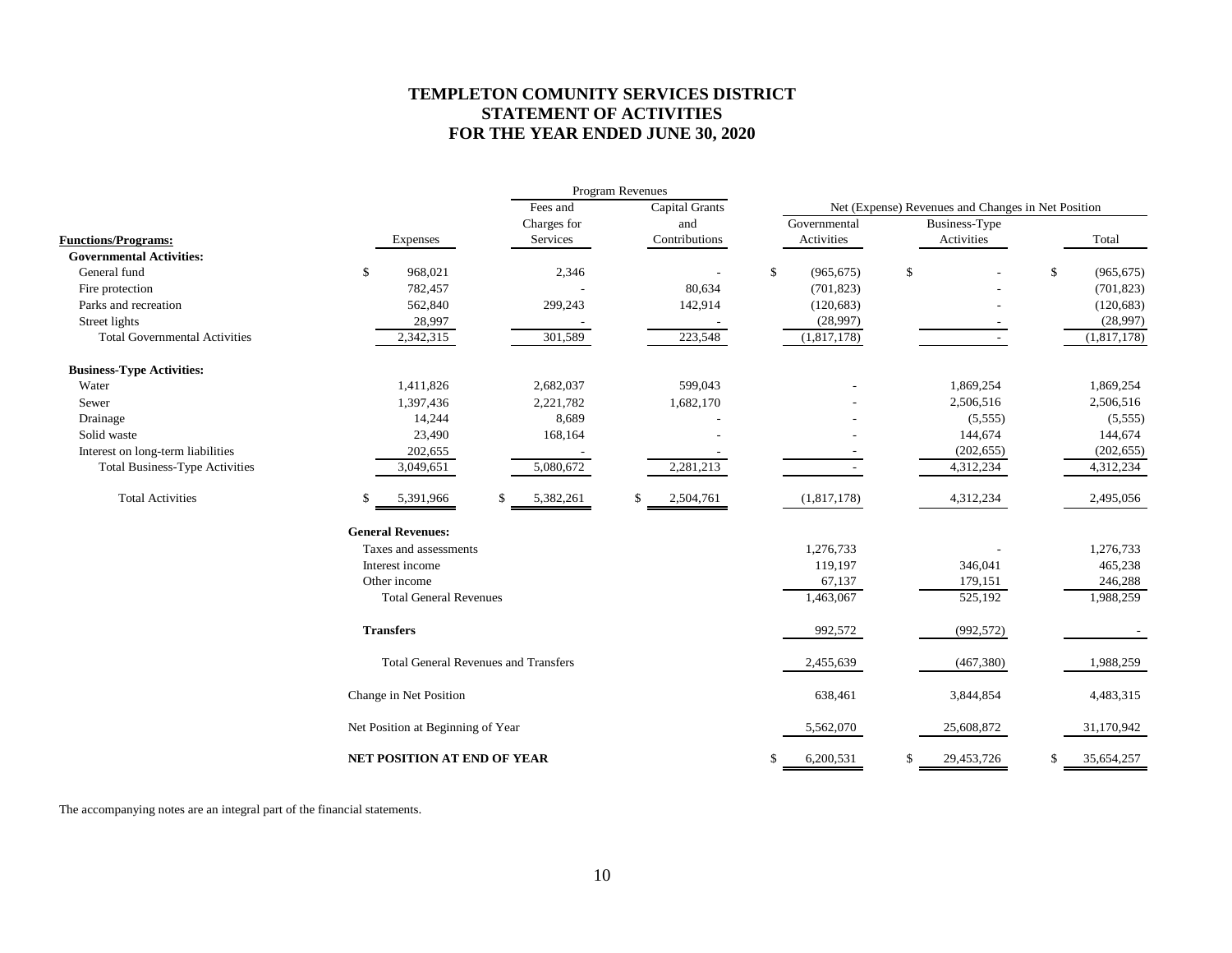## **TEMPLETON COMUNITY SERVICES DISTRICT STATEMENT OF ACTIVITIES FOR THE YEAR ENDED JUNE 30, 2020**

|                                       |                                             |             |           | Program Revenues      |                                                    |    |               |    |             |  |
|---------------------------------------|---------------------------------------------|-------------|-----------|-----------------------|----------------------------------------------------|----|---------------|----|-------------|--|
|                                       |                                             | Fees and    |           | <b>Capital Grants</b> | Net (Expense) Revenues and Changes in Net Position |    |               |    |             |  |
|                                       |                                             | Charges for |           | and                   | Governmental                                       |    | Business-Type |    |             |  |
| <b>Functions/Programs:</b>            | Expenses                                    | Services    |           | Contributions         | Activities                                         |    | Activities    |    | Total       |  |
| <b>Governmental Activities:</b>       |                                             |             |           |                       |                                                    |    |               |    |             |  |
| General fund                          | \$<br>968,021                               |             | 2,346     |                       | \$<br>(965, 675)                                   | \$ |               | \$ | (965, 675)  |  |
| Fire protection                       | 782,457                                     |             |           | 80,634                | (701, 823)                                         |    |               |    | (701, 823)  |  |
| Parks and recreation                  | 562,840                                     |             | 299,243   | 142,914               | (120, 683)                                         |    |               |    | (120, 683)  |  |
| Street lights                         | 28,997                                      |             |           |                       | (28,997)                                           |    |               |    | (28,997)    |  |
| <b>Total Governmental Activities</b>  | 2,342,315                                   |             | 301,589   | 223,548               | (1,817,178)                                        |    |               |    | (1,817,178) |  |
| <b>Business-Type Activities:</b>      |                                             |             |           |                       |                                                    |    |               |    |             |  |
| Water                                 | 1,411,826                                   |             | 2,682,037 | 599,043               |                                                    |    | 1,869,254     |    | 1,869,254   |  |
| Sewer                                 | 1,397,436                                   |             | 2,221,782 | 1,682,170             |                                                    |    | 2,506,516     |    | 2,506,516   |  |
| Drainage                              | 14,244                                      |             | 8,689     |                       |                                                    |    | (5, 555)      |    | (5,555)     |  |
| Solid waste                           | 23,490                                      |             | 168,164   |                       |                                                    |    | 144,674       |    | 144,674     |  |
| Interest on long-term liabilities     | 202,655                                     |             |           |                       |                                                    |    | (202, 655)    |    | (202, 655)  |  |
| <b>Total Business-Type Activities</b> | 3,049,651                                   |             | 5,080,672 | 2,281,213             |                                                    |    | 4,312,234     |    | 4,312,234   |  |
| <b>Total Activities</b>               | \$<br>5,391,966                             | \$          | 5,382,261 | 2,504,761<br>\$       | (1,817,178)                                        |    | 4,312,234     |    | 2,495,056   |  |
|                                       | <b>General Revenues:</b>                    |             |           |                       |                                                    |    |               |    |             |  |
|                                       | Taxes and assessments                       |             |           |                       | 1,276,733                                          |    |               |    | 1,276,733   |  |
|                                       | Interest income                             |             |           |                       | 119,197                                            |    | 346,041       |    | 465,238     |  |
|                                       | Other income                                |             |           |                       | 67,137                                             |    | 179,151       |    | 246,288     |  |
|                                       | <b>Total General Revenues</b>               |             |           |                       | 1,463,067                                          |    | 525,192       |    | 1,988,259   |  |
|                                       | <b>Transfers</b>                            |             |           |                       | 992,572                                            |    | (992, 572)    |    |             |  |
|                                       | <b>Total General Revenues and Transfers</b> |             |           |                       | 2,455,639                                          |    | (467, 380)    |    | 1,988,259   |  |
|                                       | Change in Net Position                      |             |           |                       | 638,461                                            |    | 3,844,854     |    | 4,483,315   |  |
|                                       | Net Position at Beginning of Year           |             |           |                       | 5,562,070                                          |    | 25,608,872    |    | 31,170,942  |  |
|                                       | NET POSITION AT END OF YEAR                 |             |           |                       | \$<br>6,200,531                                    | \$ | 29,453,726    | \$ | 35,654,257  |  |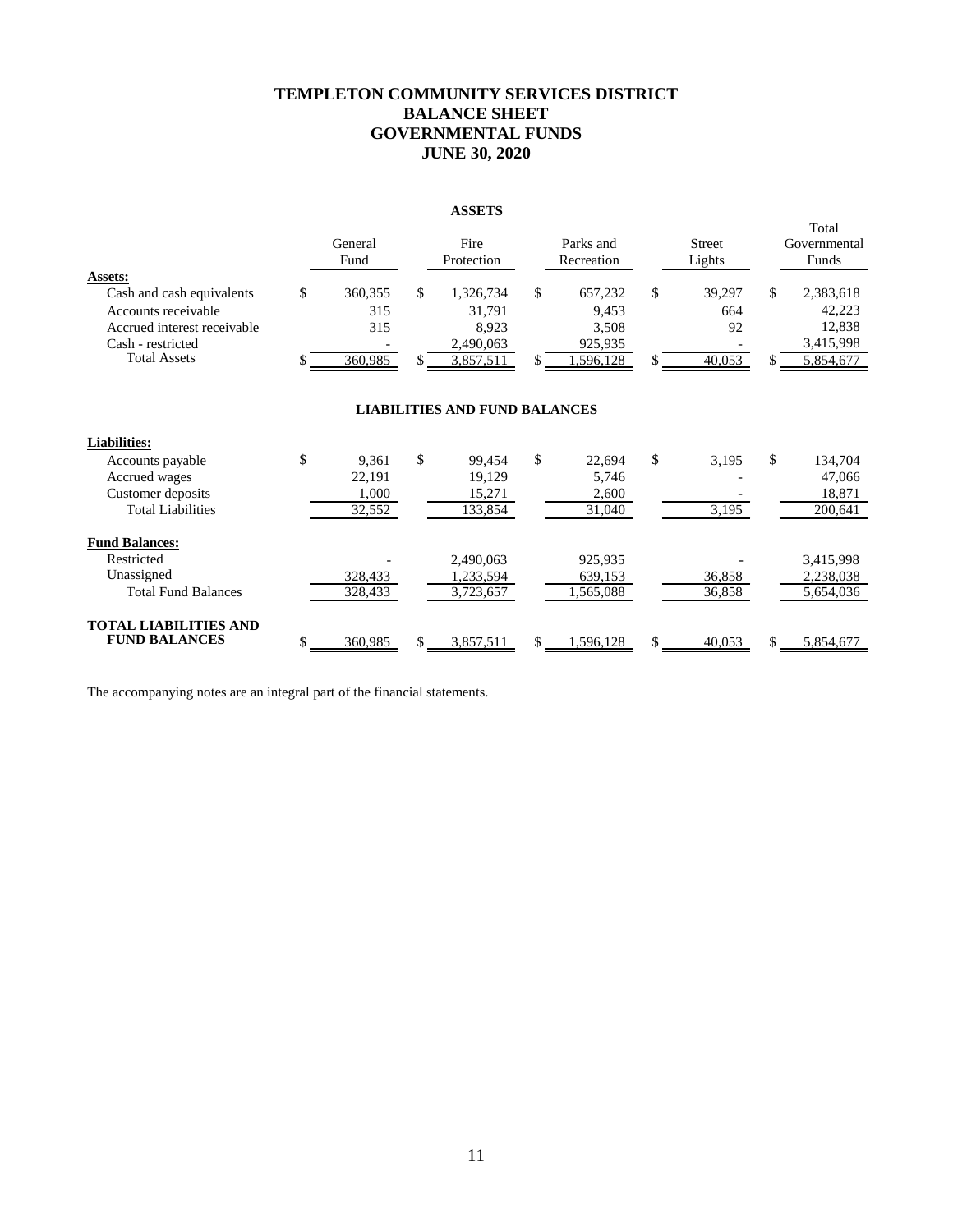# **TEMPLETON COMMUNITY SERVICES DISTRICT BALANCE SHEET GOVERNMENTAL FUNDS JUNE 30, 2020**

#### **ASSETS**

|                                                                                                                 |     | General<br>Fund                    |     | Fire<br>Protection                                | Parks and<br>Recreation                    | <b>Street</b><br>Lights   |    | Total<br>Governmental<br>Funds             |
|-----------------------------------------------------------------------------------------------------------------|-----|------------------------------------|-----|---------------------------------------------------|--------------------------------------------|---------------------------|----|--------------------------------------------|
| Assets:<br>Cash and cash equivalents<br>Accounts receivable<br>Accrued interest receivable<br>Cash - restricted | \$  | 360,355<br>315<br>315              | \$  | 1,326,734<br>31,791<br>8,923<br>2,490,063         | \$<br>657,232<br>9,453<br>3,508<br>925,935 | \$<br>39,297<br>664<br>92 | \$ | 2,383,618<br>42,223<br>12,838<br>3,415,998 |
| <b>Total Assets</b>                                                                                             | \$. | 360,985                            | \$. | 3,857,511<br><b>LIABILITIES AND FUND BALANCES</b> | .596,128                                   | \$<br>40,053              | S. | 5,854,677                                  |
| <b>Liabilities:</b>                                                                                             |     |                                    |     |                                                   |                                            |                           |    |                                            |
| Accounts payable<br>Accrued wages<br>Customer deposits<br><b>Total Liabilities</b>                              | \$  | 9,361<br>22,191<br>1,000<br>32,552 | \$  | 99,454<br>19,129<br>15,271<br>133,854             | \$<br>22,694<br>5,746<br>2,600<br>31,040   | \$<br>3,195<br>3,195      | \$ | 134,704<br>47,066<br>18,871<br>200,641     |
| <b>Fund Balances:</b><br>Restricted<br>Unassigned<br><b>Total Fund Balances</b>                                 |     | 328,433<br>328,433                 |     | 2,490,063<br>,233,594<br>3,723,657                | 925,935<br>639,153<br>1,565,088            | 36,858<br>36,858          |    | 3,415,998<br>2,238,038<br>5,654,036        |
| <b>TOTAL LIABILITIES AND</b><br><b>FUND BALANCES</b>                                                            | \$  | 360,985                            | \$  | 3,857,511                                         | \$<br>1,596,128                            | \$<br>40,053              | \$ | 5,854,677                                  |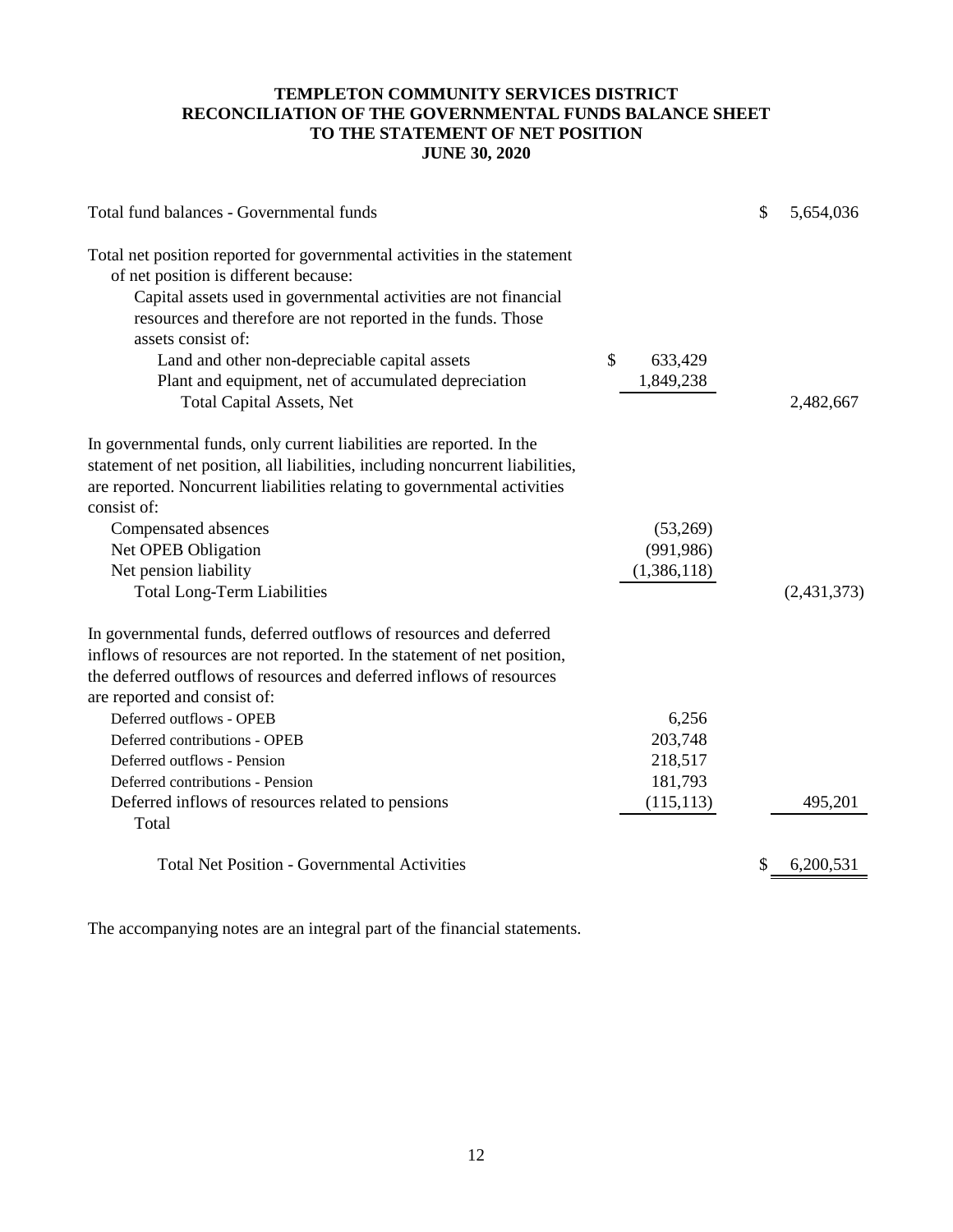# **TEMPLETON COMMUNITY SERVICES DISTRICT RECONCILIATION OF THE GOVERNMENTAL FUNDS BALANCE SHEET TO THE STATEMENT OF NET POSITION JUNE 30, 2020**

| Total fund balances - Governmental funds                                           | \$<br>5,654,036 |
|------------------------------------------------------------------------------------|-----------------|
| Total net position reported for governmental activities in the statement           |                 |
| of net position is different because:                                              |                 |
| Capital assets used in governmental activities are not financial                   |                 |
| resources and therefore are not reported in the funds. Those<br>assets consist of: |                 |
| $\mathbb{S}$<br>Land and other non-depreciable capital assets<br>633,429           |                 |
| Plant and equipment, net of accumulated depreciation<br>1,849,238                  |                 |
| <b>Total Capital Assets, Net</b>                                                   | 2,482,667       |
| In governmental funds, only current liabilities are reported. In the               |                 |
| statement of net position, all liabilities, including noncurrent liabilities,      |                 |
| are reported. Noncurrent liabilities relating to governmental activities           |                 |
| consist of:                                                                        |                 |
| Compensated absences<br>(53,269)                                                   |                 |
| Net OPEB Obligation<br>(991, 986)                                                  |                 |
| Net pension liability<br>(1,386,118)                                               |                 |
| <b>Total Long-Term Liabilities</b>                                                 | (2,431,373)     |
| In governmental funds, deferred outflows of resources and deferred                 |                 |
| inflows of resources are not reported. In the statement of net position,           |                 |
| the deferred outflows of resources and deferred inflows of resources               |                 |
| are reported and consist of:                                                       |                 |
| Deferred outflows - OPEB<br>6,256                                                  |                 |
| 203,748<br>Deferred contributions - OPEB                                           |                 |
| Deferred outflows - Pension<br>218,517                                             |                 |
| 181,793<br>Deferred contributions - Pension                                        |                 |
| (115, 113)<br>Deferred inflows of resources related to pensions                    | 495,201         |
| Total                                                                              |                 |
| <b>Total Net Position - Governmental Activities</b>                                | 6,200,531       |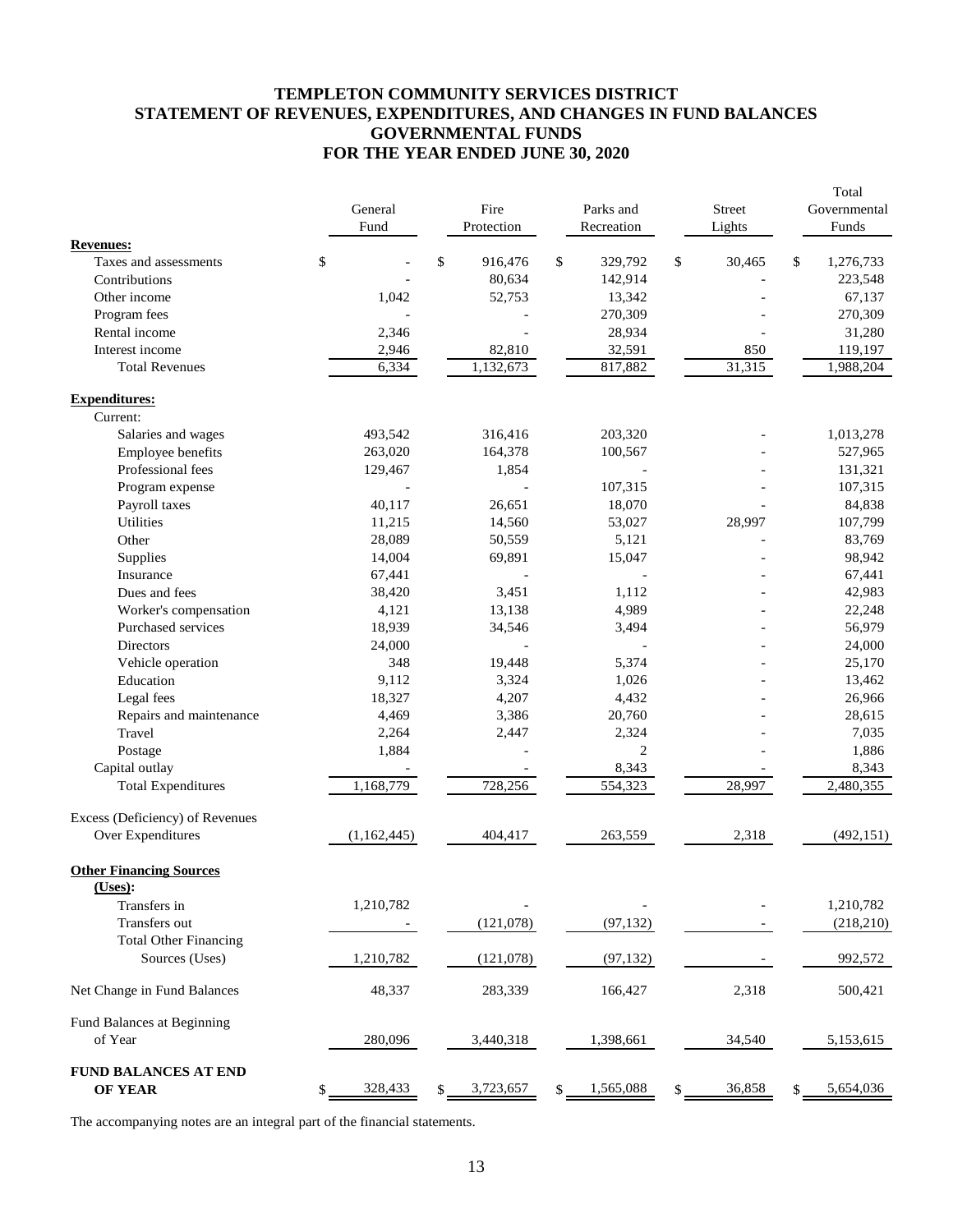## **TEMPLETON COMMUNITY SERVICES DISTRICT STATEMENT OF REVENUES, EXPENDITURES, AND CHANGES IN FUND BALANCES GOVERNMENTAL FUNDS FOR THE YEAR ENDED JUNE 30, 2020**

|                                               | General<br>Fund |    | Fire<br>Protection | Parks and<br>Recreation | <b>Street</b><br>Lights | Total<br>Governmental<br>Funds |
|-----------------------------------------------|-----------------|----|--------------------|-------------------------|-------------------------|--------------------------------|
| <b>Revenues:</b>                              |                 |    |                    |                         |                         |                                |
| Taxes and assessments                         | \$              | \$ | 916,476            | \$<br>329,792           | \$<br>30,465            | \$<br>1,276,733                |
| Contributions                                 |                 |    | 80,634             | 142,914                 |                         | 223,548                        |
| Other income                                  | 1,042           |    | 52,753             | 13,342                  |                         | 67,137                         |
| Program fees                                  |                 |    |                    | 270,309                 |                         | 270,309                        |
| Rental income                                 | 2,346           |    |                    | 28,934                  |                         | 31,280                         |
| Interest income                               | 2,946           |    | 82,810             | 32,591                  | 850                     | 119,197                        |
| <b>Total Revenues</b>                         | 6,334           |    | 1,132,673          | 817,882                 | 31,315                  | 1,988,204                      |
| <b>Expenditures:</b>                          |                 |    |                    |                         |                         |                                |
| Current:                                      |                 |    |                    |                         |                         |                                |
| Salaries and wages                            | 493,542         |    | 316,416            | 203,320                 |                         | 1,013,278                      |
| Employee benefits                             | 263,020         |    | 164,378            | 100,567                 |                         | 527,965                        |
| Professional fees                             | 129,467         |    | 1,854              |                         |                         | 131,321                        |
| Program expense                               |                 |    |                    | 107,315                 |                         | 107,315                        |
| Payroll taxes                                 | 40,117          |    | 26,651             | 18,070                  |                         | 84,838                         |
| Utilities                                     | 11,215          |    | 14,560             | 53,027                  | 28,997                  | 107,799                        |
| Other                                         | 28,089          |    | 50,559             | 5,121                   |                         | 83,769                         |
| Supplies                                      | 14,004          |    | 69,891             | 15,047                  |                         | 98,942                         |
| Insurance                                     | 67,441          |    |                    |                         |                         | 67,441                         |
| Dues and fees                                 | 38,420          |    | 3,451              | 1,112                   |                         | 42,983                         |
| Worker's compensation                         | 4,121           |    | 13,138             | 4,989                   |                         | 22,248                         |
| Purchased services                            | 18,939          |    | 34,546             | 3,494                   |                         | 56,979                         |
| Directors                                     | 24,000          |    |                    |                         |                         | 24,000                         |
| Vehicle operation                             | 348             |    | 19,448             | 5,374                   |                         | 25,170                         |
| Education                                     | 9,112           |    | 3,324              | 1,026                   |                         | 13,462                         |
| Legal fees                                    | 18,327          |    | 4,207              | 4,432                   |                         | 26,966                         |
| Repairs and maintenance                       | 4,469           |    | 3,386              | 20,760                  |                         | 28,615                         |
| Travel                                        | 2,264           |    | 2,447              | 2,324                   |                         | 7,035                          |
| Postage                                       | 1,884           |    |                    | $\overline{c}$          |                         | 1,886                          |
| Capital outlay                                |                 |    |                    | 8,343                   |                         | 8,343                          |
| <b>Total Expenditures</b>                     | 1,168,779       |    | 728,256            | 554,323                 | 28,997                  | 2,480,355                      |
| Excess (Deficiency) of Revenues               |                 |    |                    |                         |                         |                                |
| Over Expenditures                             | (1,162,445)     |    | 404,417            | 263,559                 | 2,318                   | (492, 151)                     |
| <b>Other Financing Sources</b>                |                 |    |                    |                         |                         |                                |
| (Uses):                                       |                 |    |                    |                         |                         |                                |
| Transfers in                                  | 1,210,782       |    |                    |                         |                         | 1,210,782                      |
| Transfers out                                 |                 |    | (121,078)          | (97, 132)               |                         | (218, 210)                     |
| <b>Total Other Financing</b>                  |                 |    |                    |                         |                         |                                |
| Sources (Uses)                                | 1,210,782       |    | (121,078)          | (97, 132)               |                         | 992,572                        |
| Net Change in Fund Balances                   | 48,337          |    | 283,339            | 166,427                 | 2,318                   | 500,421                        |
| Fund Balances at Beginning                    |                 |    |                    |                         |                         |                                |
| of Year                                       | 280,096         |    | 3,440,318          | 1,398,661               | 34,540                  | 5,153,615                      |
| <b>FUND BALANCES AT END</b><br><b>OF YEAR</b> | \$<br>328,433   | \$ | 3,723,657          | \$<br>1,565,088         | \$<br>36,858            | \$<br>5,654,036                |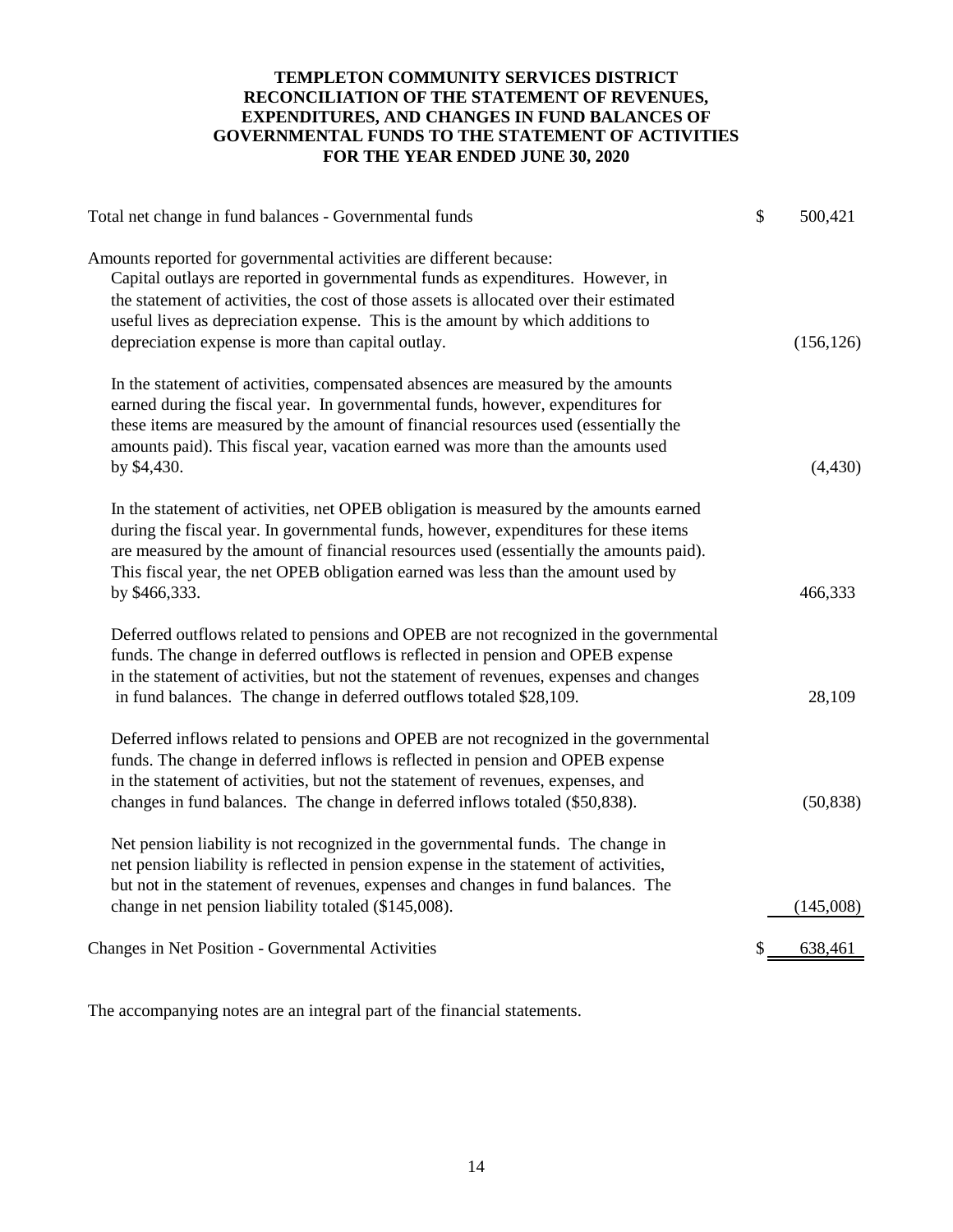# **TEMPLETON COMMUNITY SERVICES DISTRICT RECONCILIATION OF THE STATEMENT OF REVENUES, EXPENDITURES, AND CHANGES IN FUND BALANCES OF GOVERNMENTAL FUNDS TO THE STATEMENT OF ACTIVITIES FOR THE YEAR ENDED JUNE 30, 2020**

| Total net change in fund balances - Governmental funds                                                                                                                                                                                                                                                                                                                                   | \$<br>500,421 |
|------------------------------------------------------------------------------------------------------------------------------------------------------------------------------------------------------------------------------------------------------------------------------------------------------------------------------------------------------------------------------------------|---------------|
| Amounts reported for governmental activities are different because:<br>Capital outlays are reported in governmental funds as expenditures. However, in<br>the statement of activities, the cost of those assets is allocated over their estimated<br>useful lives as depreciation expense. This is the amount by which additions to<br>depreciation expense is more than capital outlay. | (156, 126)    |
| In the statement of activities, compensated absences are measured by the amounts<br>earned during the fiscal year. In governmental funds, however, expenditures for<br>these items are measured by the amount of financial resources used (essentially the<br>amounts paid). This fiscal year, vacation earned was more than the amounts used<br>by \$4,430.                             | (4, 430)      |
| In the statement of activities, net OPEB obligation is measured by the amounts earned<br>during the fiscal year. In governmental funds, however, expenditures for these items<br>are measured by the amount of financial resources used (essentially the amounts paid).<br>This fiscal year, the net OPEB obligation earned was less than the amount used by<br>by \$466,333.            | 466,333       |
| Deferred outflows related to pensions and OPEB are not recognized in the governmental<br>funds. The change in deferred outflows is reflected in pension and OPEB expense<br>in the statement of activities, but not the statement of revenues, expenses and changes<br>in fund balances. The change in deferred outflows totaled \$28,109.                                               | 28,109        |
| Deferred inflows related to pensions and OPEB are not recognized in the governmental<br>funds. The change in deferred inflows is reflected in pension and OPEB expense<br>in the statement of activities, but not the statement of revenues, expenses, and<br>changes in fund balances. The change in deferred inflows totaled (\$50,838).                                               | (50, 838)     |
| Net pension liability is not recognized in the governmental funds. The change in<br>net pension liability is reflected in pension expense in the statement of activities,<br>but not in the statement of revenues, expenses and changes in fund balances. The<br>change in net pension liability totaled (\$145,008).                                                                    | (145,008)     |
| Changes in Net Position - Governmental Activities                                                                                                                                                                                                                                                                                                                                        | 638,461       |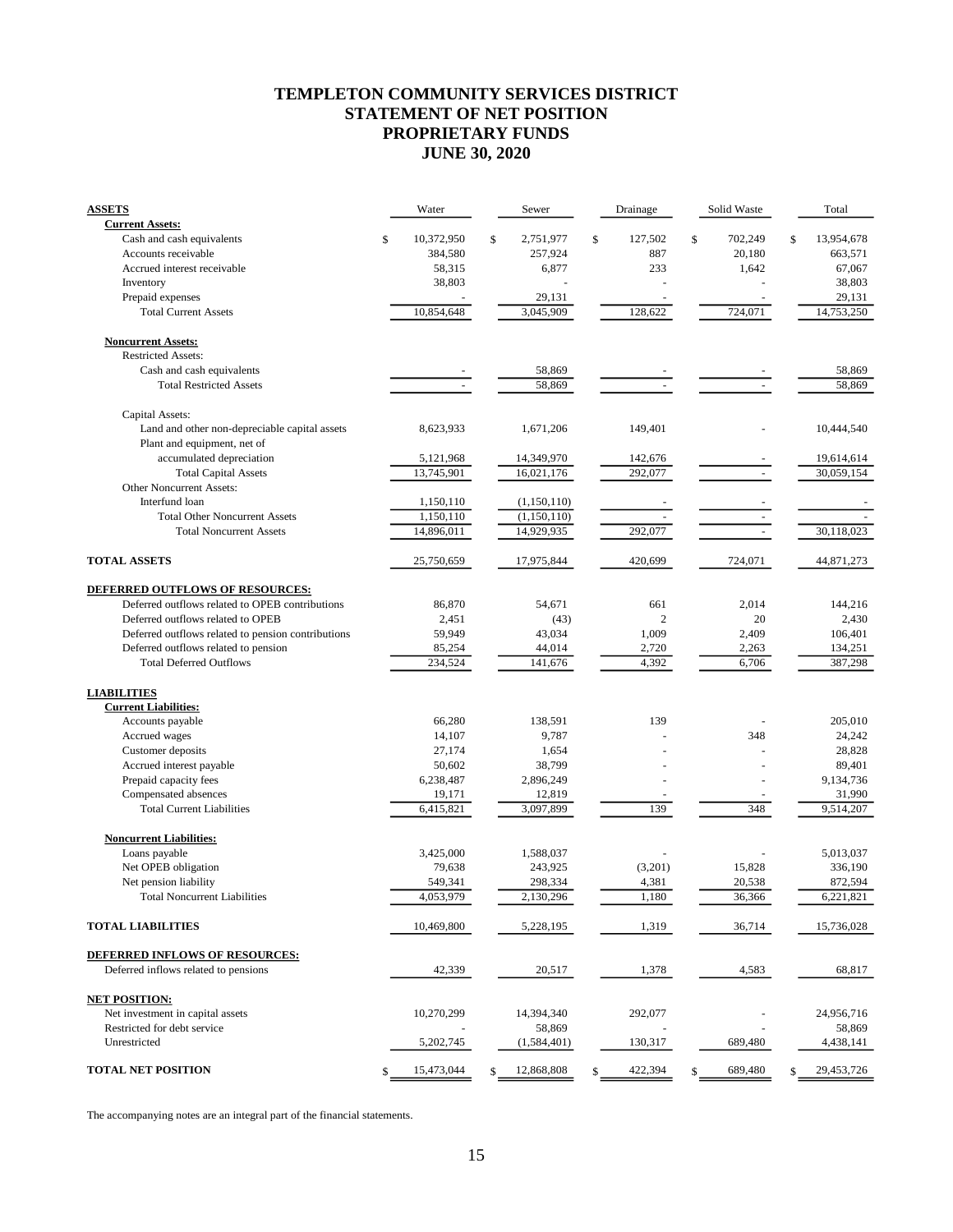# **TEMPLETON COMMUNITY SERVICES DISTRICT STATEMENT OF NET POSITION PROPRIETARY FUNDS JUNE 30, 2020**

| <b>ASSETS</b>                                      |    | Water      |              | Sewer         | Drainage       | Solid Waste   | Total            |
|----------------------------------------------------|----|------------|--------------|---------------|----------------|---------------|------------------|
| <b>Current Assets:</b>                             |    |            |              |               |                |               |                  |
| Cash and cash equivalents                          | \$ | 10,372,950 | $\mathbb{S}$ | 2.751.977     | \$<br>127,502  | \$<br>702,249 | \$<br>13,954,678 |
| Accounts receivable                                |    | 384,580    |              | 257,924       | 887            | 20,180        | 663,571          |
| Accrued interest receivable                        |    | 58,315     |              | 6,877         | 233            | 1,642         | 67,067           |
| Inventory                                          |    | 38,803     |              |               |                |               | 38,803           |
| Prepaid expenses                                   |    |            |              | 29,131        |                |               | 29,131           |
| <b>Total Current Assets</b>                        |    | 10,854,648 |              | 3,045,909     | 128,622        | 724,071       | 14,753,250       |
| <b>Noncurrent Assets:</b>                          |    |            |              |               |                |               |                  |
| <b>Restricted Assets:</b>                          |    |            |              |               |                |               |                  |
| Cash and cash equivalents                          |    |            |              | 58,869        |                |               | 58,869           |
| <b>Total Restricted Assets</b>                     |    |            |              | 58,869        |                |               | 58,869           |
| Capital Assets:                                    |    |            |              |               |                |               |                  |
| Land and other non-depreciable capital assets      |    | 8,623,933  |              | 1,671,206     | 149,401        |               | 10,444,540       |
| Plant and equipment, net of                        |    |            |              |               |                |               |                  |
| accumulated depreciation                           |    | 5,121,968  |              | 14,349,970    | 142,676        |               | 19,614,614       |
| <b>Total Capital Assets</b>                        |    | 13,745,901 |              | 16,021,176    | 292,077        |               | 30,059,154       |
| Other Noncurrent Assets:                           |    |            |              |               |                |               |                  |
| Interfund loan                                     |    | 1,150,110  |              | (1,150,110)   |                |               |                  |
| <b>Total Other Noncurrent Assets</b>               |    | 1,150,110  |              | (1,150,110)   |                |               |                  |
| <b>Total Noncurrent Assets</b>                     |    | 14,896,011 |              | 14,929,935    | 292,077        |               | 30,118,023       |
| <b>TOTAL ASSETS</b>                                |    | 25,750,659 |              | 17,975,844    | 420,699        | 724,071       | 44,871,273       |
| DEFERRED OUTFLOWS OF RESOURCES:                    |    |            |              |               |                |               |                  |
| Deferred outflows related to OPEB contributions    |    | 86,870     |              | 54,671        | 661            | 2,014         | 144,216          |
| Deferred outflows related to OPEB                  |    | 2,451      |              | (43)          | $\overline{c}$ | 20            | 2,430            |
| Deferred outflows related to pension contributions |    | 59,949     |              | 43,034        | 1,009          | 2,409         | 106,401          |
| Deferred outflows related to pension               |    | 85,254     |              | 44,014        | 2,720          | 2,263         | 134,251          |
| <b>Total Deferred Outflows</b>                     |    | 234,524    |              | 141,676       | 4,392          | 6,706         | 387,298          |
| <b>LIABILITIES</b>                                 |    |            |              |               |                |               |                  |
| <b>Current Liabilities:</b>                        |    |            |              |               |                |               |                  |
| Accounts payable                                   |    | 66,280     |              | 138,591       | 139            |               | 205,010          |
| Accrued wages                                      |    | 14,107     |              | 9,787         |                | 348           | 24,242           |
| Customer deposits                                  |    | 27,174     |              | 1,654         |                |               | 28,828           |
| Accrued interest payable                           |    | 50,602     |              | 38,799        |                |               | 89,401           |
| Prepaid capacity fees                              |    | 6,238,487  |              | 2,896,249     |                |               | 9,134,736        |
| Compensated absences                               |    | 19,171     |              | 12,819        |                |               | 31,990           |
| <b>Total Current Liabilities</b>                   |    | 6,415,821  |              | 3,097,899     | 139            | 348           | 9.514.207        |
| <b>Noncurrent Liabilities:</b>                     |    |            |              |               |                |               |                  |
| Loans payable                                      |    | 3,425,000  |              | 1,588,037     |                |               | 5,013,037        |
| Net OPEB obligation                                |    | 79,638     |              | 243,925       | (3,201)        | 15,828        | 336,190          |
| Net pension liability                              |    | 549,341    |              | 298,334       | 4,381          | 20,538        | 872,594          |
| <b>Total Noncurrent Liabilities</b>                |    | 4,053,979  |              | 2,130,296     | 1,180          | 36,366        | 6,221,821        |
| <b>TOTAL LIABILITIES</b>                           |    | 10,469,800 |              | 5,228,195     | 1,319          | 36,714        | 15,736,028       |
| DEFERRED INFLOWS OF RESOURCES:                     |    |            |              |               |                |               |                  |
| Deferred inflows related to pensions               |    | 42,339     |              | 20,517        | 1,378          | 4,583         | 68,817           |
| <b>NET POSITION:</b>                               |    |            |              |               |                |               |                  |
| Net investment in capital assets                   |    | 10,270,299 |              | 14,394,340    | 292,077        |               | 24,956,716       |
| Restricted for debt service                        |    |            |              | 58,869        |                |               | 58,869           |
| Unrestricted                                       |    | 5,202,745  |              | (1, 584, 401) | 130,317        | 689,480       | 4,438,141        |
| <b>TOTAL NET POSITION</b>                          | S  | 15,473,044 | \$           | 12,868,808    | \$<br>422,394  | \$<br>689,480 | \$<br>29,453,726 |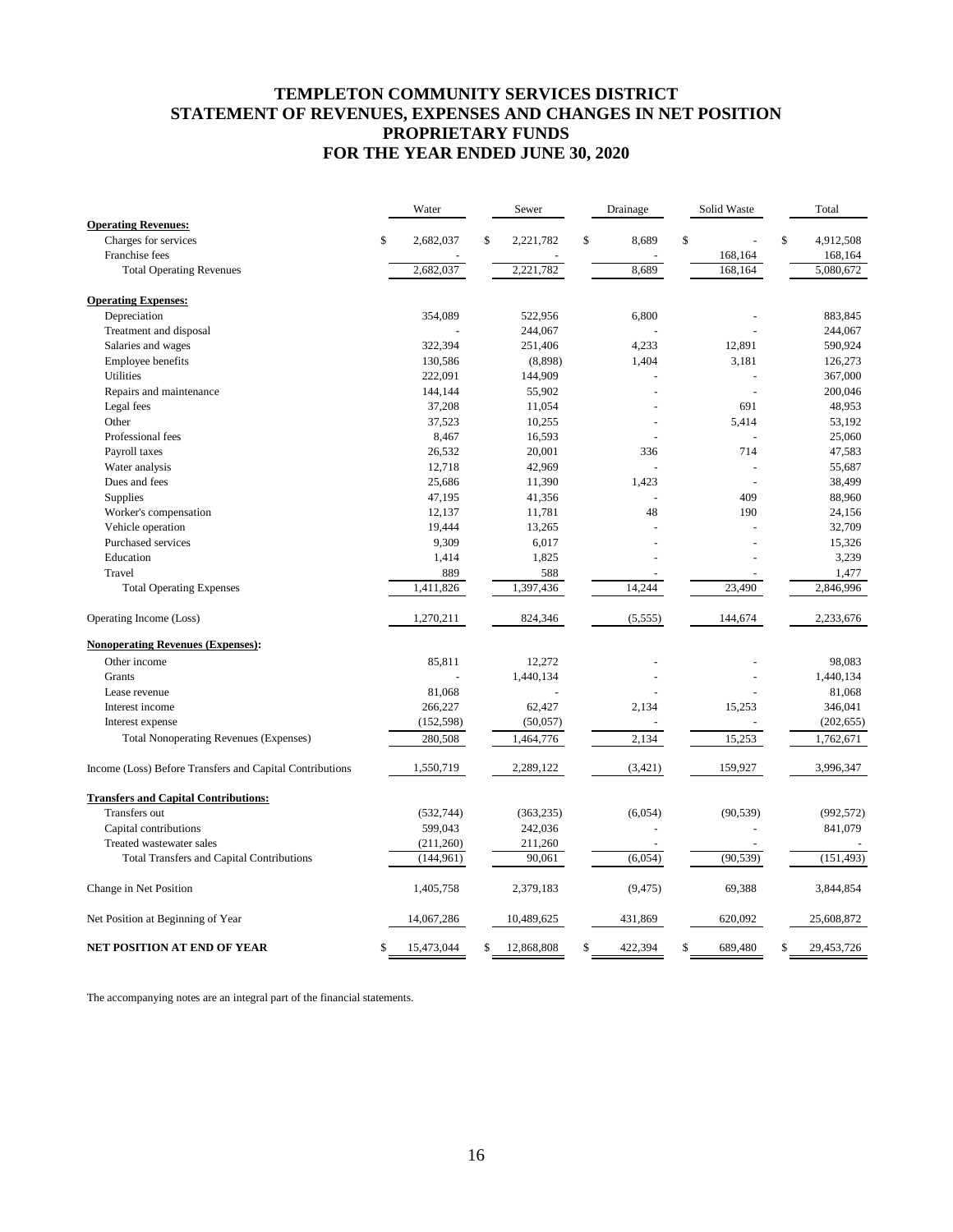# **TEMPLETON COMMUNITY SERVICES DISTRICT STATEMENT OF REVENUES, EXPENSES AND CHANGES IN NET POSITION PROPRIETARY FUNDS FOR THE YEAR ENDED JUNE 30, 2020**

|                                                              | Water      | Sewer            | Drainage      | Solid Waste   |             | Total      |
|--------------------------------------------------------------|------------|------------------|---------------|---------------|-------------|------------|
| <b>Operating Revenues:</b>                                   |            |                  |               |               |             |            |
| Charges for services<br>\$                                   | 2,682,037  | \$<br>2,221,782  | \$<br>8,689   | \$            | $\mathbf S$ | 4,912,508  |
| Franchise fees                                               |            |                  |               | 168,164       |             | 168,164    |
| <b>Total Operating Revenues</b>                              | 2,682,037  | 2,221,782        | 8,689         | 168,164       |             | 5,080,672  |
| <b>Operating Expenses:</b>                                   |            |                  |               |               |             |            |
| Depreciation                                                 | 354,089    | 522,956          | 6,800         |               |             | 883.845    |
| Treatment and disposal                                       |            | 244,067          |               |               |             | 244,067    |
| Salaries and wages                                           | 322,394    | 251,406          | 4,233         | 12,891        |             | 590,924    |
| Employee benefits                                            | 130,586    | (8,898)          | 1,404         | 3,181         |             | 126,273    |
| Utilities                                                    | 222,091    | 144,909          |               |               |             | 367,000    |
| Repairs and maintenance                                      | 144,144    | 55,902           |               |               |             | 200,046    |
| Legal fees                                                   | 37,208     | 11,054           |               | 691           |             | 48,953     |
| Other                                                        | 37,523     |                  |               | 5,414         |             | 53,192     |
| Professional fees                                            | 8,467      | 10,255           |               |               |             | 25,060     |
|                                                              |            | 16,593           |               |               |             |            |
| Payroll taxes                                                | 26,532     | 20,001           | 336           | 714           |             | 47,583     |
| Water analysis                                               | 12,718     | 42,969           |               |               |             | 55,687     |
| Dues and fees                                                | 25,686     | 11,390           | 1,423         |               |             | 38,499     |
| Supplies                                                     | 47,195     | 41,356           |               | 409           |             | 88,960     |
| Worker's compensation                                        | 12,137     | 11,781           | 48            | 190           |             | 24,156     |
| Vehicle operation                                            | 19,444     | 13,265           |               |               |             | 32,709     |
| Purchased services                                           | 9,309      | 6,017            |               |               |             | 15,326     |
| Education                                                    | 1,414      | 1,825            |               |               |             | 3,239      |
| Travel                                                       | 889        | 588              |               |               |             | 1,477      |
| <b>Total Operating Expenses</b>                              | 1,411,826  | 1,397,436        | 14,244        | 23,490        |             | 2,846,996  |
| Operating Income (Loss)                                      | 1,270,211  | 824,346          | (5,555)       | 144,674       |             | 2,233,676  |
| <b>Nonoperating Revenues (Expenses):</b>                     |            |                  |               |               |             |            |
| Other income                                                 | 85,811     | 12,272           |               |               |             | 98,083     |
| Grants                                                       |            | 1,440,134        |               |               |             | 1,440,134  |
| Lease revenue                                                | 81,068     |                  |               |               |             | 81,068     |
| Interest income                                              | 266,227    | 62,427           | 2,134         | 15,253        |             | 346,041    |
| Interest expense                                             | (152, 598) | (50,057)         |               |               |             | (202, 655) |
| <b>Total Nonoperating Revenues (Expenses)</b>                | 280,508    | 1,464,776        | 2,134         | 15,253        |             | 1,762,671  |
| Income (Loss) Before Transfers and Capital Contributions     | 1,550,719  | 2,289,122        | (3, 421)      | 159,927       |             | 3,996,347  |
|                                                              |            |                  |               |               |             |            |
| <b>Transfers and Capital Contributions:</b><br>Transfers out | (532, 744) |                  | (6,054)       | (90, 539)     |             | (992, 572) |
|                                                              |            | (363, 235)       |               |               |             |            |
| Capital contributions                                        | 599,043    | 242,036          |               |               |             | 841,079    |
| Treated wastewater sales                                     | (211,260)  | 211,260          |               |               |             |            |
| <b>Total Transfers and Capital Contributions</b>             | (144, 961) | 90,061           | (6,054)       | (90, 539)     |             | (151, 493) |
| Change in Net Position                                       | 1,405,758  | 2,379,183        | (9, 475)      | 69,388        |             | 3,844,854  |
| Net Position at Beginning of Year                            | 14,067,286 | 10,489,625       | 431,869       | 620,092       |             | 25,608,872 |
| NET POSITION AT END OF YEAR<br>\$                            | 15,473,044 | \$<br>12,868,808 | \$<br>422,394 | \$<br>689,480 | \$          | 29,453,726 |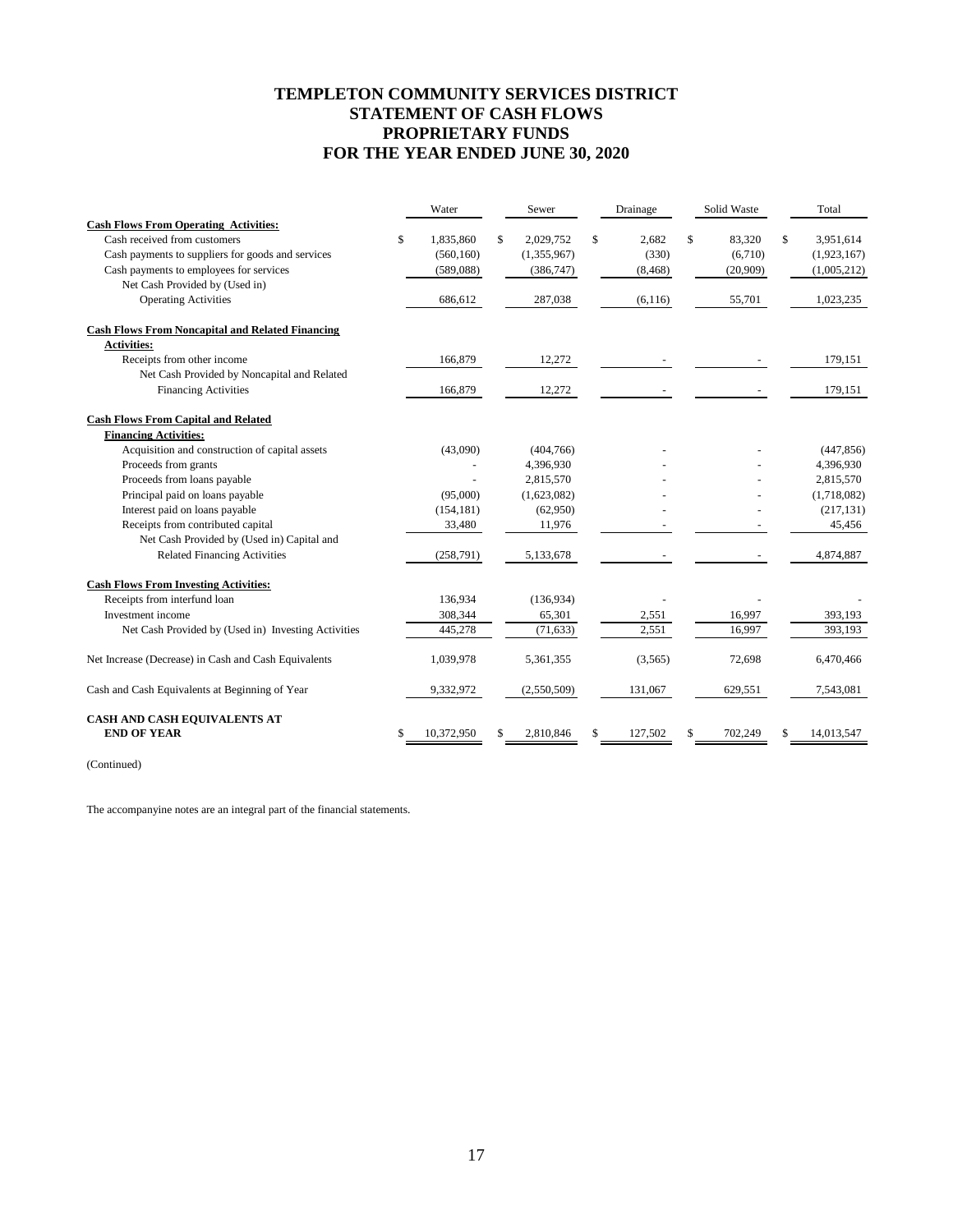# **TEMPLETON COMMUNITY SERVICES DISTRICT STATEMENT OF CASH FLOWS PROPRIETARY FUNDS FOR THE YEAR ENDED JUNE 30, 2020**

|                                                         | Water            | Sewer           | Drainage    | Solid Waste  | Total           |
|---------------------------------------------------------|------------------|-----------------|-------------|--------------|-----------------|
| <b>Cash Flows From Operating Activities:</b>            |                  |                 |             |              |                 |
| Cash received from customers                            | \$<br>1,835,860  | \$<br>2,029,752 | \$<br>2,682 | \$<br>83,320 | \$<br>3,951,614 |
| Cash payments to suppliers for goods and services       | (560, 160)       | (1,355,967)     | (330)       | (6,710)      | (1,923,167)     |
| Cash payments to employees for services                 | (589, 088)       | (386, 747)      | (8, 468)    | (20, 909)    | (1,005,212)     |
| Net Cash Provided by (Used in)                          |                  |                 |             |              |                 |
| <b>Operating Activities</b>                             | 686.612          | 287,038         | (6,116)     | 55,701       | 1,023,235       |
| <b>Cash Flows From Noncapital and Related Financing</b> |                  |                 |             |              |                 |
| <b>Activities:</b>                                      |                  |                 |             |              |                 |
| Receipts from other income                              | 166,879          | 12,272          |             |              | 179,151         |
| Net Cash Provided by Noncapital and Related             |                  |                 |             |              |                 |
| <b>Financing Activities</b>                             | 166,879          | 12,272          |             |              | 179,151         |
| <b>Cash Flows From Capital and Related</b>              |                  |                 |             |              |                 |
| <b>Financing Activities:</b>                            |                  |                 |             |              |                 |
| Acquisition and construction of capital assets          | (43,090)         | (404, 766)      |             |              | (447, 856)      |
| Proceeds from grants                                    |                  | 4,396,930       |             |              | 4,396,930       |
| Proceeds from loans payable                             |                  | 2,815,570       |             |              | 2,815,570       |
| Principal paid on loans payable                         | (95,000)         | (1,623,082)     |             |              | (1,718,082)     |
| Interest paid on loans payable                          | (154, 181)       | (62,950)        |             |              | (217, 131)      |
| Receipts from contributed capital                       | 33,480           | 11,976          |             |              | 45,456          |
| Net Cash Provided by (Used in) Capital and              |                  |                 |             |              |                 |
| <b>Related Financing Activities</b>                     | (258,791)        | 5,133,678       |             |              | 4,874,887       |
| <b>Cash Flows From Investing Activities:</b>            |                  |                 |             |              |                 |
| Receipts from interfund loan                            | 136,934          | (136, 934)      |             |              |                 |
| Investment income                                       | 308,344          | 65,301          | 2,551       | 16,997       | 393,193         |
| Net Cash Provided by (Used in) Investing Activities     | 445,278          | (71, 633)       | 2,551       | 16,997       | 393,193         |
| Net Increase (Decrease) in Cash and Cash Equivalents    | 1,039,978        | 5,361,355       | (3,565)     | 72,698       | 6,470,466       |
| Cash and Cash Equivalents at Beginning of Year          | 9,332,972        | (2,550,509)     | 131,067     | 629,551      | 7,543,081       |
| CASH AND CASH EQUIVALENTS AT<br><b>END OF YEAR</b>      | \$<br>10,372,950 | 2,810,846       | 127,502     | 702,249      | 14,013,547      |

(Continued)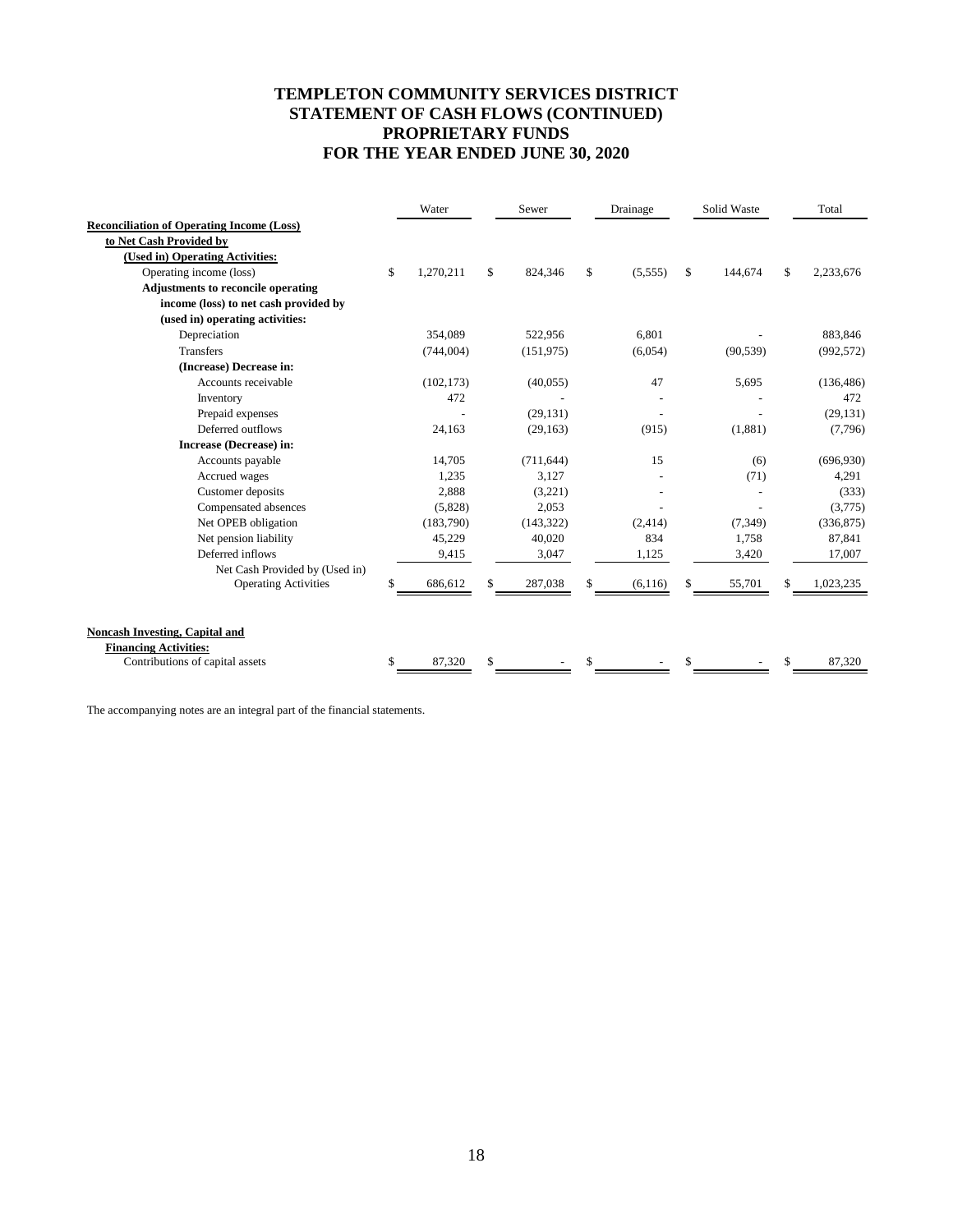# **TEMPLETON COMMUNITY SERVICES DISTRICT STATEMENT OF CASH FLOWS (CONTINUED) PROPRIETARY FUNDS FOR THE YEAR ENDED JUNE 30, 2020**

|                                                  |    | Water      | Sewer |            | Drainage |          | Solid Waste   |           |    |            |  | Total |
|--------------------------------------------------|----|------------|-------|------------|----------|----------|---------------|-----------|----|------------|--|-------|
| <b>Reconciliation of Operating Income (Loss)</b> |    |            |       |            |          |          |               |           |    |            |  |       |
| to Net Cash Provided by                          |    |            |       |            |          |          |               |           |    |            |  |       |
| (Used in) Operating Activities:                  |    |            |       |            |          |          |               |           |    |            |  |       |
| Operating income (loss)                          | \$ | 1,270,211  | \$    | 824,346    | \$       | (5,555)  | <sup>\$</sup> | 144,674   | \$ | 2,233,676  |  |       |
| <b>Adjustments to reconcile operating</b>        |    |            |       |            |          |          |               |           |    |            |  |       |
| income (loss) to net cash provided by            |    |            |       |            |          |          |               |           |    |            |  |       |
| (used in) operating activities:                  |    |            |       |            |          |          |               |           |    |            |  |       |
| Depreciation                                     |    | 354,089    |       | 522,956    |          | 6,801    |               |           |    | 883,846    |  |       |
| <b>Transfers</b>                                 |    | (744,004)  |       | (151, 975) |          | (6,054)  |               | (90, 539) |    | (992, 572) |  |       |
| (Increase) Decrease in:                          |    |            |       |            |          |          |               |           |    |            |  |       |
| Accounts receivable                              |    | (102, 173) |       | (40, 055)  |          | 47       |               | 5,695     |    | (136, 486) |  |       |
| Inventory                                        |    | 472        |       |            |          |          |               |           |    | 472        |  |       |
| Prepaid expenses                                 |    |            |       | (29, 131)  |          |          |               |           |    | (29, 131)  |  |       |
| Deferred outflows                                |    | 24,163     |       | (29, 163)  |          | (915)    |               | (1,881)   |    | (7,796)    |  |       |
| Increase (Decrease) in:                          |    |            |       |            |          |          |               |           |    |            |  |       |
| Accounts payable                                 |    | 14,705     |       | (711, 644) |          | 15       |               | (6)       |    | (696, 930) |  |       |
| Accrued wages                                    |    | 1,235      |       | 3,127      |          |          |               | (71)      |    | 4,291      |  |       |
| Customer deposits                                |    | 2,888      |       | (3,221)    |          |          |               |           |    | (333)      |  |       |
| Compensated absences                             |    | (5,828)    |       | 2,053      |          |          |               |           |    | (3,775)    |  |       |
| Net OPEB obligation                              |    | (183,790)  |       | (143, 322) |          | (2, 414) |               | (7, 349)  |    | (336, 875) |  |       |
| Net pension liability                            |    | 45,229     |       | 40,020     |          | 834      |               | 1,758     |    | 87,841     |  |       |
| Deferred inflows                                 |    | 9,415      |       | 3,047      |          | 1,125    |               | 3,420     |    | 17,007     |  |       |
| Net Cash Provided by (Used in)                   |    |            |       |            |          |          |               |           |    |            |  |       |
| <b>Operating Activities</b>                      | S  | 686,612    | \$    | 287,038    | \$       | (6,116)  | \$            | 55,701    | \$ | 1,023,235  |  |       |
|                                                  |    |            |       |            |          |          |               |           |    |            |  |       |
| <b>Noncash Investing, Capital and</b>            |    |            |       |            |          |          |               |           |    |            |  |       |
| <b>Financing Activities:</b>                     |    |            |       |            |          |          |               |           |    |            |  |       |
| Contributions of capital assets                  | \$ | 87,320     |       |            | \$       |          |               |           |    | 87,320     |  |       |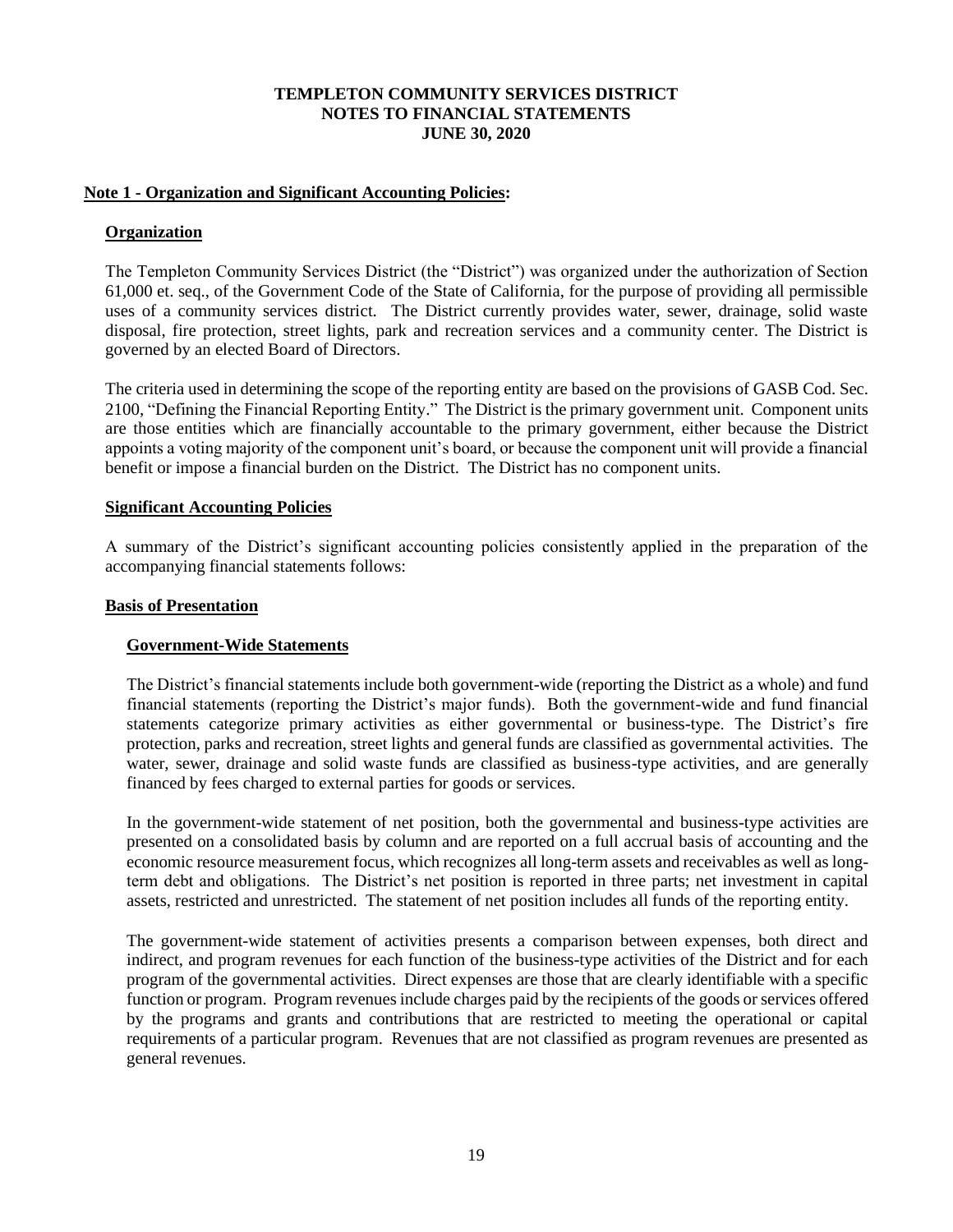## **Note 1 - Organization and Significant Accounting Policies:**

## **Organization**

The Templeton Community Services District (the "District") was organized under the authorization of Section 61,000 et. seq., of the Government Code of the State of California, for the purpose of providing all permissible uses of a community services district. The District currently provides water, sewer, drainage, solid waste disposal, fire protection, street lights, park and recreation services and a community center. The District is governed by an elected Board of Directors.

The criteria used in determining the scope of the reporting entity are based on the provisions of GASB Cod. Sec. 2100, "Defining the Financial Reporting Entity." The District is the primary government unit. Component units are those entities which are financially accountable to the primary government, either because the District appoints a voting majority of the component unit's board, or because the component unit will provide a financial benefit or impose a financial burden on the District. The District has no component units.

## **Significant Accounting Policies**

A summary of the District's significant accounting policies consistently applied in the preparation of the accompanying financial statements follows:

## **Basis of Presentation**

## **Government-Wide Statements**

The District's financial statements include both government-wide (reporting the District as a whole) and fund financial statements (reporting the District's major funds). Both the government-wide and fund financial statements categorize primary activities as either governmental or business-type. The District's fire protection, parks and recreation, street lights and general funds are classified as governmental activities. The water, sewer, drainage and solid waste funds are classified as business-type activities, and are generally financed by fees charged to external parties for goods or services.

In the government-wide statement of net position, both the governmental and business-type activities are presented on a consolidated basis by column and are reported on a full accrual basis of accounting and the economic resource measurement focus, which recognizes all long-term assets and receivables as well as longterm debt and obligations. The District's net position is reported in three parts; net investment in capital assets, restricted and unrestricted. The statement of net position includes all funds of the reporting entity.

The government-wide statement of activities presents a comparison between expenses, both direct and indirect, and program revenues for each function of the business-type activities of the District and for each program of the governmental activities. Direct expenses are those that are clearly identifiable with a specific function or program. Program revenues include charges paid by the recipients of the goods or services offered by the programs and grants and contributions that are restricted to meeting the operational or capital requirements of a particular program. Revenues that are not classified as program revenues are presented as general revenues.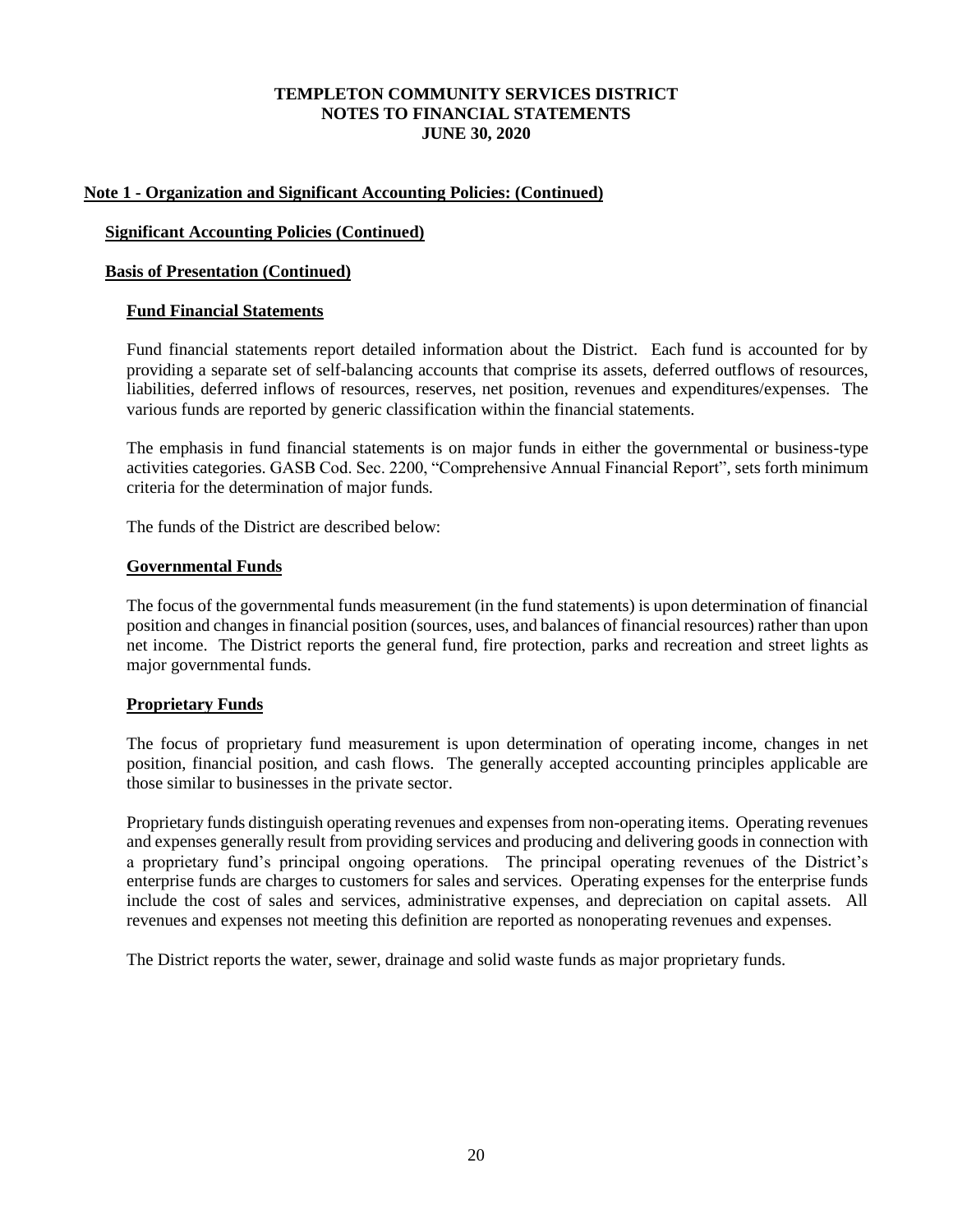## **Note 1 - Organization and Significant Accounting Policies: (Continued)**

## **Significant Accounting Policies (Continued)**

## **Basis of Presentation (Continued)**

## **Fund Financial Statements**

Fund financial statements report detailed information about the District. Each fund is accounted for by providing a separate set of self-balancing accounts that comprise its assets, deferred outflows of resources, liabilities, deferred inflows of resources, reserves, net position, revenues and expenditures/expenses. The various funds are reported by generic classification within the financial statements.

The emphasis in fund financial statements is on major funds in either the governmental or business-type activities categories. GASB Cod. Sec. 2200, "Comprehensive Annual Financial Report", sets forth minimum criteria for the determination of major funds.

The funds of the District are described below:

### **Governmental Funds**

The focus of the governmental funds measurement (in the fund statements) is upon determination of financial position and changes in financial position (sources, uses, and balances of financial resources) rather than upon net income. The District reports the general fund, fire protection, parks and recreation and street lights as major governmental funds.

## **Proprietary Funds**

The focus of proprietary fund measurement is upon determination of operating income, changes in net position, financial position, and cash flows. The generally accepted accounting principles applicable are those similar to businesses in the private sector.

Proprietary funds distinguish operating revenues and expenses from non-operating items. Operating revenues and expenses generally result from providing services and producing and delivering goods in connection with a proprietary fund's principal ongoing operations. The principal operating revenues of the District's enterprise funds are charges to customers for sales and services. Operating expenses for the enterprise funds include the cost of sales and services, administrative expenses, and depreciation on capital assets. All revenues and expenses not meeting this definition are reported as nonoperating revenues and expenses.

The District reports the water, sewer, drainage and solid waste funds as major proprietary funds.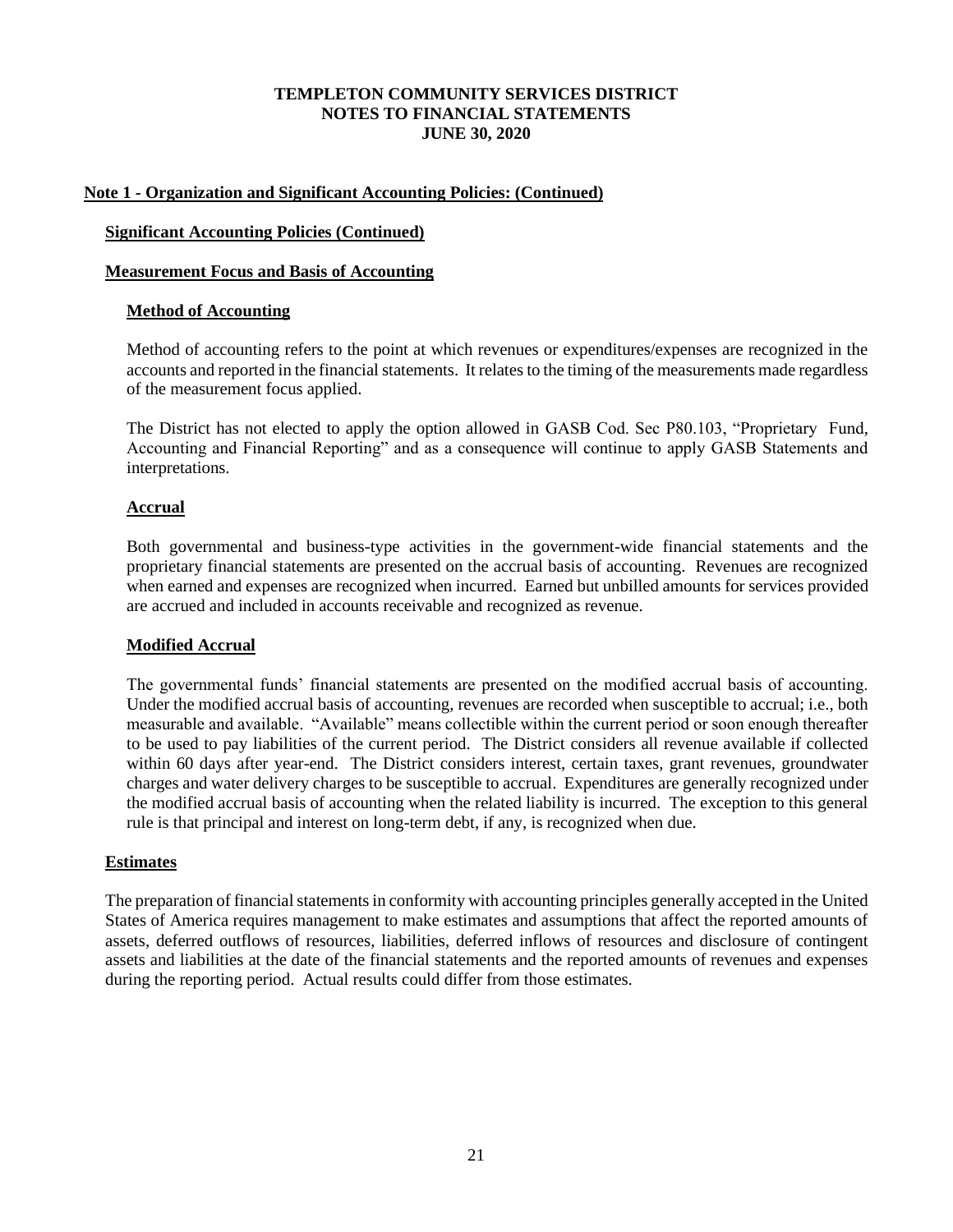## **Note 1 - Organization and Significant Accounting Policies: (Continued)**

## **Significant Accounting Policies (Continued)**

## **Measurement Focus and Basis of Accounting**

## **Method of Accounting**

Method of accounting refers to the point at which revenues or expenditures/expenses are recognized in the accounts and reported in the financial statements. It relates to the timing of the measurements made regardless of the measurement focus applied.

The District has not elected to apply the option allowed in GASB Cod. Sec P80.103, "Proprietary Fund, Accounting and Financial Reporting" and as a consequence will continue to apply GASB Statements and interpretations.

## **Accrual**

Both governmental and business-type activities in the government-wide financial statements and the proprietary financial statements are presented on the accrual basis of accounting. Revenues are recognized when earned and expenses are recognized when incurred. Earned but unbilled amounts for services provided are accrued and included in accounts receivable and recognized as revenue.

## **Modified Accrual**

The governmental funds' financial statements are presented on the modified accrual basis of accounting. Under the modified accrual basis of accounting, revenues are recorded when susceptible to accrual; i.e., both measurable and available. "Available" means collectible within the current period or soon enough thereafter to be used to pay liabilities of the current period. The District considers all revenue available if collected within 60 days after year-end. The District considers interest, certain taxes, grant revenues, groundwater charges and water delivery charges to be susceptible to accrual. Expenditures are generally recognized under the modified accrual basis of accounting when the related liability is incurred. The exception to this general rule is that principal and interest on long-term debt, if any, is recognized when due.

## **Estimates**

The preparation of financial statements in conformity with accounting principles generally accepted in the United States of America requires management to make estimates and assumptions that affect the reported amounts of assets, deferred outflows of resources, liabilities, deferred inflows of resources and disclosure of contingent assets and liabilities at the date of the financial statements and the reported amounts of revenues and expenses during the reporting period. Actual results could differ from those estimates.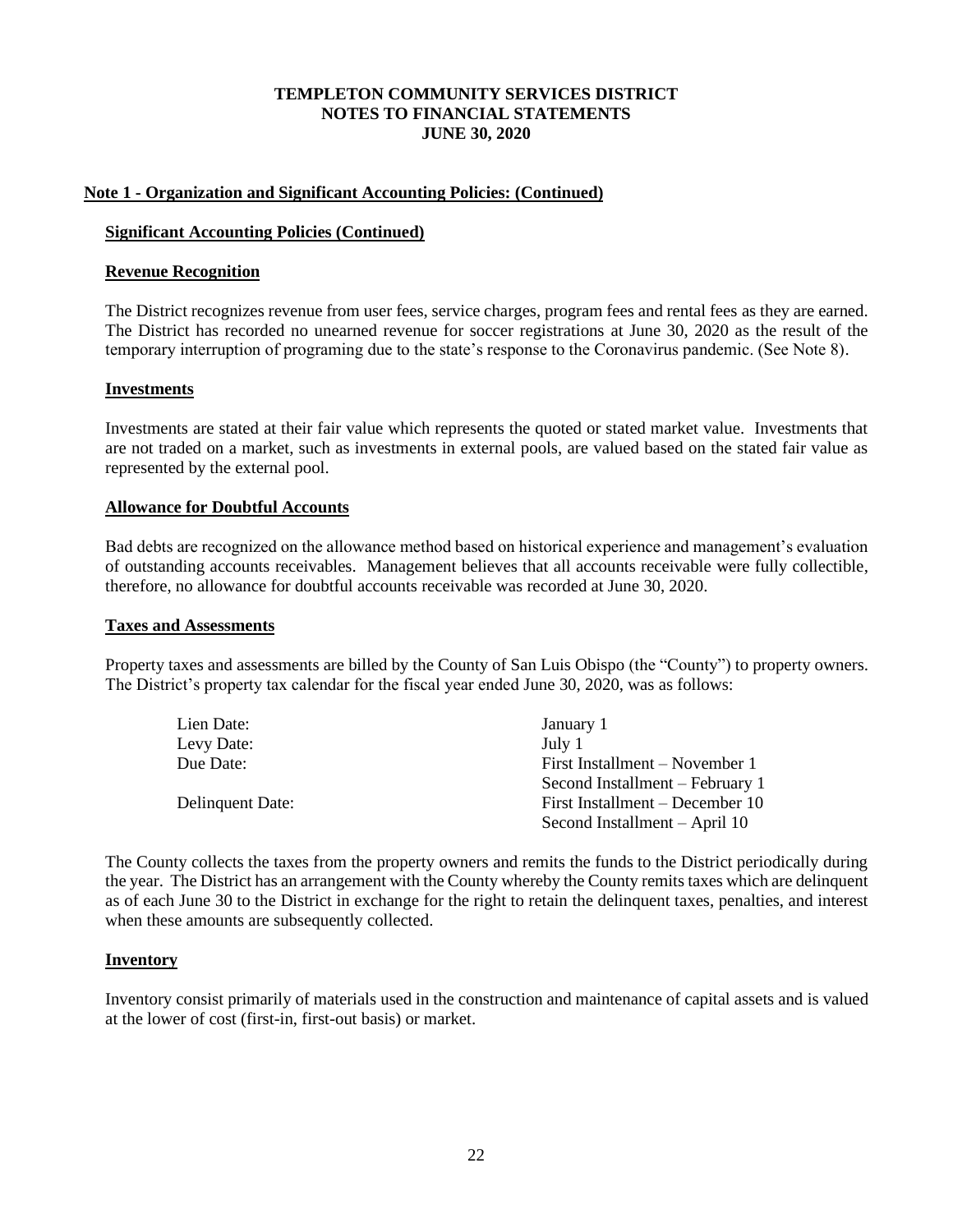## **Note 1 - Organization and Significant Accounting Policies: (Continued)**

### **Significant Accounting Policies (Continued)**

### **Revenue Recognition**

The District recognizes revenue from user fees, service charges, program fees and rental fees as they are earned. The District has recorded no unearned revenue for soccer registrations at June 30, 2020 as the result of the temporary interruption of programing due to the state's response to the Coronavirus pandemic. (See Note 8).

### **Investments**

Investments are stated at their fair value which represents the quoted or stated market value. Investments that are not traded on a market, such as investments in external pools, are valued based on the stated fair value as represented by the external pool.

### **Allowance for Doubtful Accounts**

Bad debts are recognized on the allowance method based on historical experience and management's evaluation of outstanding accounts receivables. Management believes that all accounts receivable were fully collectible, therefore, no allowance for doubtful accounts receivable was recorded at June 30, 2020.

### **Taxes and Assessments**

Property taxes and assessments are billed by the County of San Luis Obispo (the "County") to property owners. The District's property tax calendar for the fiscal year ended June 30, 2020, was as follows:

| Lien Date:       | January 1                       |
|------------------|---------------------------------|
| Levy Date:       | July 1                          |
| Due Date:        | First Installment – November 1  |
|                  | Second Installment – February 1 |
| Delinquent Date: | First Installment – December 10 |
|                  | Second Installment – April 10   |

The County collects the taxes from the property owners and remits the funds to the District periodically during the year. The District has an arrangement with the County whereby the County remits taxes which are delinquent as of each June 30 to the District in exchange for the right to retain the delinquent taxes, penalties, and interest when these amounts are subsequently collected.

### **Inventory**

Inventory consist primarily of materials used in the construction and maintenance of capital assets and is valued at the lower of cost (first-in, first-out basis) or market.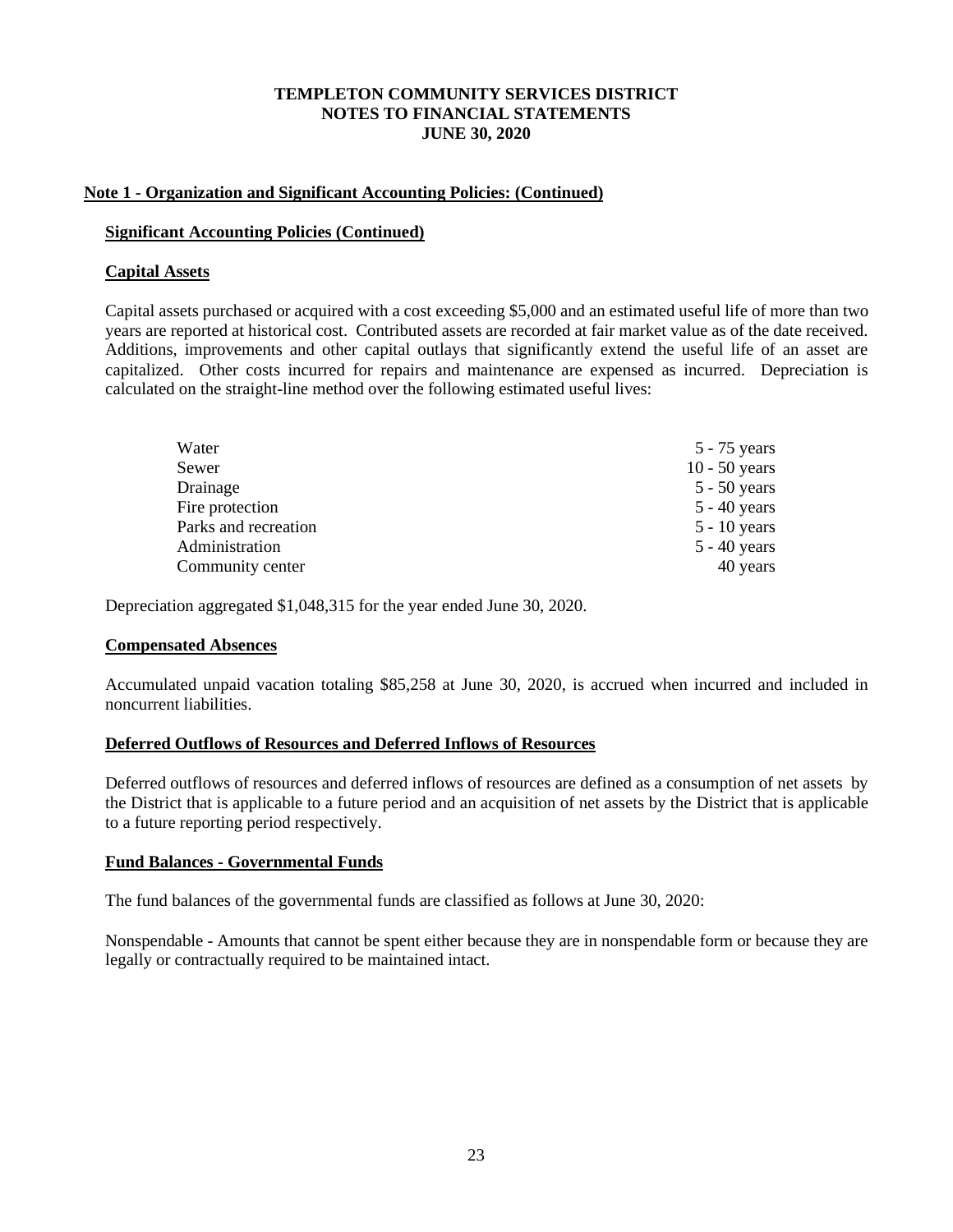## **Note 1 - Organization and Significant Accounting Policies: (Continued)**

### **Significant Accounting Policies (Continued)**

## **Capital Assets**

Capital assets purchased or acquired with a cost exceeding \$5,000 and an estimated useful life of more than two years are reported at historical cost. Contributed assets are recorded at fair market value as of the date received. Additions, improvements and other capital outlays that significantly extend the useful life of an asset are capitalized. Other costs incurred for repairs and maintenance are expensed as incurred. Depreciation is calculated on the straight-line method over the following estimated useful lives:

| Water                | $5 - 75$ years  |
|----------------------|-----------------|
| Sewer                | $10 - 50$ years |
| Drainage             | $5 - 50$ years  |
| Fire protection      | $5 - 40$ years  |
| Parks and recreation | $5 - 10$ years  |
| Administration       | $5 - 40$ years  |
| Community center     | 40 years        |

Depreciation aggregated \$1,048,315 for the year ended June 30, 2020.

## **Compensated Absences**

Accumulated unpaid vacation totaling \$85,258 at June 30, 2020, is accrued when incurred and included in noncurrent liabilities.

## **Deferred Outflows of Resources and Deferred Inflows of Resources**

Deferred outflows of resources and deferred inflows of resources are defined as a consumption of net assets by the District that is applicable to a future period and an acquisition of net assets by the District that is applicable to a future reporting period respectively.

## **Fund Balances - Governmental Funds**

The fund balances of the governmental funds are classified as follows at June 30, 2020:

Nonspendable - Amounts that cannot be spent either because they are in nonspendable form or because they are legally or contractually required to be maintained intact.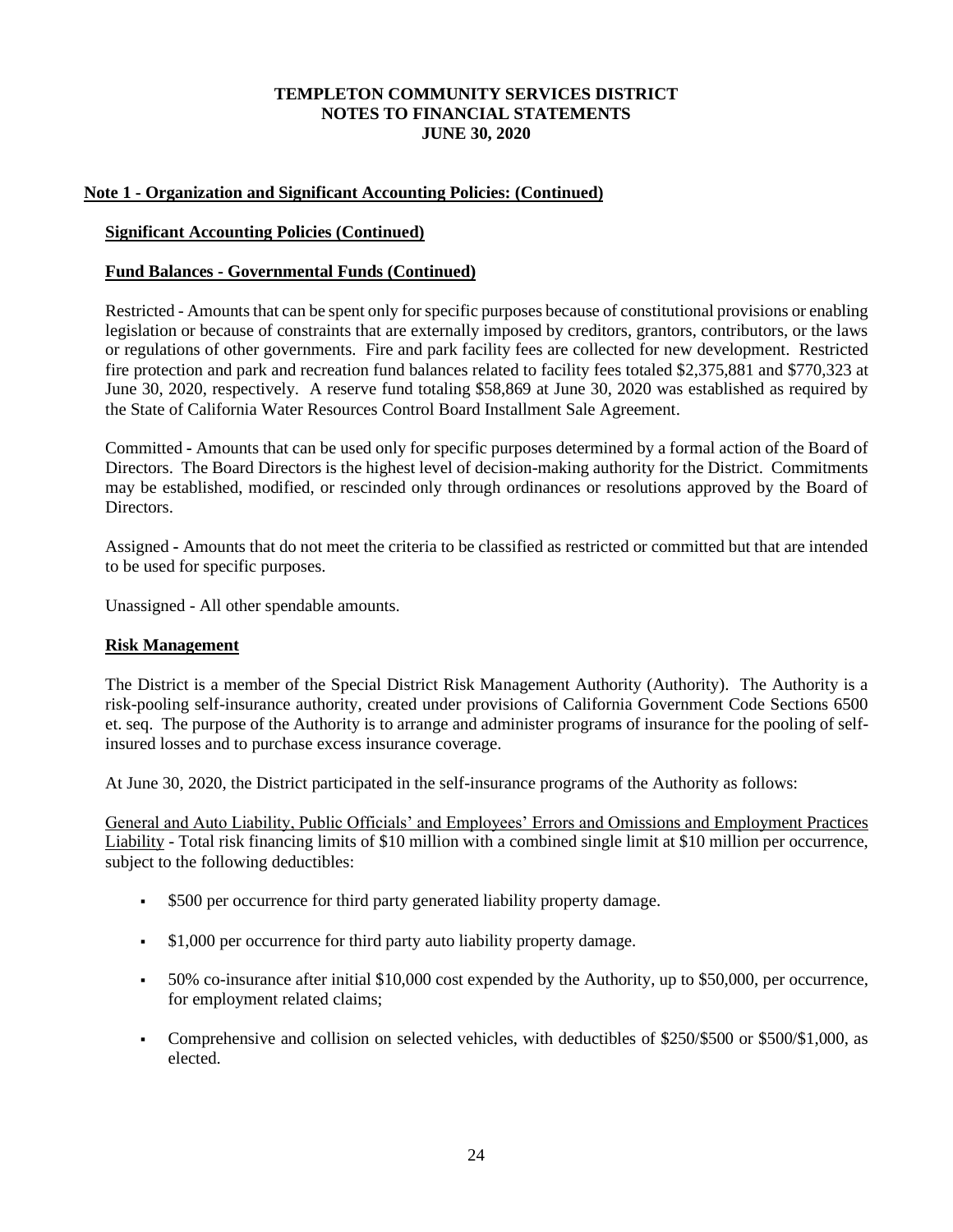# **Note 1 - Organization and Significant Accounting Policies: (Continued)**

## **Significant Accounting Policies (Continued)**

## **Fund Balances - Governmental Funds (Continued)**

Restricted - Amounts that can be spent only for specific purposes because of constitutional provisions or enabling legislation or because of constraints that are externally imposed by creditors, grantors, contributors, or the laws or regulations of other governments. Fire and park facility fees are collected for new development. Restricted fire protection and park and recreation fund balances related to facility fees totaled \$2,375,881 and \$770,323 at June 30, 2020, respectively. A reserve fund totaling \$58,869 at June 30, 2020 was established as required by the State of California Water Resources Control Board Installment Sale Agreement.

Committed **-** Amounts that can be used only for specific purposes determined by a formal action of the Board of Directors. The Board Directors is the highest level of decision-making authority for the District. Commitments may be established, modified, or rescinded only through ordinances or resolutions approved by the Board of Directors.

Assigned **-** Amounts that do not meet the criteria to be classified as restricted or committed but that are intended to be used for specific purposes.

Unassigned - All other spendable amounts.

## **Risk Management**

The District is a member of the Special District Risk Management Authority (Authority). The Authority is a risk-pooling self-insurance authority, created under provisions of California Government Code Sections 6500 et. seq. The purpose of the Authority is to arrange and administer programs of insurance for the pooling of selfinsured losses and to purchase excess insurance coverage.

At June 30, 2020, the District participated in the self-insurance programs of the Authority as follows:

General and Auto Liability, Public Officials' and Employees' Errors and Omissions and Employment Practices Liability - Total risk financing limits of \$10 million with a combined single limit at \$10 million per occurrence, subject to the following deductibles:

- \$500 per occurrence for third party generated liability property damage.
- \$1,000 per occurrence for third party auto liability property damage.
- 50% co-insurance after initial \$10,000 cost expended by the Authority, up to \$50,000, per occurrence, for employment related claims;
- Comprehensive and collision on selected vehicles, with deductibles of \$250/\$500 or \$500/\$1,000, as elected.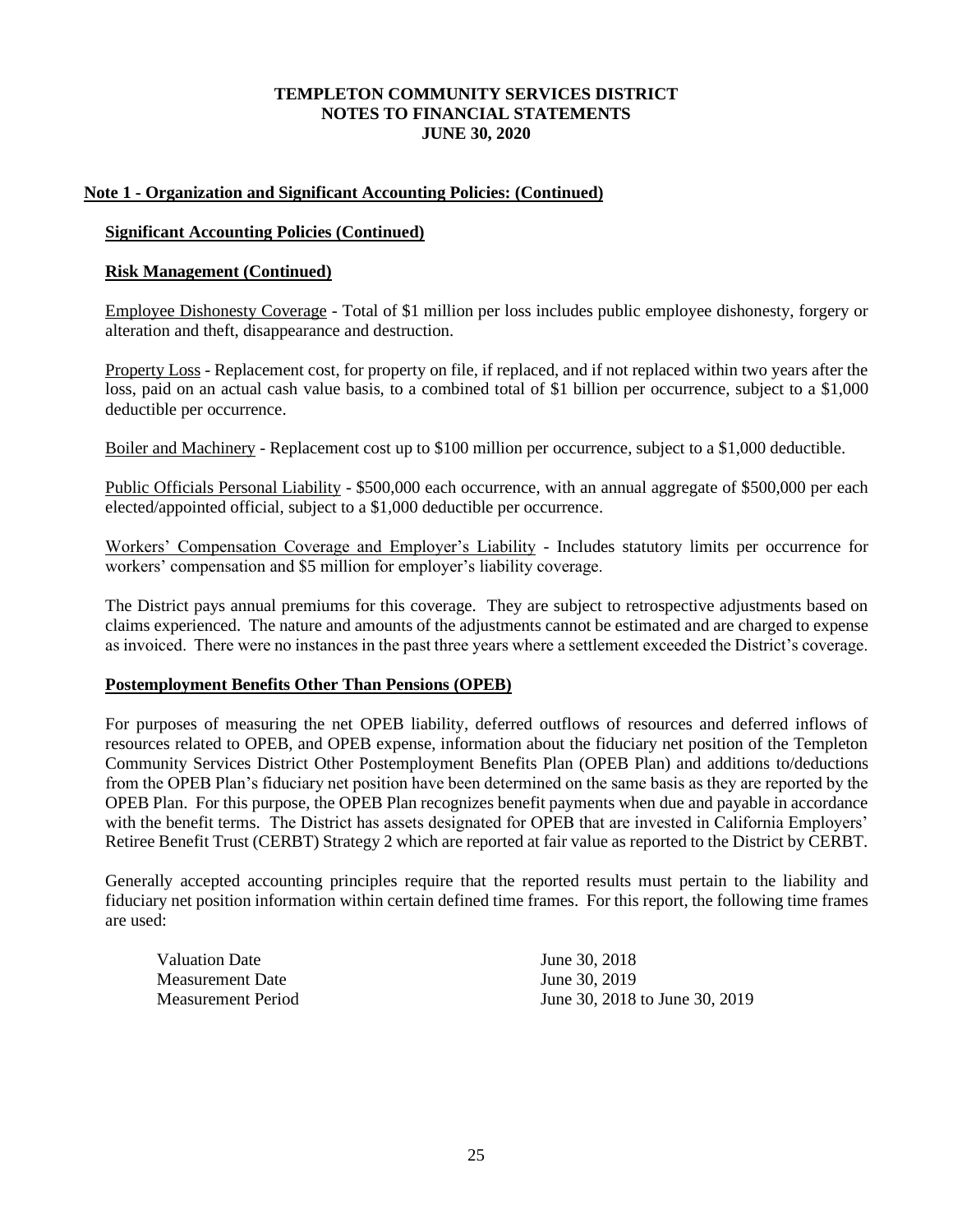## **Note 1 - Organization and Significant Accounting Policies: (Continued)**

## **Significant Accounting Policies (Continued)**

## **Risk Management (Continued)**

Employee Dishonesty Coverage - Total of \$1 million per loss includes public employee dishonesty, forgery or alteration and theft, disappearance and destruction.

Property Loss - Replacement cost, for property on file, if replaced, and if not replaced within two years after the loss, paid on an actual cash value basis, to a combined total of \$1 billion per occurrence, subject to a \$1,000 deductible per occurrence.

Boiler and Machinery - Replacement cost up to \$100 million per occurrence, subject to a \$1,000 deductible.

Public Officials Personal Liability - \$500,000 each occurrence, with an annual aggregate of \$500,000 per each elected/appointed official, subject to a \$1,000 deductible per occurrence.

Workers' Compensation Coverage and Employer's Liability - Includes statutory limits per occurrence for workers' compensation and \$5 million for employer's liability coverage.

The District pays annual premiums for this coverage. They are subject to retrospective adjustments based on claims experienced. The nature and amounts of the adjustments cannot be estimated and are charged to expense as invoiced. There were no instances in the past three years where a settlement exceeded the District's coverage.

## **Postemployment Benefits Other Than Pensions (OPEB)**

For purposes of measuring the net OPEB liability, deferred outflows of resources and deferred inflows of resources related to OPEB, and OPEB expense, information about the fiduciary net position of the Templeton Community Services District Other Postemployment Benefits Plan (OPEB Plan) and additions to/deductions from the OPEB Plan's fiduciary net position have been determined on the same basis as they are reported by the OPEB Plan. For this purpose, the OPEB Plan recognizes benefit payments when due and payable in accordance with the benefit terms. The District has assets designated for OPEB that are invested in California Employers' Retiree Benefit Trust (CERBT) Strategy 2 which are reported at fair value as reported to the District by CERBT.

Generally accepted accounting principles require that the reported results must pertain to the liability and fiduciary net position information within certain defined time frames. For this report, the following time frames are used:

| Valuation Date     | June 30, 2018                  |
|--------------------|--------------------------------|
| Measurement Date   | June 30, 2019                  |
| Measurement Period | June 30, 2018 to June 30, 2019 |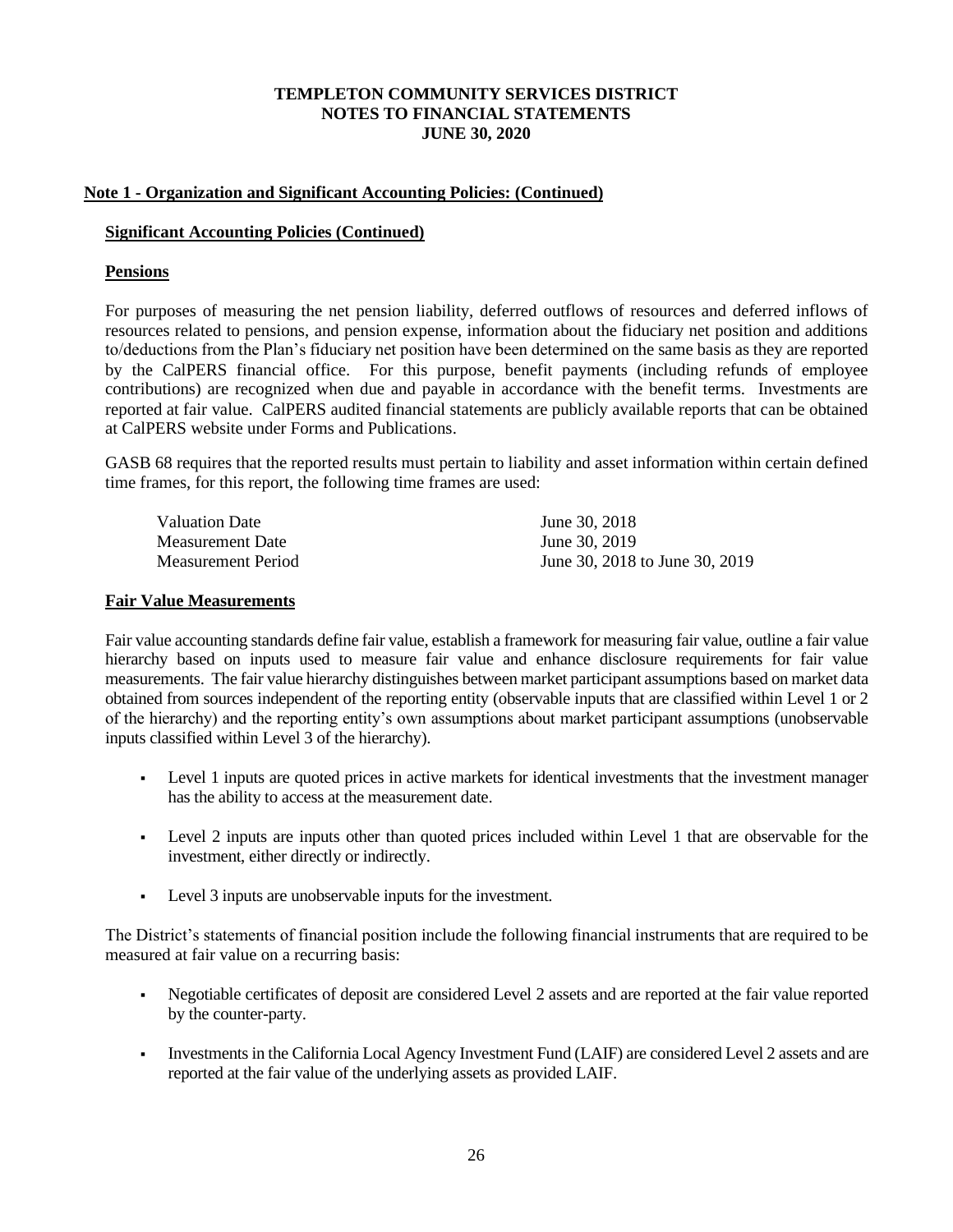## **Note 1 - Organization and Significant Accounting Policies: (Continued)**

## **Significant Accounting Policies (Continued)**

## **Pensions**

For purposes of measuring the net pension liability, deferred outflows of resources and deferred inflows of resources related to pensions, and pension expense, information about the fiduciary net position and additions to/deductions from the Plan's fiduciary net position have been determined on the same basis as they are reported by the CalPERS financial office. For this purpose, benefit payments (including refunds of employee contributions) are recognized when due and payable in accordance with the benefit terms. Investments are reported at fair value. CalPERS audited financial statements are publicly available reports that can be obtained at CalPERS website under Forms and Publications.

GASB 68 requires that the reported results must pertain to liability and asset information within certain defined time frames, for this report, the following time frames are used:

| <b>Valuation Date</b> | June 30, 2018                  |
|-----------------------|--------------------------------|
| Measurement Date      | June 30, 2019                  |
| Measurement Period    | June 30, 2018 to June 30, 2019 |

### **Fair Value Measurements**

Fair value accounting standards define fair value, establish a framework for measuring fair value, outline a fair value hierarchy based on inputs used to measure fair value and enhance disclosure requirements for fair value measurements. The fair value hierarchy distinguishes between market participant assumptions based on market data obtained from sources independent of the reporting entity (observable inputs that are classified within Level 1 or 2 of the hierarchy) and the reporting entity's own assumptions about market participant assumptions (unobservable inputs classified within Level 3 of the hierarchy).

- Level 1 inputs are quoted prices in active markets for identical investments that the investment manager has the ability to access at the measurement date.
- Level 2 inputs are inputs other than quoted prices included within Level 1 that are observable for the investment, either directly or indirectly.
- Level 3 inputs are unobservable inputs for the investment.

The District's statements of financial position include the following financial instruments that are required to be measured at fair value on a recurring basis:

- Negotiable certificates of deposit are considered Level 2 assets and are reported at the fair value reported by the counter-party.
- Investments in the California Local Agency Investment Fund (LAIF) are considered Level 2 assets and are reported at the fair value of the underlying assets as provided LAIF.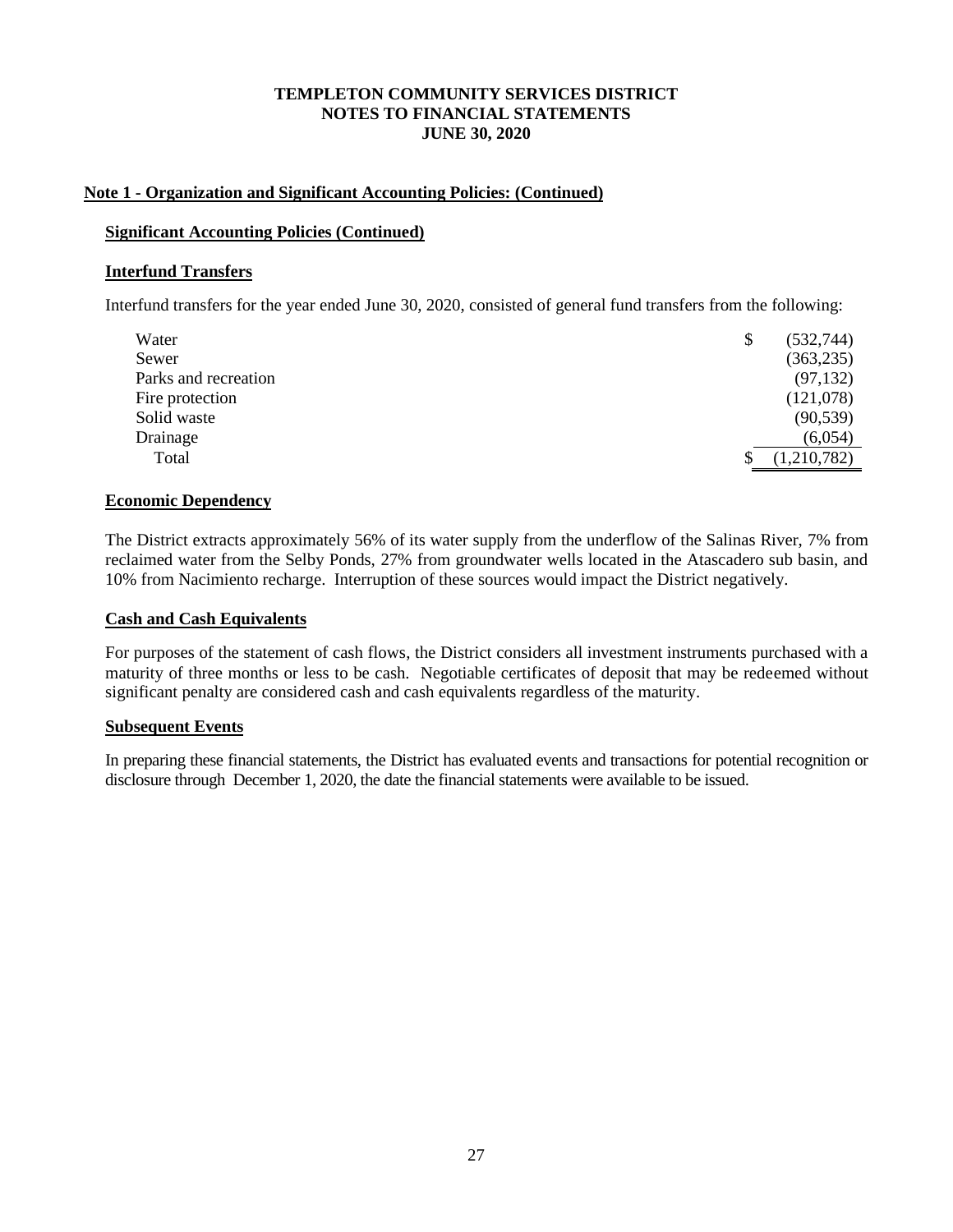## **Note 1 - Organization and Significant Accounting Policies: (Continued)**

### **Significant Accounting Policies (Continued)**

### **Interfund Transfers**

Interfund transfers for the year ended June 30, 2020, consisted of general fund transfers from the following:

| Water                | \$<br>(532,744) |
|----------------------|-----------------|
| Sewer                | (363, 235)      |
| Parks and recreation | (97, 132)       |
| Fire protection      | (121,078)       |
| Solid waste          | (90, 539)       |
| Drainage             | (6,054)         |
| Total                | (1,210,782)     |

### **Economic Dependency**

The District extracts approximately 56% of its water supply from the underflow of the Salinas River, 7% from reclaimed water from the Selby Ponds, 27% from groundwater wells located in the Atascadero sub basin, and 10% from Nacimiento recharge. Interruption of these sources would impact the District negatively.

#### **Cash and Cash Equivalents**

For purposes of the statement of cash flows, the District considers all investment instruments purchased with a maturity of three months or less to be cash. Negotiable certificates of deposit that may be redeemed without significant penalty are considered cash and cash equivalents regardless of the maturity.

### **Subsequent Events**

In preparing these financial statements, the District has evaluated events and transactions for potential recognition or disclosure through December 1, 2020, the date the financial statements were available to be issued.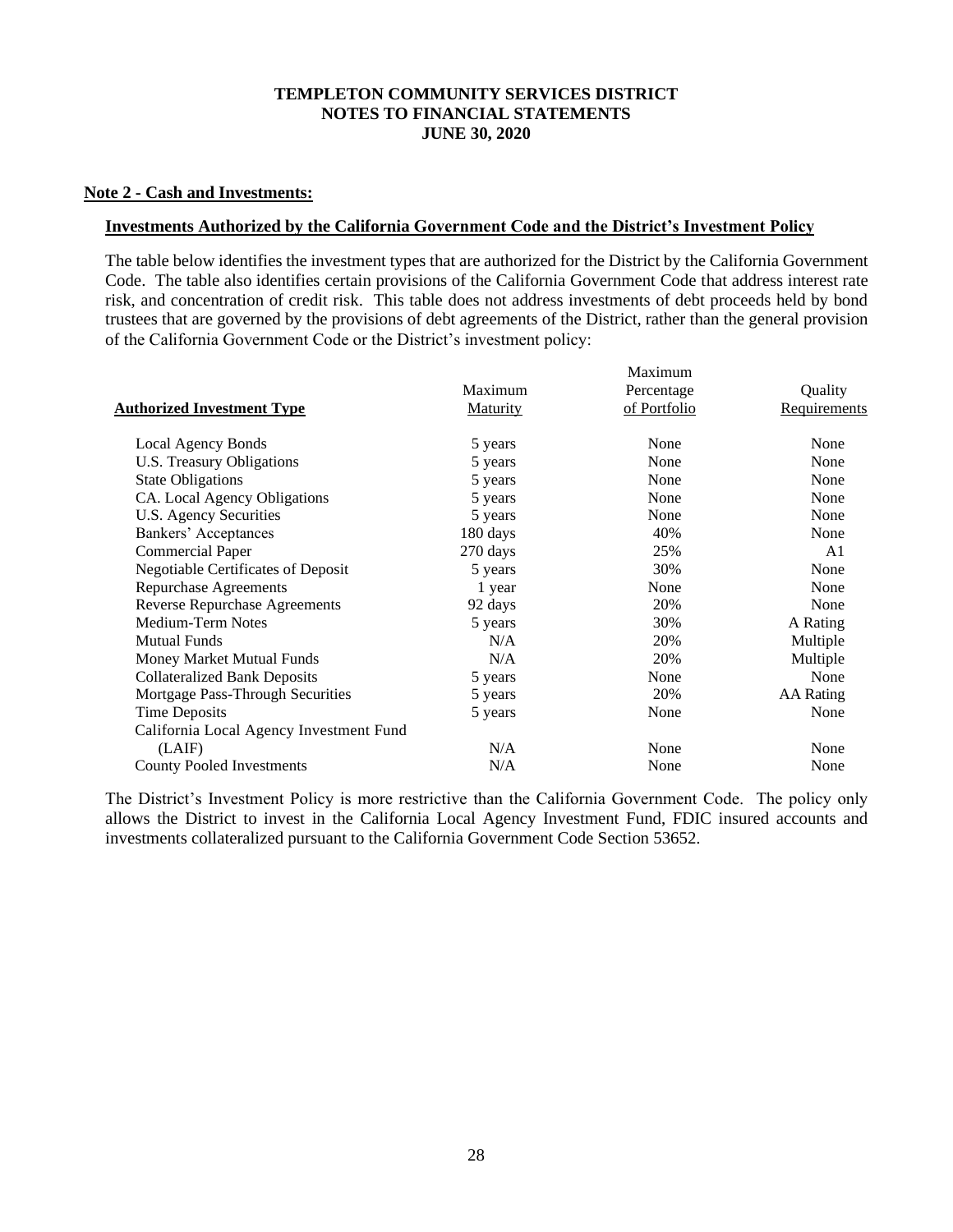### **Note 2 - Cash and Investments:**

### **Investments Authorized by the California Government Code and the District's Investment Policy**

The table below identifies the investment types that are authorized for the District by the California Government Code. The table also identifies certain provisions of the California Government Code that address interest rate risk, and concentration of credit risk. This table does not address investments of debt proceeds held by bond trustees that are governed by the provisions of debt agreements of the District, rather than the general provision of the California Government Code or the District's investment policy:

|          | Maximum      |                  |
|----------|--------------|------------------|
| Maximum  | Percentage   | Quality          |
| Maturity | of Portfolio | Requirements     |
| 5 years  | None         | None             |
| 5 years  | None         | None             |
| 5 years  | None         | None             |
| 5 years  | None         | None             |
| 5 years  | None         | None             |
| 180 days | 40%          | None             |
| 270 days | 25%          | A <sub>1</sub>   |
| 5 years  | 30%          | None             |
| 1 year   | None         | None             |
| 92 days  | 20%          | None             |
| 5 years  | 30%          | A Rating         |
| N/A      | 20%          | Multiple         |
| N/A      | 20%          | Multiple         |
| 5 years  | None         | None             |
|          | 20%          | <b>AA</b> Rating |
| 5 years  | None         | None             |
|          |              |                  |
| N/A      | None         | None             |
| N/A      | None         | None             |
|          | 5 years      |                  |

The District's Investment Policy is more restrictive than the California Government Code. The policy only allows the District to invest in the California Local Agency Investment Fund, FDIC insured accounts and investments collateralized pursuant to the California Government Code Section 53652.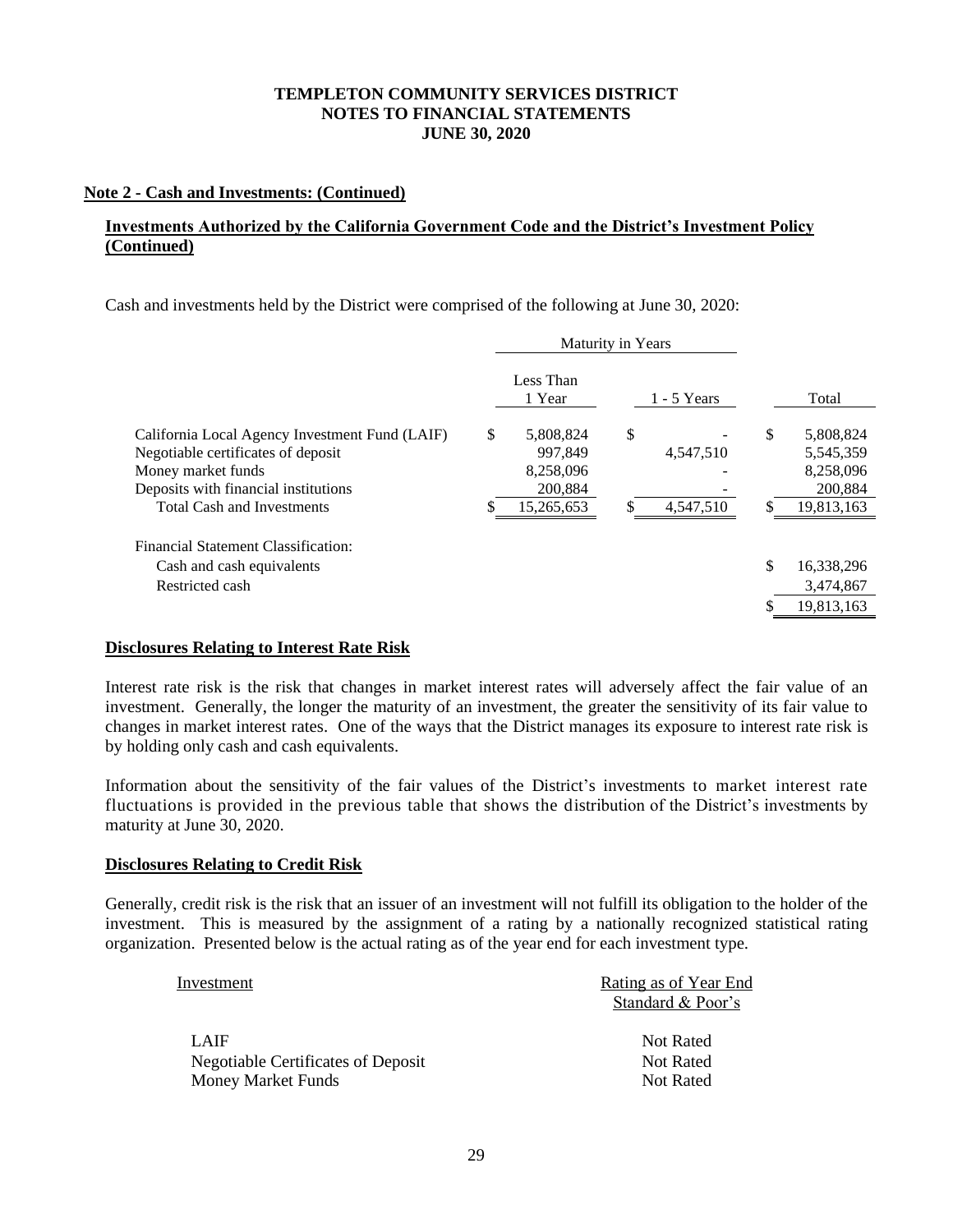## **Note 2 - Cash and Investments: (Continued)**

# **Investments Authorized by the California Government Code and the District's Investment Policy (Continued)**

Cash and investments held by the District were comprised of the following at June 30, 2020:

|                                                                                                                                                                                         |         | Maturity in Years                                          |                              |          |                                                              |
|-----------------------------------------------------------------------------------------------------------------------------------------------------------------------------------------|---------|------------------------------------------------------------|------------------------------|----------|--------------------------------------------------------------|
|                                                                                                                                                                                         |         | Less Than<br>1 Year                                        | $1 - 5$ Years                |          | Total                                                        |
| California Local Agency Investment Fund (LAIF)<br>Negotiable certificates of deposit<br>Money market funds<br>Deposits with financial institutions<br><b>Total Cash and Investments</b> | \$<br>S | 5,808,824<br>997.849<br>8,258,096<br>200,884<br>15,265,653 | \$<br>4,547,510<br>4,547,510 | \$<br>\$ | 5,808,824<br>5,545,359<br>8,258,096<br>200,884<br>19,813,163 |
| Financial Statement Classification:<br>Cash and cash equivalents<br>Restricted cash                                                                                                     |         |                                                            |                              | \$       | 16,338,296<br>3,474,867<br>19,813,163                        |

## **Disclosures Relating to Interest Rate Risk**

Interest rate risk is the risk that changes in market interest rates will adversely affect the fair value of an investment. Generally, the longer the maturity of an investment, the greater the sensitivity of its fair value to changes in market interest rates. One of the ways that the District manages its exposure to interest rate risk is by holding only cash and cash equivalents.

Information about the sensitivity of the fair values of the District's investments to market interest rate fluctuations is provided in the previous table that shows the distribution of the District's investments by maturity at June 30, 2020.

## **Disclosures Relating to Credit Risk**

Generally, credit risk is the risk that an issuer of an investment will not fulfill its obligation to the holder of the investment. This is measured by the assignment of a rating by a nationally recognized statistical rating organization. Presented below is the actual rating as of the year end for each investment type.

| Investment                         | Rating as of Year End |
|------------------------------------|-----------------------|
|                                    | Standard & Poor's     |
| LAIF                               | Not Rated             |
| Negotiable Certificates of Deposit | Not Rated             |
| <b>Money Market Funds</b>          | Not Rated             |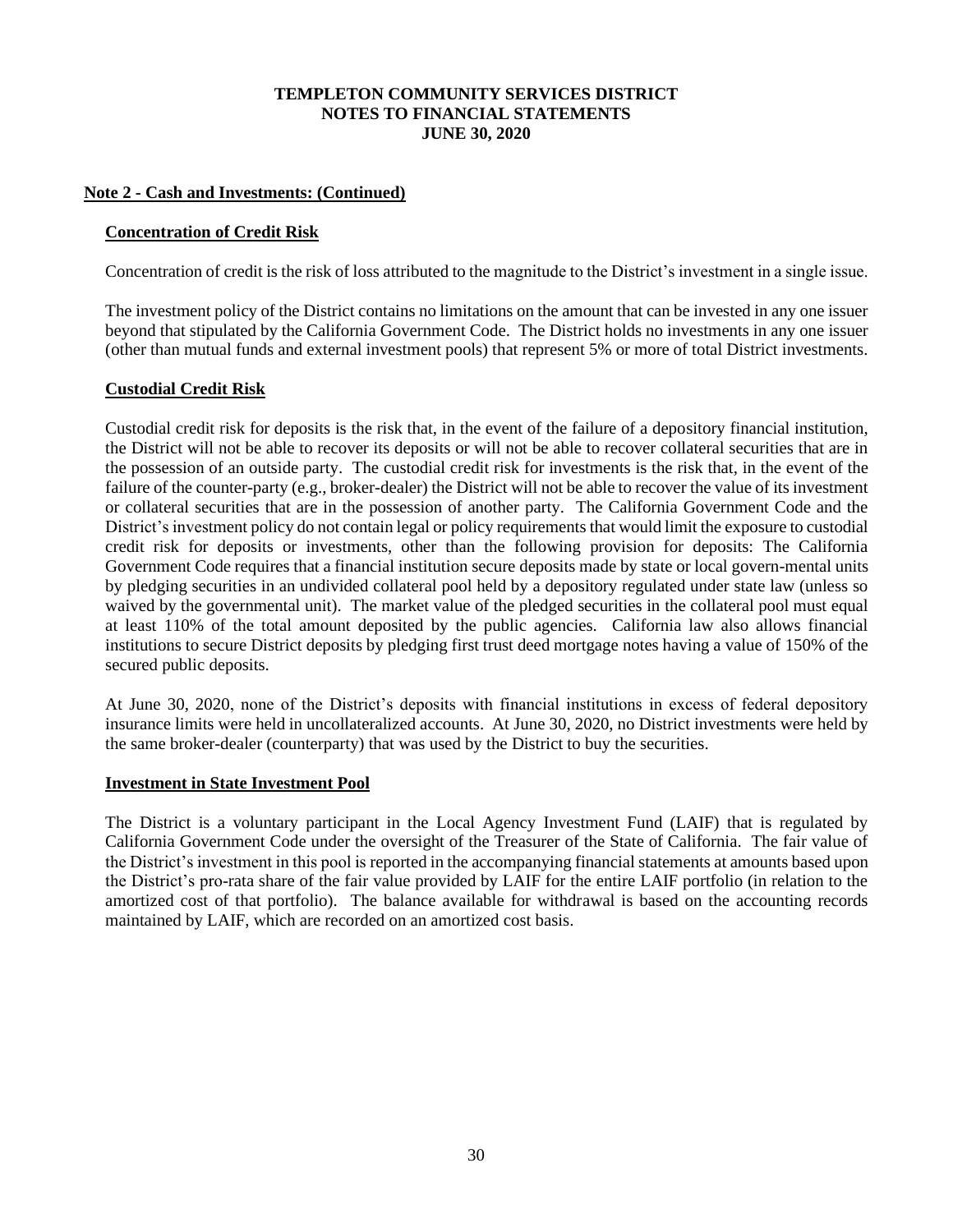# **Note 2 - Cash and Investments: (Continued)**

## **Concentration of Credit Risk**

Concentration of credit is the risk of loss attributed to the magnitude to the District's investment in a single issue.

The investment policy of the District contains no limitations on the amount that can be invested in any one issuer beyond that stipulated by the California Government Code. The District holds no investments in any one issuer (other than mutual funds and external investment pools) that represent 5% or more of total District investments.

# **Custodial Credit Risk**

Custodial credit risk for deposits is the risk that, in the event of the failure of a depository financial institution, the District will not be able to recover its deposits or will not be able to recover collateral securities that are in the possession of an outside party. The custodial credit risk for investments is the risk that, in the event of the failure of the counter-party (e.g., broker-dealer) the District will not be able to recover the value of its investment or collateral securities that are in the possession of another party. The California Government Code and the District's investment policy do not contain legal or policy requirements that would limit the exposure to custodial credit risk for deposits or investments, other than the following provision for deposits: The California Government Code requires that a financial institution secure deposits made by state or local govern-mental units by pledging securities in an undivided collateral pool held by a depository regulated under state law (unless so waived by the governmental unit). The market value of the pledged securities in the collateral pool must equal at least 110% of the total amount deposited by the public agencies. California law also allows financial institutions to secure District deposits by pledging first trust deed mortgage notes having a value of 150% of the secured public deposits.

At June 30, 2020, none of the District's deposits with financial institutions in excess of federal depository insurance limits were held in uncollateralized accounts. At June 30, 2020, no District investments were held by the same broker-dealer (counterparty) that was used by the District to buy the securities.

## **Investment in State Investment Pool**

The District is a voluntary participant in the Local Agency Investment Fund (LAIF) that is regulated by California Government Code under the oversight of the Treasurer of the State of California. The fair value of the District's investment in this pool is reported in the accompanying financial statements at amounts based upon the District's pro-rata share of the fair value provided by LAIF for the entire LAIF portfolio (in relation to the amortized cost of that portfolio). The balance available for withdrawal is based on the accounting records maintained by LAIF, which are recorded on an amortized cost basis.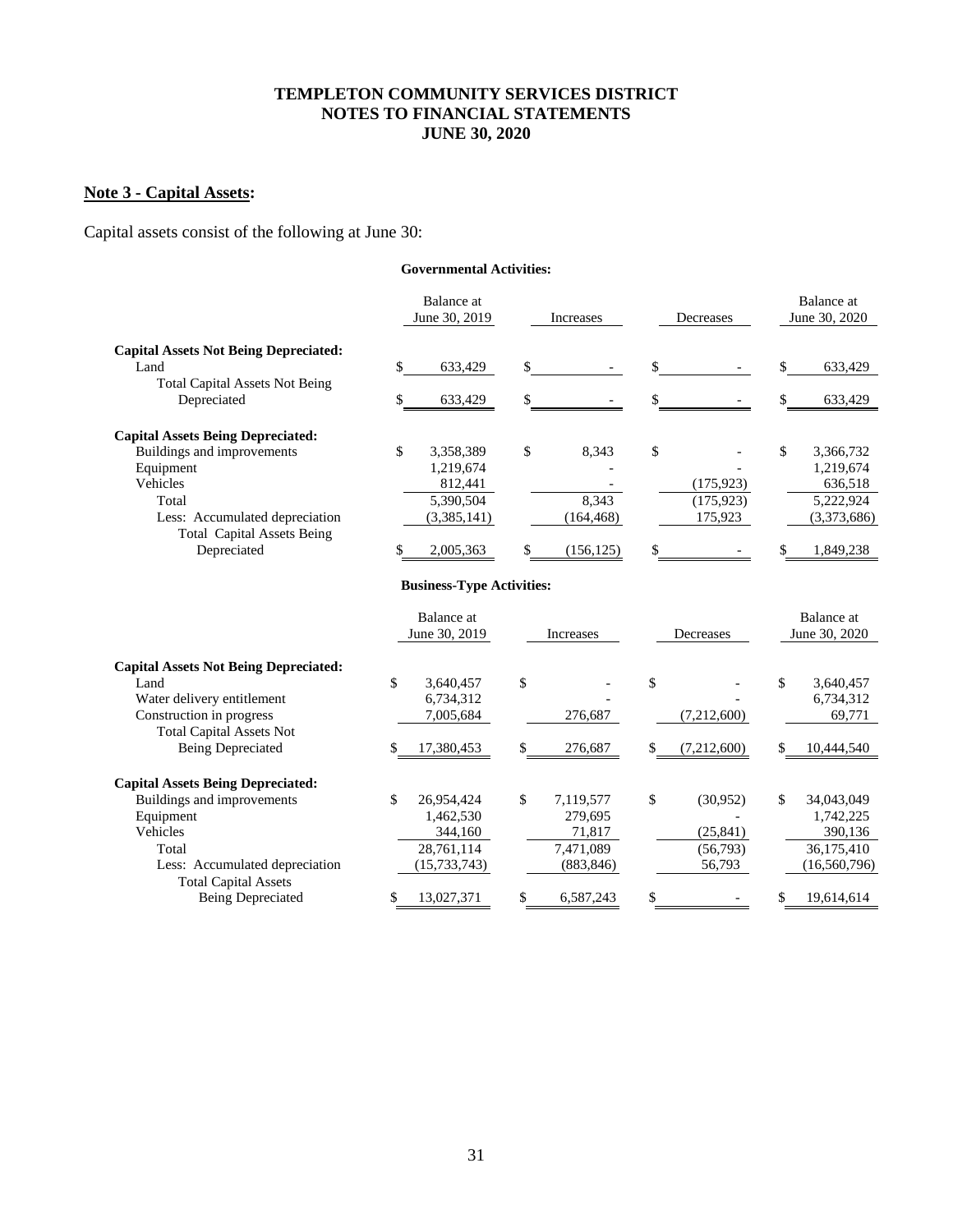# **Note 3 - Capital Assets:**

Capital assets consist of the following at June 30:

#### **Governmental Activities:**

|                                              | Balance at<br>June 30, 2019 | Increases        | Decreases  | Balance at<br>June 30, 2020 |
|----------------------------------------------|-----------------------------|------------------|------------|-----------------------------|
| <b>Capital Assets Not Being Depreciated:</b> |                             |                  |            |                             |
| Land                                         | 633,429                     | \$               |            | 633,429                     |
| <b>Total Capital Assets Not Being</b>        |                             |                  |            |                             |
| Depreciated                                  | 633,429                     | \$               |            | 633,429                     |
| <b>Capital Assets Being Depreciated:</b>     |                             |                  |            |                             |
| Buildings and improvements                   | 3,358,389                   | \$<br>8.343      | \$         | \$<br>3,366,732             |
| Equipment                                    | 1.219.674                   |                  |            | 1,219,674                   |
| Vehicles                                     | 812.441                     |                  | (175, 923) | 636,518                     |
| Total                                        | 5,390,504                   | 8.343            | (175, 923) | 5,222,924                   |
| Less: Accumulated depreciation               | (3,385,141)                 | (164, 468)       | 175,923    | (3,373,686)                 |
| <b>Total Capital Assets Being</b>            |                             |                  |            |                             |
| Depreciated                                  | 2,005,363                   | \$<br>(156, 125) |            | 1.849.238                   |

### **Business-Type Activities:**

|                                                                                                          | Balance at<br>June 30, 2019                            |     | Increases                                   |    | Decreases                         | Balance at<br>June 30, 2020                            |
|----------------------------------------------------------------------------------------------------------|--------------------------------------------------------|-----|---------------------------------------------|----|-----------------------------------|--------------------------------------------------------|
| <b>Capital Assets Not Being Depreciated:</b>                                                             |                                                        |     |                                             |    |                                   |                                                        |
| Land                                                                                                     | \$<br>3,640,457                                        | \$  |                                             | \$ |                                   | \$<br>3,640,457                                        |
| Water delivery entitlement                                                                               | 6,734,312                                              |     |                                             |    |                                   | 6,734,312                                              |
| Construction in progress                                                                                 | 7,005,684                                              |     | 276,687                                     |    | (7,212,600)                       | 69,771                                                 |
| <b>Total Capital Assets Not</b>                                                                          |                                                        |     |                                             |    |                                   |                                                        |
| <b>Being Depreciated</b>                                                                                 | 17,380,453                                             | \$. | 276,687                                     | S. | (7,212,600)                       | 10,444,540                                             |
| <b>Capital Assets Being Depreciated:</b><br>Buildings and improvements<br>Equipment<br>Vehicles<br>Total | \$<br>26,954,424<br>1,462,530<br>344,160<br>28,761,114 | \$  | 7,119,577<br>279,695<br>71,817<br>7,471,089 | \$ | (30,952)<br>(25, 841)<br>(56,793) | \$<br>34,043,049<br>1,742,225<br>390,136<br>36,175,410 |
| Less: Accumulated depreciation                                                                           | (15, 733, 743)                                         |     | (883, 846)                                  |    | 56,793                            | (16, 560, 796)                                         |
| <b>Total Capital Assets</b><br><b>Being Depreciated</b>                                                  | 13,027,371                                             |     | 6,587,243                                   |    |                                   | 19,614,614                                             |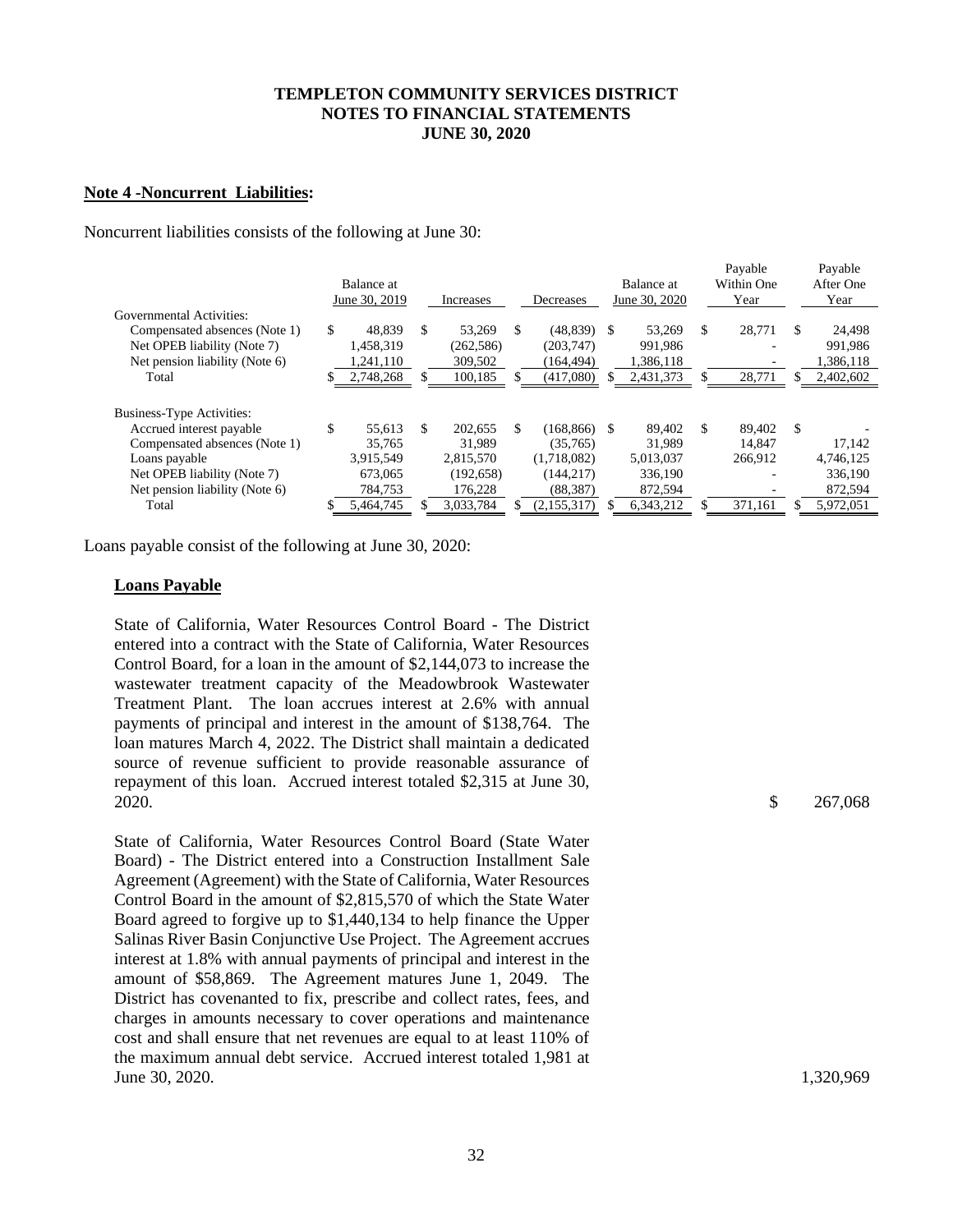### **Note 4 -Noncurrent Liabilities:**

Noncurrent liabilities consists of the following at June 30:

|                                |     | Balance at    |     |            |     |                 | Balance at    |     | Payable<br>Within One |               | Payable<br>After One |
|--------------------------------|-----|---------------|-----|------------|-----|-----------------|---------------|-----|-----------------------|---------------|----------------------|
|                                |     | June 30, 2019 |     | Increases  |     | Decreases       | June 30, 2020 |     | Year                  |               | Year                 |
| Governmental Activities:       |     |               |     |            |     |                 |               |     |                       |               |                      |
| Compensated absences (Note 1)  | \$. | 48.839        | \$. | 53,269     | \$. | $(48.839)$ \$   | 53,269        | S.  | 28.771                | \$.           | 24,498               |
| Net OPEB liability (Note 7)    |     | 1.458.319     |     | (262, 586) |     | (203.747)       | 991.986       |     |                       |               | 991,986              |
| Net pension liability (Note 6) |     | 1,241,110     |     | 309,502    |     | (164, 494)      | 1,386,118     |     |                       |               | 1,386,118            |
| Total                          |     | 2,748,268     |     | 100,185    |     | (417,080)       | 2,431,373     | \$. | 28,771                | SУ.           | 2,402,602            |
|                                |     |               |     |            |     |                 |               |     |                       |               |                      |
| Business-Type Activities:      |     |               |     |            |     |                 |               |     |                       |               |                      |
| Accrued interest payable       | \$  | 55,613        | \$. | 202,655    | \$. | $(168, 866)$ \$ | 89,402        | \$. | 89.402                | <sup>\$</sup> |                      |
| Compensated absences (Note 1)  |     | 35,765        |     | 31,989     |     | (35.765)        | 31.989        |     | 14.847                |               | 17.142               |
| Loans payable                  |     | 3.915.549     |     | 2.815.570  |     | (1.718.082)     | 5.013.037     |     | 266.912               |               | 4,746,125            |
| Net OPEB liability (Note 7)    |     | 673,065       |     | (192, 658) |     | (144, 217)      | 336,190       |     |                       |               | 336,190              |
| Net pension liability (Note 6) |     | 784,753       |     | 176,228    |     | (88, 387)       | 872,594       |     |                       |               | 872,594              |
| Total                          |     | 5.464.745     |     | 3.033.784  |     | (2,155,317)     | 6.343.212     |     | 371.161               |               | 5.972.051            |

Loans payable consist of the following at June 30, 2020:

#### **Loans Payable**

State of California, Water Resources Control Board - The District entered into a contract with the State of California, Water Resources Control Board, for a loan in the amount of \$2,144,073 to increase the wastewater treatment capacity of the Meadowbrook Wastewater Treatment Plant. The loan accrues interest at 2.6% with annual payments of principal and interest in the amount of \$138,764. The loan matures March 4, 2022. The District shall maintain a dedicated source of revenue sufficient to provide reasonable assurance of repayment of this loan. Accrued interest totaled \$2,315 at June 30, 2020. \$ 267,068

State of California, Water Resources Control Board (State Water Board) - The District entered into a Construction Installment Sale Agreement (Agreement) with the State of California, Water Resources Control Board in the amount of \$2,815,570 of which the State Water Board agreed to forgive up to \$1,440,134 to help finance the Upper Salinas River Basin Conjunctive Use Project. The Agreement accrues interest at 1.8% with annual payments of principal and interest in the amount of \$58,869. The Agreement matures June 1, 2049. The District has covenanted to fix, prescribe and collect rates, fees, and charges in amounts necessary to cover operations and maintenance cost and shall ensure that net revenues are equal to at least 110% of the maximum annual debt service. Accrued interest totaled 1,981 at June 30, 2020. 1,320,969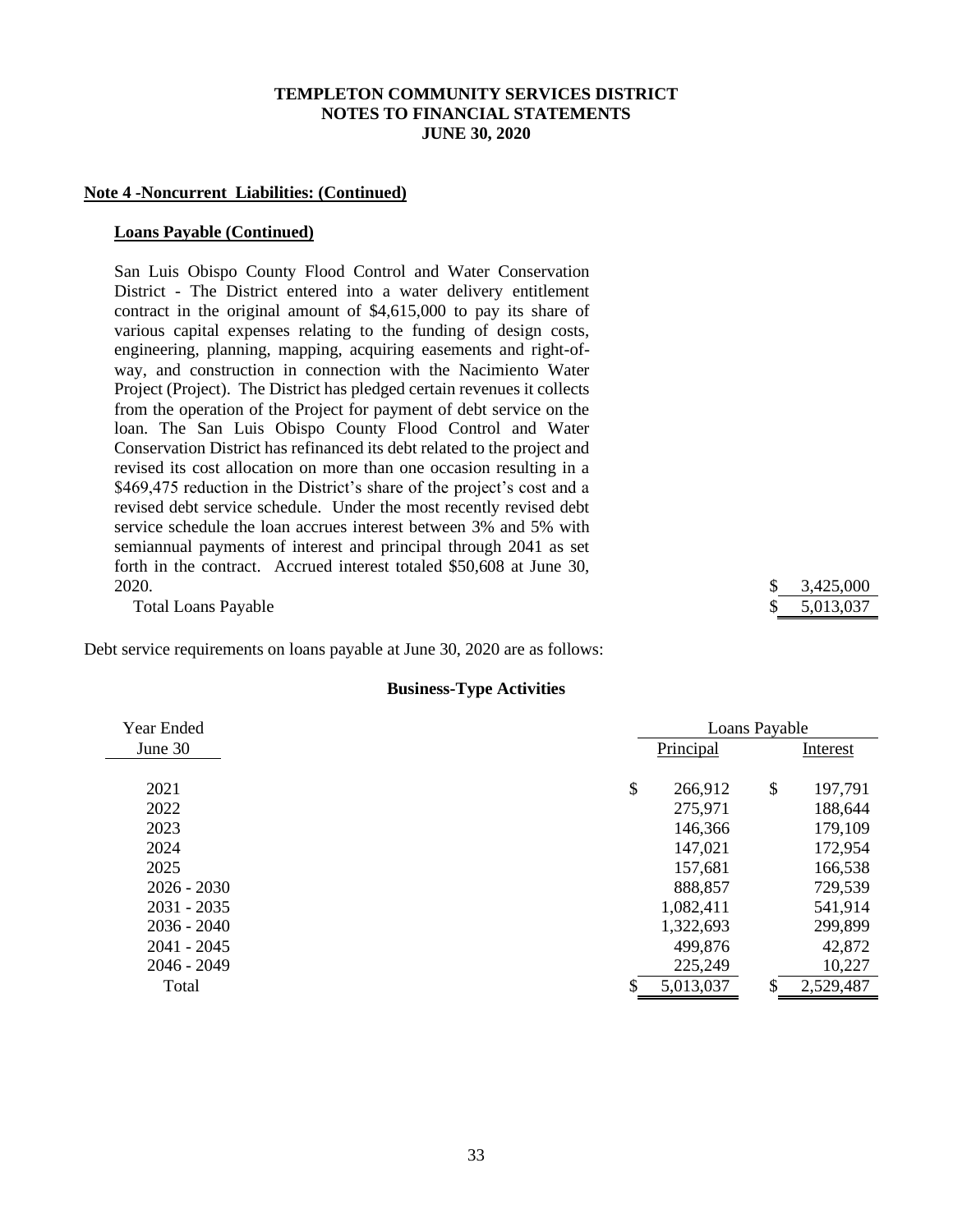#### **Note 4 -Noncurrent Liabilities: (Continued)**

#### **Loans Payable (Continued)**

San Luis Obispo County Flood Control and Water Conservation District - The District entered into a water delivery entitlement contract in the original amount of \$4,615,000 to pay its share of various capital expenses relating to the funding of design costs, engineering, planning, mapping, acquiring easements and right-ofway, and construction in connection with the Nacimiento Water Project (Project). The District has pledged certain revenues it collects from the operation of the Project for payment of debt service on the loan. The San Luis Obispo County Flood Control and Water Conservation District has refinanced its debt related to the project and revised its cost allocation on more than one occasion resulting in a \$469,475 reduction in the District's share of the project's cost and a revised debt service schedule. Under the most recently revised debt service schedule the loan accrues interest between 3% and 5% with semiannual payments of interest and principal through 2041 as set forth in the contract. Accrued interest totaled \$50,608 at June 30, 2020. \$ 3,425,000

Total Loans Payable  $$5,013,037$ 

Debt service requirements on loans payable at June 30, 2020 are as follows:

#### **Business-Type Activities**

| <b>Year Ended</b> | Loans Payable |    |           |  |
|-------------------|---------------|----|-----------|--|
| June 30           | Principal     |    | Interest  |  |
|                   |               |    |           |  |
| 2021              | \$<br>266,912 | \$ | 197,791   |  |
| 2022              | 275,971       |    | 188,644   |  |
| 2023              | 146,366       |    | 179,109   |  |
| 2024              | 147,021       |    | 172,954   |  |
| 2025              | 157,681       |    | 166,538   |  |
| $2026 - 2030$     | 888,857       |    | 729,539   |  |
| $2031 - 2035$     | 1,082,411     |    | 541,914   |  |
| $2036 - 2040$     | 1,322,693     |    | 299,899   |  |
| $2041 - 2045$     | 499,876       |    | 42,872    |  |
| $2046 - 2049$     | 225,249       |    | 10,227    |  |
| Total             | 5,013,037     | \$ | 2,529,487 |  |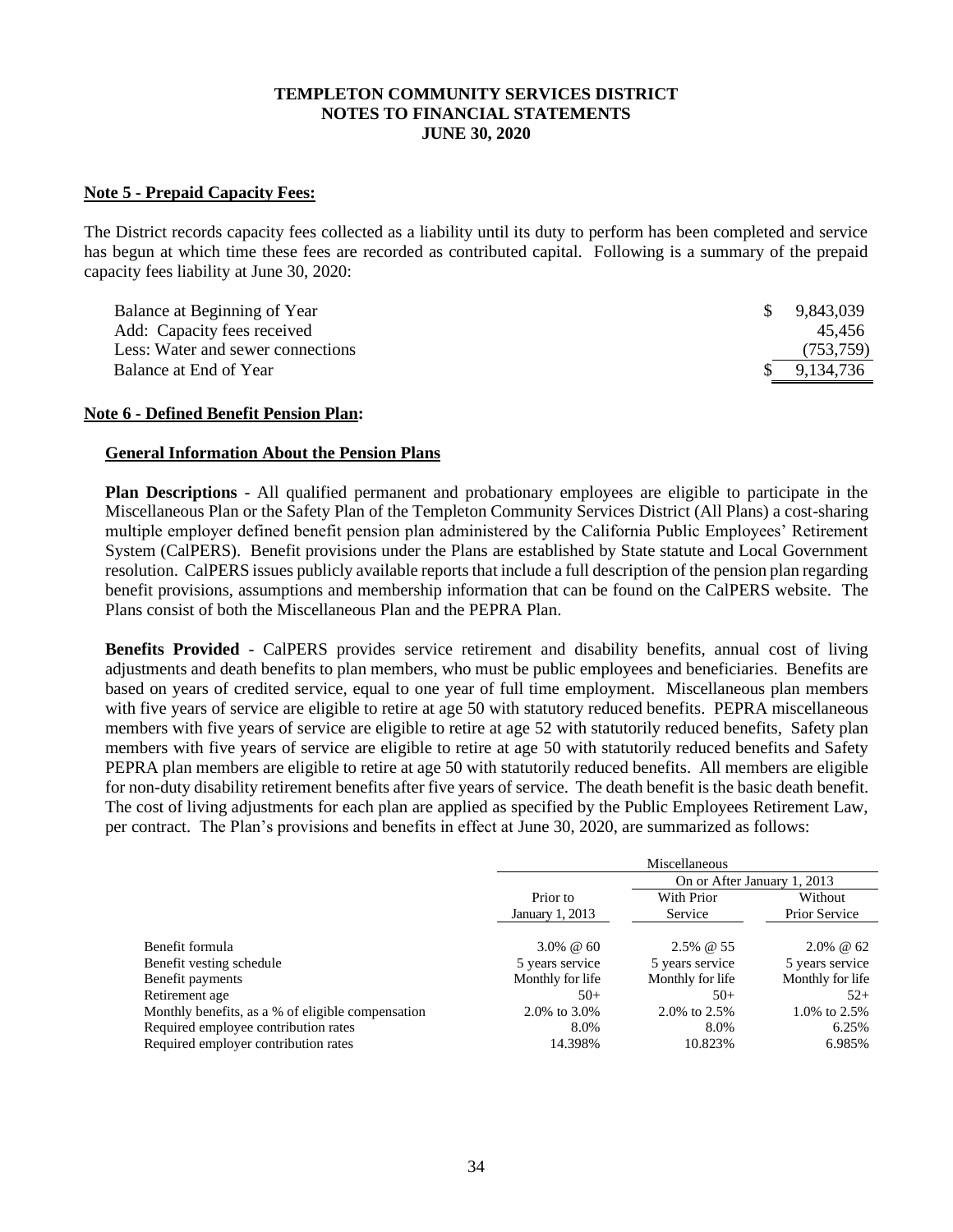### **Note 5 - Prepaid Capacity Fees:**

The District records capacity fees collected as a liability until its duty to perform has been completed and service has begun at which time these fees are recorded as contributed capital. Following is a summary of the prepaid capacity fees liability at June 30, 2020:

| Balance at Beginning of Year      | S. | 9,843,039   |
|-----------------------------------|----|-------------|
| Add: Capacity fees received       |    | 45.456      |
| Less: Water and sewer connections |    | (753, 759)  |
| Balance at End of Year            |    | \$9,134,736 |

### **Note 6 - Defined Benefit Pension Plan:**

#### **General Information About the Pension Plans**

**Plan Descriptions** - All qualified permanent and probationary employees are eligible to participate in the Miscellaneous Plan or the Safety Plan of the Templeton Community Services District (All Plans) a cost-sharing multiple employer defined benefit pension plan administered by the California Public Employees' Retirement System (CalPERS). Benefit provisions under the Plans are established by State statute and Local Government resolution. CalPERS issues publicly available reports that include a full description of the pension plan regarding benefit provisions, assumptions and membership information that can be found on the CalPERS website. The Plans consist of both the Miscellaneous Plan and the PEPRA Plan.

**Benefits Provided** - CalPERS provides service retirement and disability benefits, annual cost of living adjustments and death benefits to plan members, who must be public employees and beneficiaries. Benefits are based on years of credited service, equal to one year of full time employment. Miscellaneous plan members with five years of service are eligible to retire at age 50 with statutory reduced benefits. PEPRA miscellaneous members with five years of service are eligible to retire at age 52 with statutorily reduced benefits, Safety plan members with five years of service are eligible to retire at age 50 with statutorily reduced benefits and Safety PEPRA plan members are eligible to retire at age 50 with statutorily reduced benefits. All members are eligible for non-duty disability retirement benefits after five years of service. The death benefit is the basic death benefit. The cost of living adjustments for each plan are applied as specified by the Public Employees Retirement Law, per contract. The Plan's provisions and benefits in effect at June 30, 2020, are summarized as follows:

|                                                   | Miscellaneous               |                    |                      |  |  |
|---------------------------------------------------|-----------------------------|--------------------|----------------------|--|--|
|                                                   | On or After January 1, 2013 |                    |                      |  |  |
|                                                   | Prior to                    | With Prior         | Without              |  |  |
|                                                   | January 1, 2013             | Service            | <b>Prior Service</b> |  |  |
|                                                   |                             |                    |                      |  |  |
| Benefit formula                                   | $3.0\% \ @ 60$              | 2.5% @ 55          | $2.0\% \ @ \ 62$     |  |  |
| Benefit vesting schedule                          | 5 years service             | 5 years service    | 5 years service      |  |  |
| Benefit payments                                  | Monthly for life            | Monthly for life   | Monthly for life     |  |  |
| Retirement age                                    | $50+$                       | $50+$              | $52+$                |  |  |
| Monthly benefits, as a % of eligible compensation | 2.0% to 3.0%                | $2.0\%$ to $2.5\%$ | 1.0\% to 2.5\%       |  |  |
| Required employee contribution rates              | 8.0%                        | 8.0%               | 6.25%                |  |  |
| Required employer contribution rates              | 14.398%                     | 10.823%            | 6.985%               |  |  |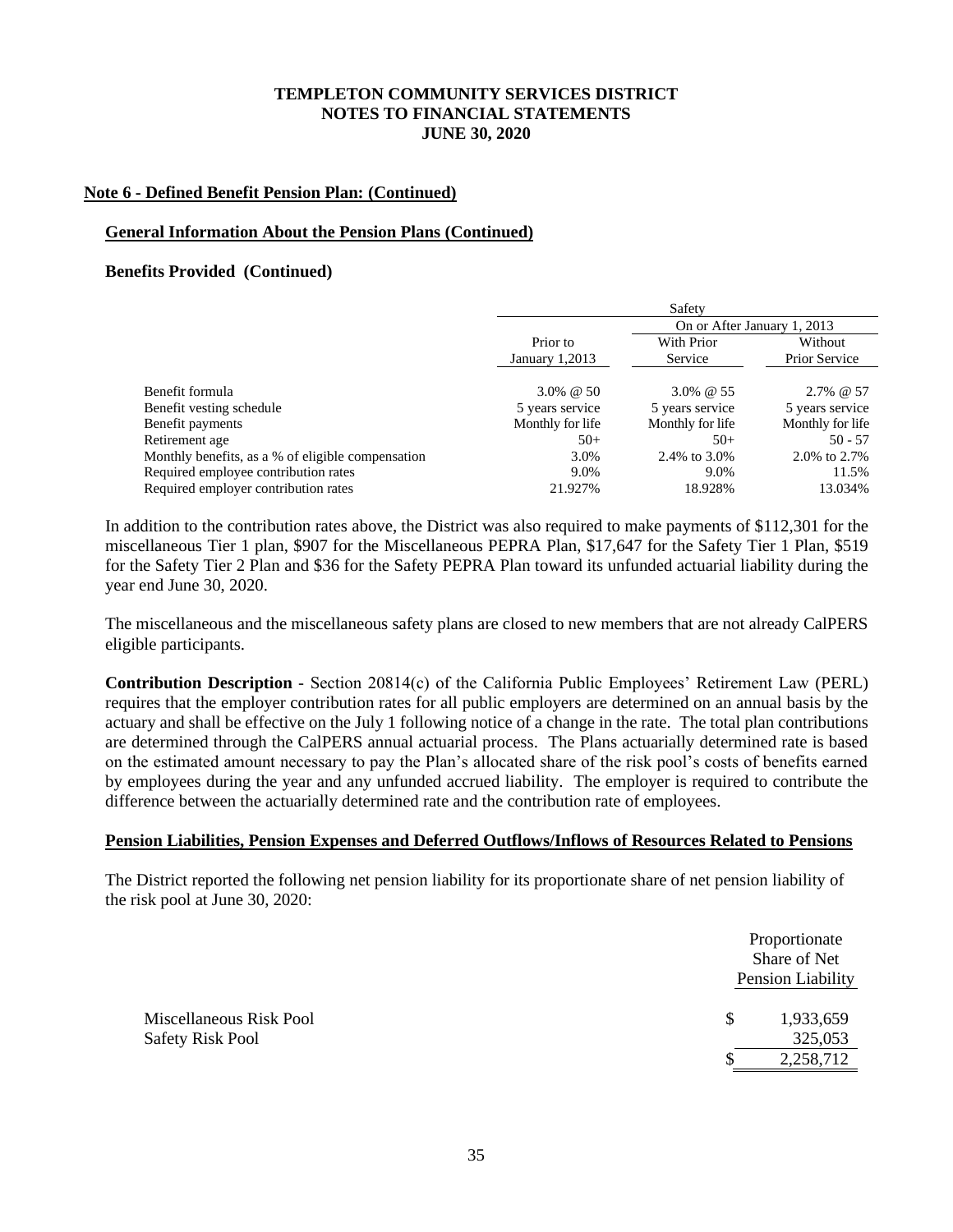## **Note 6 - Defined Benefit Pension Plan: (Continued)**

## **General Information About the Pension Plans (Continued)**

## **Benefits Provided (Continued)**

|                                                   | Safety                      |                  |                  |  |  |
|---------------------------------------------------|-----------------------------|------------------|------------------|--|--|
|                                                   | On or After January 1, 2013 |                  |                  |  |  |
|                                                   | Prior to                    | With Prior       | Without          |  |  |
|                                                   | January 1,2013              | Service          | Prior Service    |  |  |
|                                                   |                             |                  |                  |  |  |
| Benefit formula                                   | $3.0\% \ @ \ 50$            | $3.0\% \ @ \ 55$ | $2.7\%$ @ 57     |  |  |
| Benefit vesting schedule                          | 5 years service             | 5 years service  | 5 years service  |  |  |
| Benefit payments                                  | Monthly for life            | Monthly for life | Monthly for life |  |  |
| Retirement age                                    | $50+$                       | $50+$            | $50 - 57$        |  |  |
| Monthly benefits, as a % of eligible compensation | 3.0%                        | 2.4% to 3.0%     | 2.0% to 2.7%     |  |  |
| Required employee contribution rates              | 9.0%                        | $9.0\%$          | 11.5%            |  |  |
| Required employer contribution rates              | 21.927%                     | 18.928%          | 13.034%          |  |  |

In addition to the contribution rates above, the District was also required to make payments of \$112,301 for the miscellaneous Tier 1 plan, \$907 for the Miscellaneous PEPRA Plan, \$17,647 for the Safety Tier 1 Plan, \$519 for the Safety Tier 2 Plan and \$36 for the Safety PEPRA Plan toward its unfunded actuarial liability during the year end June 30, 2020.

The miscellaneous and the miscellaneous safety plans are closed to new members that are not already CalPERS eligible participants.

**Contribution Description** *-* Section 20814(c) of the California Public Employees' Retirement Law (PERL) requires that the employer contribution rates for all public employers are determined on an annual basis by the actuary and shall be effective on the July 1 following notice of a change in the rate. The total plan contributions are determined through the CalPERS annual actuarial process. The Plans actuarially determined rate is based on the estimated amount necessary to pay the Plan's allocated share of the risk pool's costs of benefits earned by employees during the year and any unfunded accrued liability. The employer is required to contribute the difference between the actuarially determined rate and the contribution rate of employees.

## **Pension Liabilities, Pension Expenses and Deferred Outflows/Inflows of Resources Related to Pensions**

The District reported the following net pension liability for its proportionate share of net pension liability of the risk pool at June 30, 2020:

|                                                    | Proportionate<br>Share of Net<br>Pension Liability |
|----------------------------------------------------|----------------------------------------------------|
| Miscellaneous Risk Pool<br><b>Safety Risk Pool</b> | 1,933,659<br>S.<br>325,053                         |
|                                                    | 2,258,712                                          |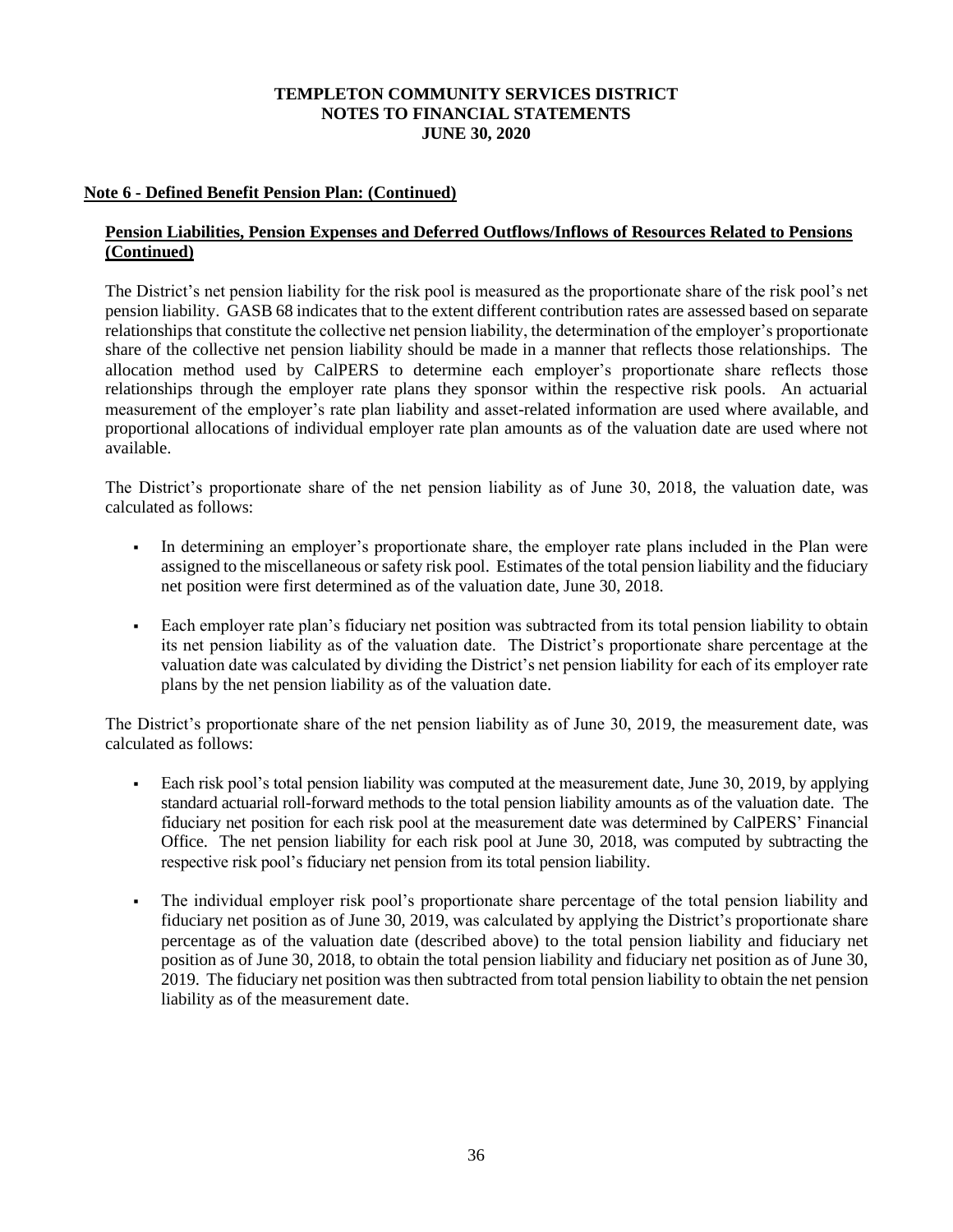# **Note 6 - Defined Benefit Pension Plan: (Continued)**

## **Pension Liabilities, Pension Expenses and Deferred Outflows/Inflows of Resources Related to Pensions (Continued)**

The District's net pension liability for the risk pool is measured as the proportionate share of the risk pool's net pension liability. GASB 68 indicates that to the extent different contribution rates are assessed based on separate relationships that constitute the collective net pension liability, the determination of the employer's proportionate share of the collective net pension liability should be made in a manner that reflects those relationships. The allocation method used by CalPERS to determine each employer's proportionate share reflects those relationships through the employer rate plans they sponsor within the respective risk pools. An actuarial measurement of the employer's rate plan liability and asset-related information are used where available, and proportional allocations of individual employer rate plan amounts as of the valuation date are used where not available.

The District's proportionate share of the net pension liability as of June 30, 2018, the valuation date, was calculated as follows:

- In determining an employer's proportionate share, the employer rate plans included in the Plan were assigned to the miscellaneous or safety risk pool. Estimates of the total pension liability and the fiduciary net position were first determined as of the valuation date, June 30, 2018.
- Each employer rate plan's fiduciary net position was subtracted from its total pension liability to obtain its net pension liability as of the valuation date. The District's proportionate share percentage at the valuation date was calculated by dividing the District's net pension liability for each of its employer rate plans by the net pension liability as of the valuation date.

The District's proportionate share of the net pension liability as of June 30, 2019, the measurement date, was calculated as follows:

- Each risk pool's total pension liability was computed at the measurement date, June 30, 2019, by applying standard actuarial roll-forward methods to the total pension liability amounts as of the valuation date. The fiduciary net position for each risk pool at the measurement date was determined by CalPERS' Financial Office. The net pension liability for each risk pool at June 30, 2018, was computed by subtracting the respective risk pool's fiduciary net pension from its total pension liability.
- The individual employer risk pool's proportionate share percentage of the total pension liability and fiduciary net position as of June 30, 2019, was calculated by applying the District's proportionate share percentage as of the valuation date (described above) to the total pension liability and fiduciary net position as of June 30, 2018, to obtain the total pension liability and fiduciary net position as of June 30, 2019. The fiduciary net position was then subtracted from total pension liability to obtain the net pension liability as of the measurement date.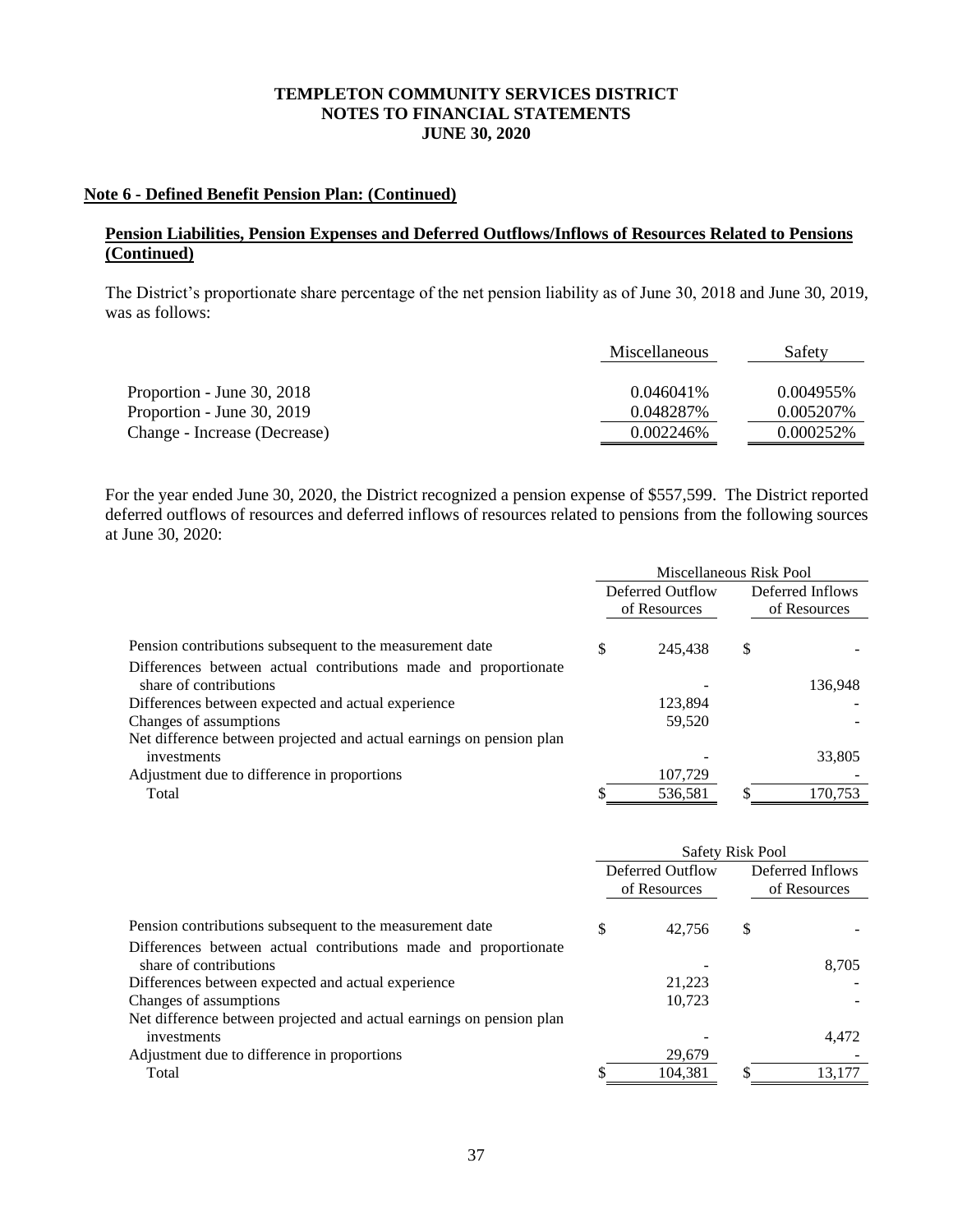### **Note 6 - Defined Benefit Pension Plan: (Continued)**

## **Pension Liabilities, Pension Expenses and Deferred Outflows/Inflows of Resources Related to Pensions (Continued)**

The District's proportionate share percentage of the net pension liability as of June 30, 2018 and June 30, 2019, was as follows:

|                              | <b>Miscellaneous</b> | Safety     |
|------------------------------|----------------------|------------|
|                              |                      |            |
| Proportion - June 30, 2018   | 0.046041\%           | 0.004955%  |
| Proportion - June 30, 2019   | 0.048287%            | 0.005207%  |
| Change - Increase (Decrease) | 0.002246\%           | 0.000252\% |

For the year ended June 30, 2020, the District recognized a pension expense of \$557,599. The District reported deferred outflows of resources and deferred inflows of resources related to pensions from the following sources at June 30, 2020:

|                                                                      | Miscellaneous Risk Pool |                  |    |                  |
|----------------------------------------------------------------------|-------------------------|------------------|----|------------------|
|                                                                      |                         | Deferred Outflow |    | Deferred Inflows |
|                                                                      |                         | of Resources     |    | of Resources     |
| Pension contributions subsequent to the measurement date             | \$                      | 245,438          | \$ |                  |
| Differences between actual contributions made and proportionate      |                         |                  |    |                  |
| share of contributions                                               |                         |                  |    | 136.948          |
| Differences between expected and actual experience                   |                         | 123,894          |    |                  |
| Changes of assumptions                                               |                         | 59,520           |    |                  |
| Net difference between projected and actual earnings on pension plan |                         |                  |    |                  |
| investments                                                          |                         |                  |    | 33,805           |
| Adjustment due to difference in proportions                          |                         | 107,729          |    |                  |
| Total                                                                |                         | 536,581          |    | 170,753          |

|                                                                      | Safety Risk Pool |                  |    |                  |
|----------------------------------------------------------------------|------------------|------------------|----|------------------|
|                                                                      |                  | Deferred Outflow |    | Deferred Inflows |
|                                                                      |                  | of Resources     |    | of Resources     |
| Pension contributions subsequent to the measurement date             | \$               | 42.756           | \$ |                  |
| Differences between actual contributions made and proportionate      |                  |                  |    |                  |
| share of contributions                                               |                  |                  |    | 8,705            |
| Differences between expected and actual experience                   |                  | 21,223           |    |                  |
| Changes of assumptions                                               |                  | 10,723           |    |                  |
| Net difference between projected and actual earnings on pension plan |                  |                  |    |                  |
| investments                                                          |                  |                  |    | 4,472            |
| Adjustment due to difference in proportions                          |                  | 29,679           |    |                  |
| Total                                                                |                  | 104,381          |    | 13,177           |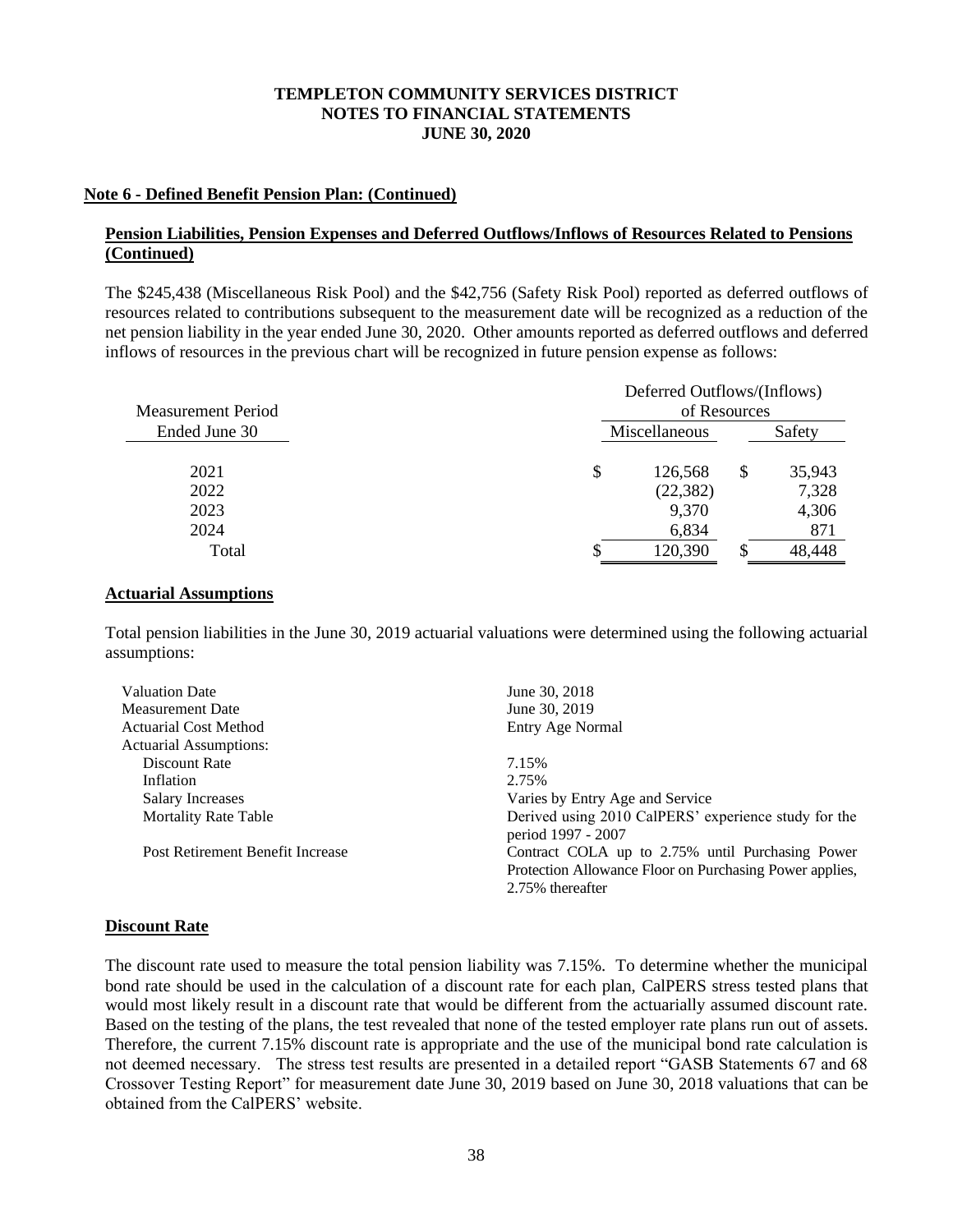### **Note 6 - Defined Benefit Pension Plan: (Continued)**

## **Pension Liabilities, Pension Expenses and Deferred Outflows/Inflows of Resources Related to Pensions (Continued)**

The \$245,438 (Miscellaneous Risk Pool) and the \$42,756 (Safety Risk Pool) reported as deferred outflows of resources related to contributions subsequent to the measurement date will be recognized as a reduction of the net pension liability in the year ended June 30, 2020. Other amounts reported as deferred outflows and deferred inflows of resources in the previous chart will be recognized in future pension expense as follows:

|                    | Deferred Outflows/(Inflows) |               |    |        |  |  |  |
|--------------------|-----------------------------|---------------|----|--------|--|--|--|
| Measurement Period | of Resources                |               |    |        |  |  |  |
| Ended June 30      |                             | Miscellaneous |    | Safety |  |  |  |
| 2021               | \$                          | 126,568       | S  | 35,943 |  |  |  |
| 2022               |                             | (22, 382)     |    | 7,328  |  |  |  |
| 2023               |                             | 9,370         |    | 4,306  |  |  |  |
| 2024               |                             | 6,834         |    | 871    |  |  |  |
| Total              | \$                          | 120,390       | \$ | 48,448 |  |  |  |

### **Actuarial Assumptions**

Total pension liabilities in the June 30, 2019 actuarial valuations were determined using the following actuarial assumptions:

| <b>Valuation Date</b><br><b>Measurement Date</b><br><b>Actuarial Cost Method</b> | June 30, 2018<br>June 30, 2019<br>Entry Age Normal                                                                              |
|----------------------------------------------------------------------------------|---------------------------------------------------------------------------------------------------------------------------------|
| <b>Actuarial Assumptions:</b>                                                    |                                                                                                                                 |
| Discount Rate<br>Inflation                                                       | 7.15%<br>2.75%                                                                                                                  |
| <b>Salary Increases</b>                                                          | Varies by Entry Age and Service                                                                                                 |
| <b>Mortality Rate Table</b>                                                      | Derived using 2010 CalPERS' experience study for the<br>period 1997 - 2007                                                      |
| Post Retirement Benefit Increase                                                 | Contract COLA up to 2.75% until Purchasing Power<br>Protection Allowance Floor on Purchasing Power applies,<br>2.75% thereafter |

## **Discount Rate**

The discount rate used to measure the total pension liability was 7.15%. To determine whether the municipal bond rate should be used in the calculation of a discount rate for each plan, CalPERS stress tested plans that would most likely result in a discount rate that would be different from the actuarially assumed discount rate. Based on the testing of the plans, the test revealed that none of the tested employer rate plans run out of assets. Therefore, the current 7.15% discount rate is appropriate and the use of the municipal bond rate calculation is not deemed necessary. The stress test results are presented in a detailed report "GASB Statements 67 and 68 Crossover Testing Report" for measurement date June 30, 2019 based on June 30, 2018 valuations that can be obtained from the CalPERS' website.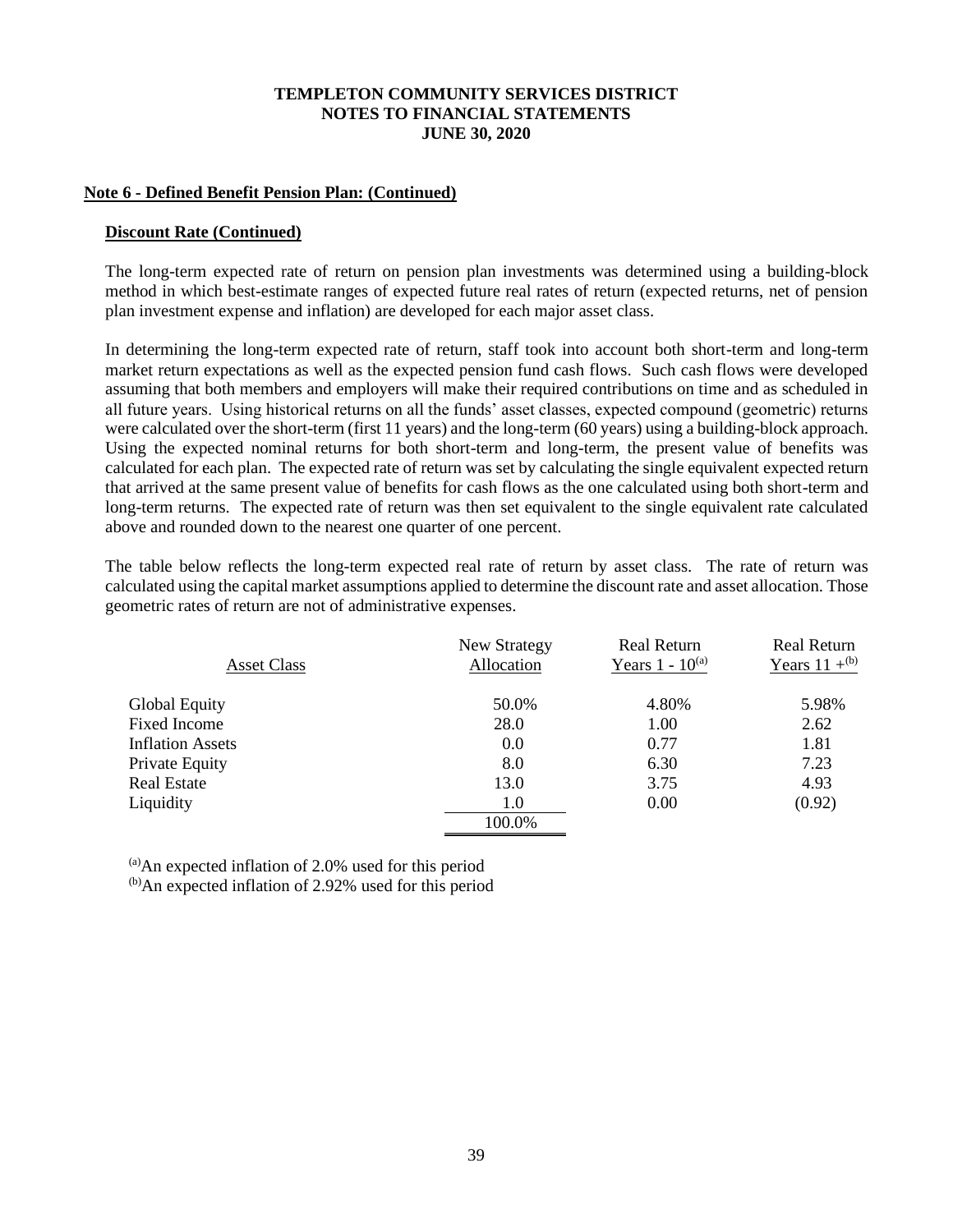### **Note 6 - Defined Benefit Pension Plan: (Continued)**

### **Discount Rate (Continued)**

The long-term expected rate of return on pension plan investments was determined using a building-block method in which best-estimate ranges of expected future real rates of return (expected returns, net of pension plan investment expense and inflation) are developed for each major asset class.

In determining the long-term expected rate of return, staff took into account both short-term and long-term market return expectations as well as the expected pension fund cash flows. Such cash flows were developed assuming that both members and employers will make their required contributions on time and as scheduled in all future years. Using historical returns on all the funds' asset classes, expected compound (geometric) returns were calculated over the short-term (first 11 years) and the long-term (60 years) using a building-block approach. Using the expected nominal returns for both short-term and long-term, the present value of benefits was calculated for each plan. The expected rate of return was set by calculating the single equivalent expected return that arrived at the same present value of benefits for cash flows as the one calculated using both short-term and long-term returns. The expected rate of return was then set equivalent to the single equivalent rate calculated above and rounded down to the nearest one quarter of one percent.

The table below reflects the long-term expected real rate of return by asset class. The rate of return was calculated using the capital market assumptions applied to determine the discount rate and asset allocation. Those geometric rates of return are not of administrative expenses.

| <b>Asset Class</b> | New Strategy<br>Allocation | Real Return<br>Years $1 - 10^{(a)}$ | Real Return<br>Years $11 +$ <sup>(b)</sup> |
|--------------------|----------------------------|-------------------------------------|--------------------------------------------|
| Global Equity      | 50.0%                      | 4.80%                               | 5.98%                                      |
| Fixed Income       | 28.0                       | 1.00                                | 2.62                                       |
| Inflation Assets   | 0.0                        | 0.77                                | 1.81                                       |
| Private Equity     | 8.0                        | 6.30                                | 7.23                                       |
| <b>Real Estate</b> | 13.0                       | 3.75                                | 4.93                                       |
| Liquidity          | 1.0                        | 0.00                                | (0.92)                                     |
|                    | 100.0%                     |                                     |                                            |

 $(a)$ An expected inflation of 2.0% used for this period

(b)An expected inflation of 2.92% used for this period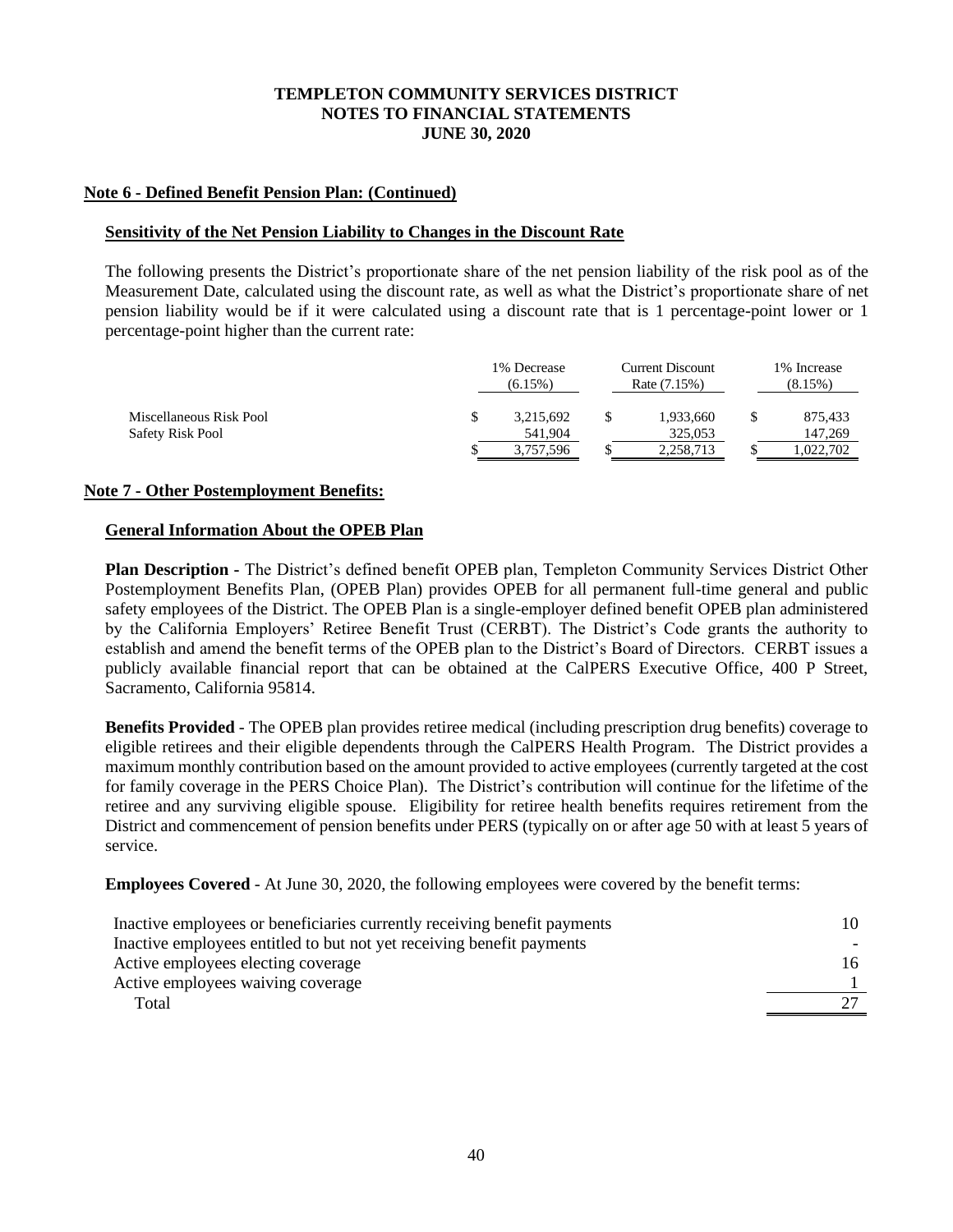## **Note 6 - Defined Benefit Pension Plan: (Continued)**

## **Sensitivity of the Net Pension Liability to Changes in the Discount Rate**

The following presents the District's proportionate share of the net pension liability of the risk pool as of the Measurement Date, calculated using the discount rate, as well as what the District's proportionate share of net pension liability would be if it were calculated using a discount rate that is 1 percentage-point lower or 1 percentage-point higher than the current rate:

|                         |  | 1% Decrease<br>(6.15%) |  | Current Discount<br>Rate (7.15%) |  | 1% Increase<br>(8.15%) |  |
|-------------------------|--|------------------------|--|----------------------------------|--|------------------------|--|
| Miscellaneous Risk Pool |  | 3,215,692              |  | 1.933.660                        |  | 875,433                |  |
| Safety Risk Pool        |  | 541.904                |  | 325,053                          |  | 147,269                |  |
|                         |  | 3,757,596              |  | 2,258,713                        |  | 1.022.702              |  |

## **Note 7 - Other Postemployment Benefits:**

### **General Information About the OPEB Plan**

**Plan Description -** The District's defined benefit OPEB plan, Templeton Community Services District Other Postemployment Benefits Plan, (OPEB Plan) provides OPEB for all permanent full-time general and public safety employees of the District. The OPEB Plan is a single-employer defined benefit OPEB plan administered by the California Employers' Retiree Benefit Trust (CERBT). The District's Code grants the authority to establish and amend the benefit terms of the OPEB plan to the District's Board of Directors. CERBT issues a publicly available financial report that can be obtained at the CalPERS Executive Office, 400 P Street, Sacramento, California 95814.

**Benefits Provided** - The OPEB plan provides retiree medical (including prescription drug benefits) coverage to eligible retirees and their eligible dependents through the CalPERS Health Program. The District provides a maximum monthly contribution based on the amount provided to active employees (currently targeted at the cost for family coverage in the PERS Choice Plan). The District's contribution will continue for the lifetime of the retiree and any surviving eligible spouse. Eligibility for retiree health benefits requires retirement from the District and commencement of pension benefits under PERS (typically on or after age 50 with at least 5 years of service.

**Employees Covered** - At June 30, 2020, the following employees were covered by the benefit terms:

| Inactive employees or beneficiaries currently receiving benefit payments |  |
|--------------------------------------------------------------------------|--|
| Inactive employees entitled to but not yet receiving benefit payments    |  |
| Active employees electing coverage                                       |  |
| Active employees waiving coverage                                        |  |
| Total                                                                    |  |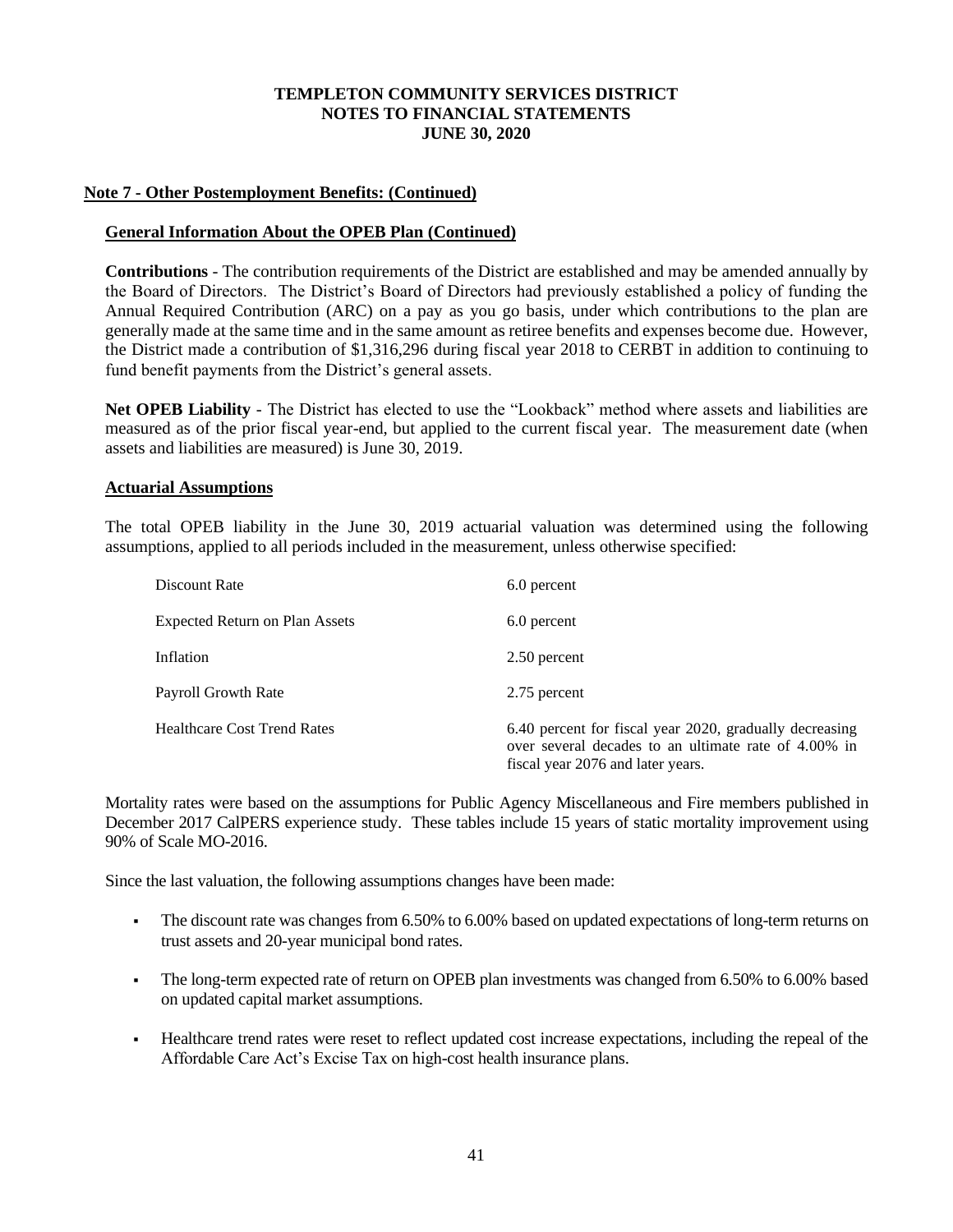## **Note 7 - Other Postemployment Benefits: (Continued)**

### **General Information About the OPEB Plan (Continued)**

**Contributions** - The contribution requirements of the District are established and may be amended annually by the Board of Directors. The District's Board of Directors had previously established a policy of funding the Annual Required Contribution (ARC) on a pay as you go basis, under which contributions to the plan are generally made at the same time and in the same amount as retiree benefits and expenses become due. However, the District made a contribution of \$1,316,296 during fiscal year 2018 to CERBT in addition to continuing to fund benefit payments from the District's general assets.

**Net OPEB Liability** - The District has elected to use the "Lookback" method where assets and liabilities are measured as of the prior fiscal year-end, but applied to the current fiscal year. The measurement date (when assets and liabilities are measured) is June 30, 2019.

### **Actuarial Assumptions**

The total OPEB liability in the June 30, 2019 actuarial valuation was determined using the following assumptions, applied to all periods included in the measurement, unless otherwise specified:

| Discount Rate                      | 6.0 percent                                                                                                                                          |
|------------------------------------|------------------------------------------------------------------------------------------------------------------------------------------------------|
| Expected Return on Plan Assets     | 6.0 percent                                                                                                                                          |
| Inflation                          | 2.50 percent                                                                                                                                         |
| Payroll Growth Rate                | 2.75 percent                                                                                                                                         |
| <b>Healthcare Cost Trend Rates</b> | 6.40 percent for fiscal year 2020, gradually decreasing<br>over several decades to an ultimate rate of 4.00% in<br>fiscal year 2076 and later years. |

Mortality rates were based on the assumptions for Public Agency Miscellaneous and Fire members published in December 2017 CalPERS experience study. These tables include 15 years of static mortality improvement using 90% of Scale MO-2016.

Since the last valuation, the following assumptions changes have been made:

- The discount rate was changes from 6.50% to 6.00% based on updated expectations of long-term returns on trust assets and 20-year municipal bond rates.
- The long-term expected rate of return on OPEB plan investments was changed from 6.50% to 6.00% based on updated capital market assumptions.
- Healthcare trend rates were reset to reflect updated cost increase expectations, including the repeal of the Affordable Care Act's Excise Tax on high-cost health insurance plans.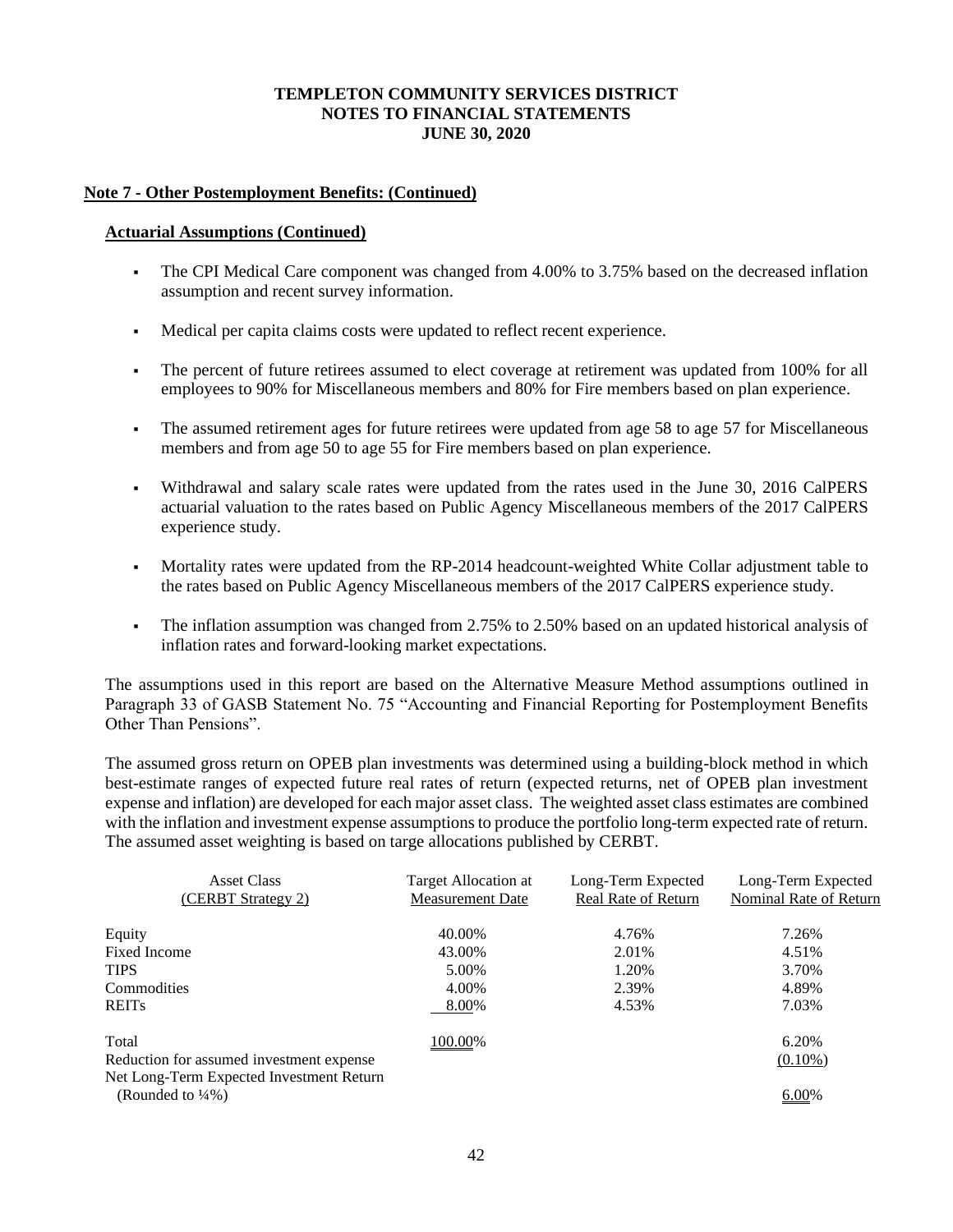## **Note 7 - Other Postemployment Benefits: (Continued)**

### **Actuarial Assumptions (Continued)**

- The CPI Medical Care component was changed from 4.00% to 3.75% based on the decreased inflation assumption and recent survey information.
- Medical per capita claims costs were updated to reflect recent experience.
- The percent of future retirees assumed to elect coverage at retirement was updated from 100% for all employees to 90% for Miscellaneous members and 80% for Fire members based on plan experience.
- The assumed retirement ages for future retirees were updated from age 58 to age 57 for Miscellaneous members and from age 50 to age 55 for Fire members based on plan experience.
- Withdrawal and salary scale rates were updated from the rates used in the June 30, 2016 CalPERS actuarial valuation to the rates based on Public Agency Miscellaneous members of the 2017 CalPERS experience study.
- Mortality rates were updated from the RP-2014 headcount-weighted White Collar adjustment table to the rates based on Public Agency Miscellaneous members of the 2017 CalPERS experience study.
- The inflation assumption was changed from 2.75% to 2.50% based on an updated historical analysis of inflation rates and forward-looking market expectations.

The assumptions used in this report are based on the Alternative Measure Method assumptions outlined in Paragraph 33 of GASB Statement No. 75 "Accounting and Financial Reporting for Postemployment Benefits Other Than Pensions".

The assumed gross return on OPEB plan investments was determined using a building-block method in which best-estimate ranges of expected future real rates of return (expected returns, net of OPEB plan investment expense and inflation) are developed for each major asset class. The weighted asset class estimates are combined with the inflation and investment expense assumptions to produce the portfolio long-term expected rate of return. The assumed asset weighting is based on targe allocations published by CERBT.

| <b>Asset Class</b><br>(CERBT Strategy 2) | Target Allocation at<br><b>Measurement Date</b> | Long-Term Expected<br><b>Real Rate of Return</b> | Long-Term Expected<br>Nominal Rate of Return |
|------------------------------------------|-------------------------------------------------|--------------------------------------------------|----------------------------------------------|
|                                          |                                                 |                                                  |                                              |
| Equity                                   | 40.00%                                          | 4.76%                                            | 7.26%                                        |
| Fixed Income                             | 43.00%                                          | 2.01%                                            | 4.51%                                        |
| <b>TIPS</b>                              | 5.00%                                           | 1.20%                                            | 3.70%                                        |
| Commodities                              | 4.00%                                           | 2.39%                                            | 4.89%                                        |
| <b>REITS</b>                             | 8.00%                                           | 4.53%                                            | 7.03%                                        |
| Total                                    | 100.00%                                         |                                                  | 6.20%                                        |
| Reduction for assumed investment expense |                                                 |                                                  | $(0.10\%)$                                   |
| Net Long-Term Expected Investment Return |                                                 |                                                  |                                              |
| (Rounded to $\frac{1}{4}\%$ )            |                                                 |                                                  | 6.00%                                        |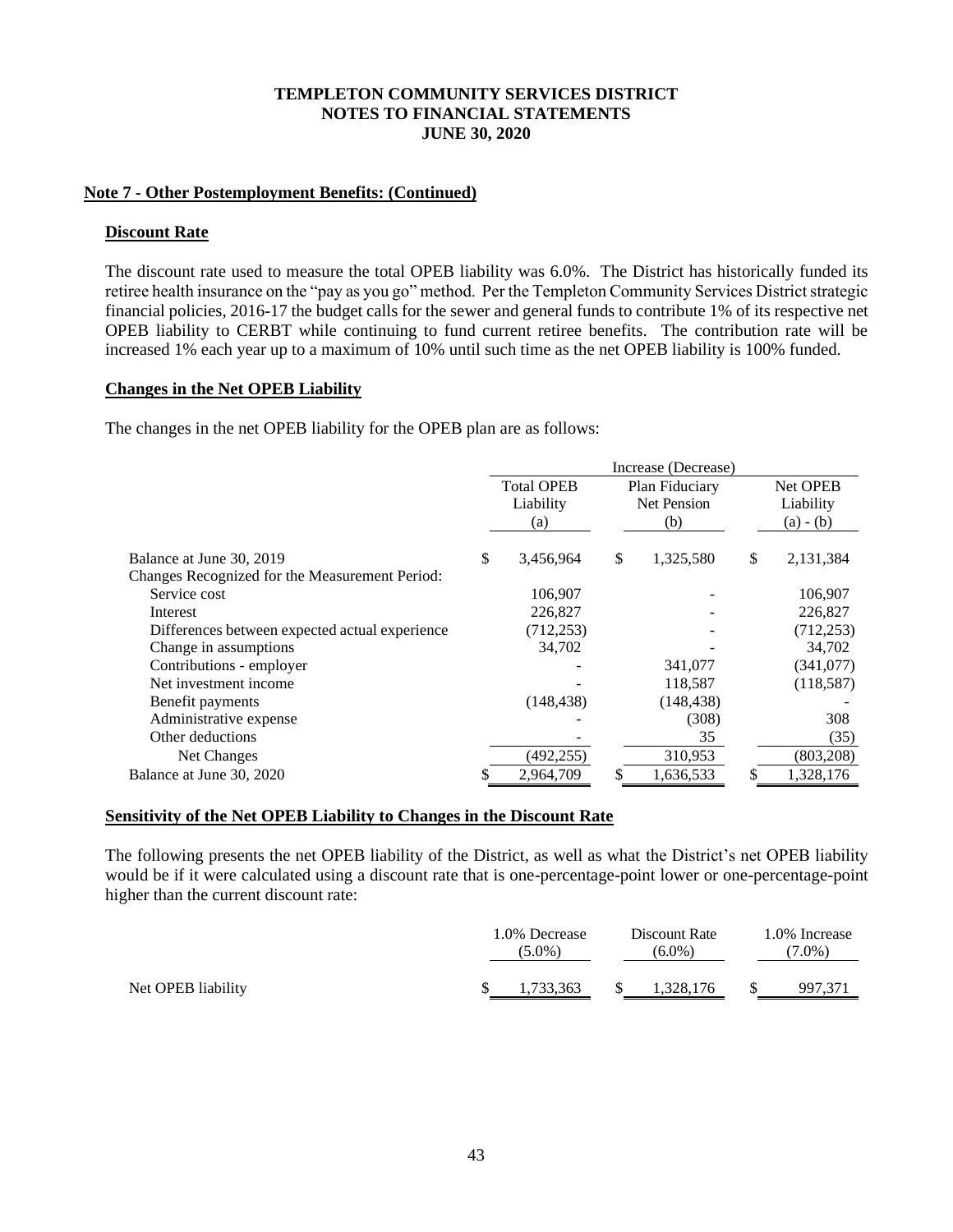## **Note 7 - Other Postemployment Benefits: (Continued)**

### **Discount Rate**

The discount rate used to measure the total OPEB liability was 6.0%. The District has historically funded its retiree health insurance on the "pay as you go" method. Per the Templeton Community Services District strategic financial policies, 2016-17 the budget calls for the sewer and general funds to contribute 1% of its respective net OPEB liability to CERBT while continuing to fund current retiree benefits. The contribution rate will be increased 1% each year up to a maximum of 10% until such time as the net OPEB liability is 100% funded.

### **Changes in the Net OPEB Liability**

The changes in the net OPEB liability for the OPEB plan are as follows:

|                                                | Increase (Decrease)                   |            |    |                                      |    |                                      |
|------------------------------------------------|---------------------------------------|------------|----|--------------------------------------|----|--------------------------------------|
|                                                | <b>Total OPEB</b><br>Liability<br>(a) |            |    | Plan Fiduciary<br>Net Pension<br>(b) |    | Net OPEB<br>Liability<br>$(a) - (b)$ |
| Balance at June 30, 2019                       | \$                                    | 3,456,964  | \$ | 1,325,580                            | \$ | 2,131,384                            |
| Changes Recognized for the Measurement Period: |                                       |            |    |                                      |    |                                      |
| Service cost                                   |                                       | 106,907    |    |                                      |    | 106,907                              |
| Interest                                       |                                       | 226,827    |    |                                      |    | 226,827                              |
| Differences between expected actual experience |                                       | (712, 253) |    |                                      |    | (712, 253)                           |
| Change in assumptions                          |                                       | 34,702     |    |                                      |    | 34,702                               |
| Contributions - employer                       |                                       |            |    | 341,077                              |    | (341,077)                            |
| Net investment income                          |                                       |            |    | 118,587                              |    | (118, 587)                           |
| Benefit payments                               |                                       | (148, 438) |    | (148, 438)                           |    |                                      |
| Administrative expense                         |                                       |            |    | (308)                                |    | 308                                  |
| Other deductions                               |                                       |            |    | 35                                   |    | (35)                                 |
| Net Changes                                    |                                       | (492, 255) |    | 310,953                              |    | (803, 208)                           |
| Balance at June 30, 2020                       |                                       | 2.964.709  |    | 1,636,533                            |    | 1,328,176                            |

### **Sensitivity of the Net OPEB Liability to Changes in the Discount Rate**

The following presents the net OPEB liability of the District, as well as what the District's net OPEB liability would be if it were calculated using a discount rate that is one-percentage-point lower or one-percentage-point higher than the current discount rate:

|                    | 1.0% Decrease<br>Discount Rate<br>$(5.0\%)$<br>$(6.0\%)$ |  |           | .0% Increase<br>$7.0\%$ ) |
|--------------------|----------------------------------------------------------|--|-----------|---------------------------|
| Net OPEB liability | 1,733,363                                                |  | 1,328,176 | 997,371                   |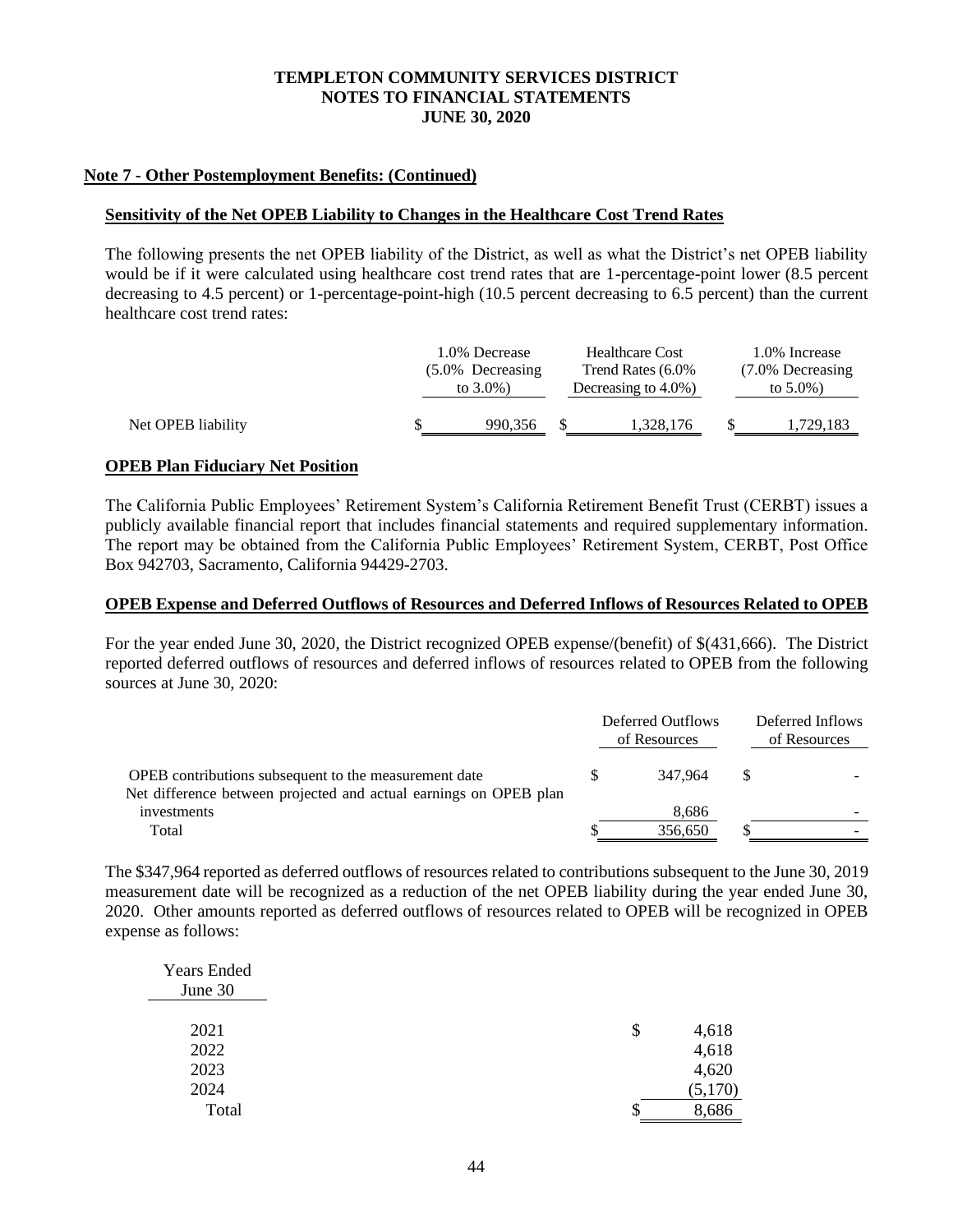## **Note 7 - Other Postemployment Benefits: (Continued)**

### **Sensitivity of the Net OPEB Liability to Changes in the Healthcare Cost Trend Rates**

The following presents the net OPEB liability of the District, as well as what the District's net OPEB liability would be if it were calculated using healthcare cost trend rates that are 1-percentage-point lower (8.5 percent decreasing to 4.5 percent) or 1-percentage-point-high (10.5 percent decreasing to 6.5 percent) than the current healthcare cost trend rates:

|                    | 1.0% Decrease<br>$(5.0\%$ Decreasing<br>to $3.0\%$ ) |  | <b>Healthcare Cost</b><br>Trend Rates (6.0%<br>Decreasing to $4.0\%$ ) | 1.0% Increase<br>$(7.0\%$ Decreasing<br>to $5.0\%$ ) |           |
|--------------------|------------------------------------------------------|--|------------------------------------------------------------------------|------------------------------------------------------|-----------|
| Net OPEB liability | 990,356                                              |  | 1,328,176                                                              |                                                      | 1,729,183 |

### **OPEB Plan Fiduciary Net Position**

The California Public Employees' Retirement System's California Retirement Benefit Trust (CERBT) issues a publicly available financial report that includes financial statements and required supplementary information. The report may be obtained from the California Public Employees' Retirement System, CERBT, Post Office Box 942703, Sacramento, California 94429-2703.

### **OPEB Expense and Deferred Outflows of Resources and Deferred Inflows of Resources Related to OPEB**

For the year ended June 30, 2020, the District recognized OPEB expense/(benefit) of \$(431,666). The District reported deferred outflows of resources and deferred inflows of resources related to OPEB from the following sources at June 30, 2020:

|                                                                                                                            | Deferred Outflows<br>of Resources | Deferred Inflows<br>of Resources |
|----------------------------------------------------------------------------------------------------------------------------|-----------------------------------|----------------------------------|
| OPEB contributions subsequent to the measurement date<br>Net difference between projected and actual earnings on OPEB plan | 347.964                           |                                  |
| investments                                                                                                                | 8.686                             |                                  |
| Total                                                                                                                      | 356.650                           |                                  |

The \$347,964 reported as deferred outflows of resources related to contributions subsequent to the June 30, 2019 measurement date will be recognized as a reduction of the net OPEB liability during the year ended June 30, 2020. Other amounts reported as deferred outflows of resources related to OPEB will be recognized in OPEB expense as follows:

| <b>Years Ended</b><br>June 30 |    |         |
|-------------------------------|----|---------|
| 2021                          | \$ | 4,618   |
| 2022                          |    | 4,618   |
| 2023                          |    | 4,620   |
| 2024                          |    | (5,170) |
| Total                         | S  | 8,686   |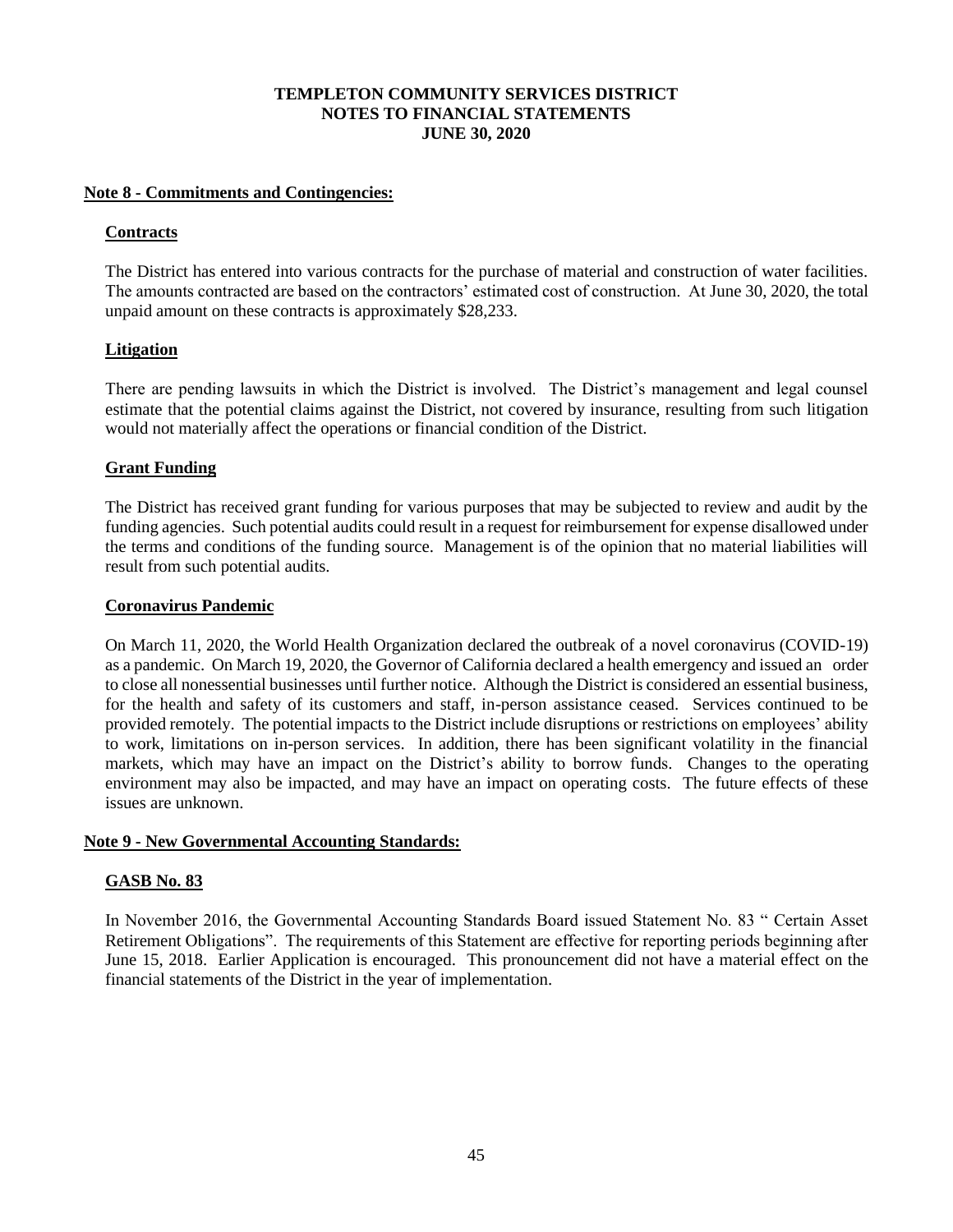## **Note 8 - Commitments and Contingencies:**

## **Contracts**

The District has entered into various contracts for the purchase of material and construction of water facilities. The amounts contracted are based on the contractors' estimated cost of construction. At June 30, 2020, the total unpaid amount on these contracts is approximately \$28,233.

## **Litigation**

There are pending lawsuits in which the District is involved. The District's management and legal counsel estimate that the potential claims against the District, not covered by insurance, resulting from such litigation would not materially affect the operations or financial condition of the District.

## **Grant Funding**

The District has received grant funding for various purposes that may be subjected to review and audit by the funding agencies. Such potential audits could result in a request for reimbursement for expense disallowed under the terms and conditions of the funding source. Management is of the opinion that no material liabilities will result from such potential audits.

### **Coronavirus Pandemic**

On March 11, 2020, the World Health Organization declared the outbreak of a novel coronavirus (COVID-19) as a pandemic. On March 19, 2020, the Governor of California declared a health emergency and issued an order to close all nonessential businesses until further notice. Although the District is considered an essential business, for the health and safety of its customers and staff, in-person assistance ceased. Services continued to be provided remotely. The potential impacts to the District include disruptions or restrictions on employees' ability to work, limitations on in-person services. In addition, there has been significant volatility in the financial markets, which may have an impact on the District's ability to borrow funds. Changes to the operating environment may also be impacted, and may have an impact on operating costs. The future effects of these issues are unknown.

## **Note 9 - New Governmental Accounting Standards:**

## **GASB No. 83**

In November 2016, the Governmental Accounting Standards Board issued Statement No. 83 " Certain Asset Retirement Obligations". The requirements of this Statement are effective for reporting periods beginning after June 15, 2018. Earlier Application is encouraged. This pronouncement did not have a material effect on the financial statements of the District in the year of implementation.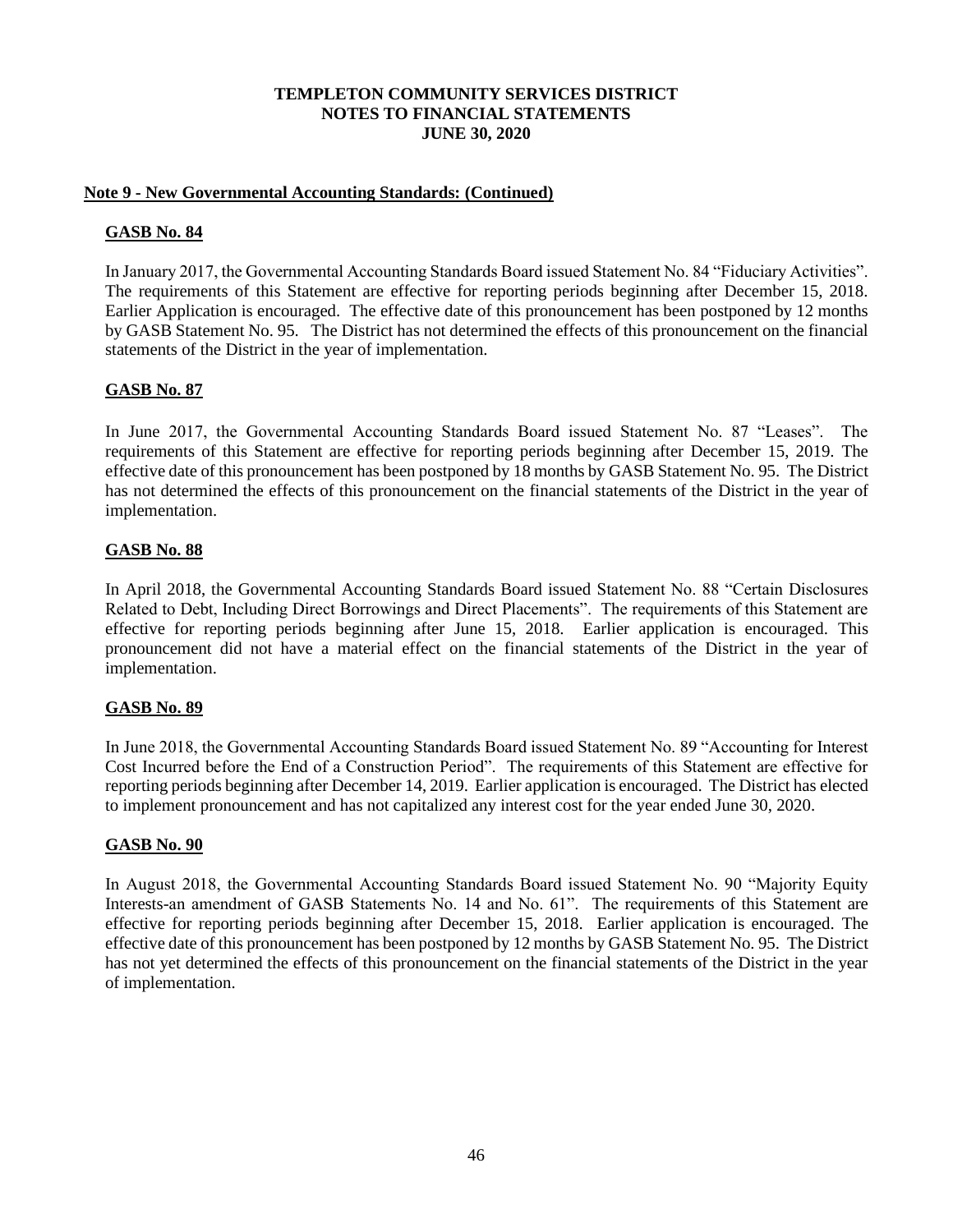## **Note 9 - New Governmental Accounting Standards: (Continued)**

## **GASB No. 84**

In January 2017, the Governmental Accounting Standards Board issued Statement No. 84 "Fiduciary Activities". The requirements of this Statement are effective for reporting periods beginning after December 15, 2018. Earlier Application is encouraged. The effective date of this pronouncement has been postponed by 12 months by GASB Statement No. 95. The District has not determined the effects of this pronouncement on the financial statements of the District in the year of implementation.

# **GASB No. 87**

In June 2017, the Governmental Accounting Standards Board issued Statement No. 87 "Leases". The requirements of this Statement are effective for reporting periods beginning after December 15, 2019. The effective date of this pronouncement has been postponed by 18 months by GASB Statement No. 95. The District has not determined the effects of this pronouncement on the financial statements of the District in the year of implementation.

## **GASB No. 88**

In April 2018, the Governmental Accounting Standards Board issued Statement No. 88 "Certain Disclosures Related to Debt, Including Direct Borrowings and Direct Placements". The requirements of this Statement are effective for reporting periods beginning after June 15, 2018. Earlier application is encouraged. This pronouncement did not have a material effect on the financial statements of the District in the year of implementation.

## **GASB No. 89**

In June 2018, the Governmental Accounting Standards Board issued Statement No. 89 "Accounting for Interest Cost Incurred before the End of a Construction Period". The requirements of this Statement are effective for reporting periods beginning after December 14, 2019. Earlier application is encouraged. The District has elected to implement pronouncement and has not capitalized any interest cost for the year ended June 30, 2020.

### **GASB No. 90**

In August 2018, the Governmental Accounting Standards Board issued Statement No. 90 "Majority Equity Interests-an amendment of GASB Statements No. 14 and No. 61". The requirements of this Statement are effective for reporting periods beginning after December 15, 2018. Earlier application is encouraged. The effective date of this pronouncement has been postponed by 12 months by GASB Statement No. 95. The District has not yet determined the effects of this pronouncement on the financial statements of the District in the year of implementation.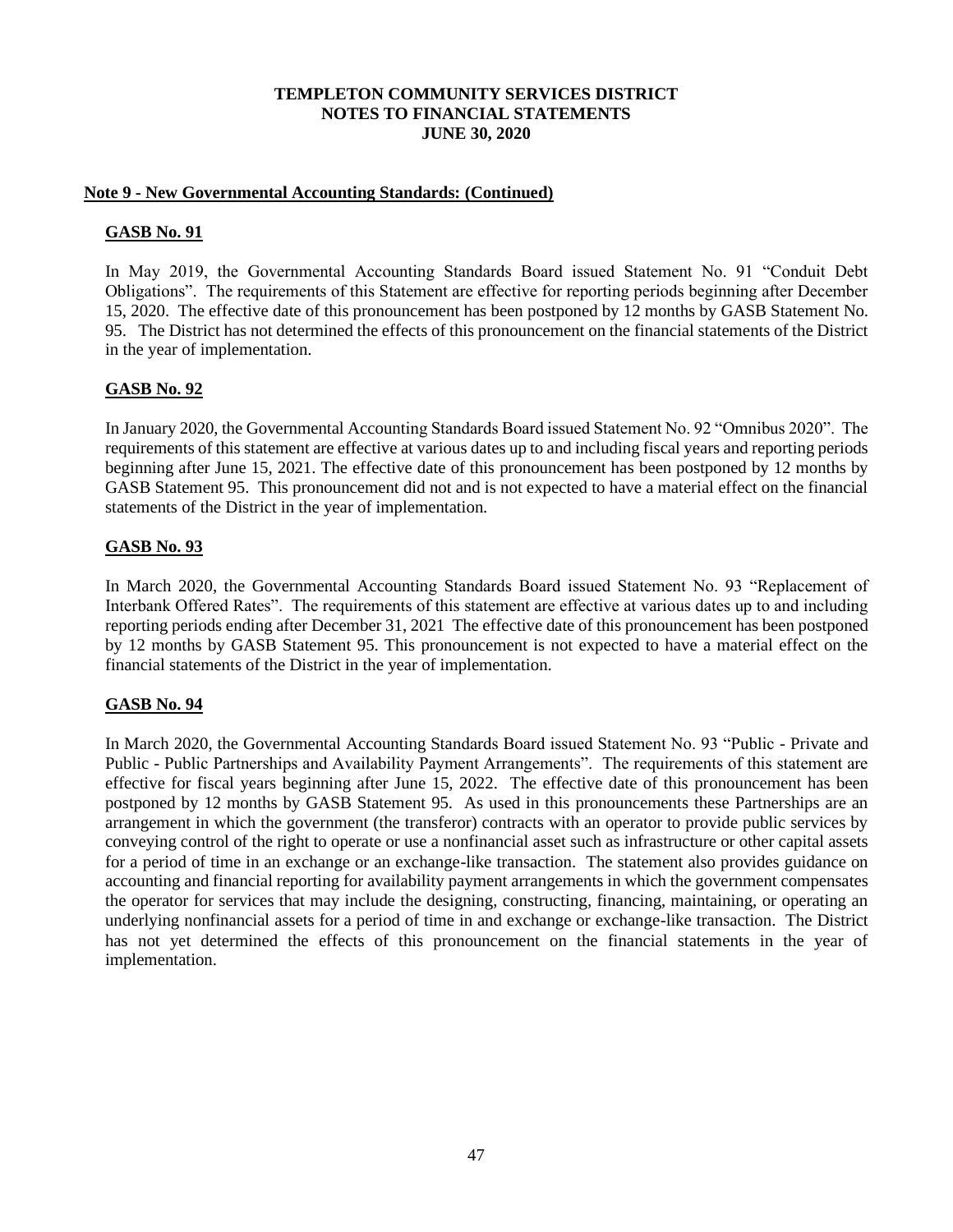## **Note 9 - New Governmental Accounting Standards: (Continued)**

## **GASB No. 91**

In May 2019, the Governmental Accounting Standards Board issued Statement No. 91 "Conduit Debt Obligations". The requirements of this Statement are effective for reporting periods beginning after December 15, 2020. The effective date of this pronouncement has been postponed by 12 months by GASB Statement No. 95. The District has not determined the effects of this pronouncement on the financial statements of the District in the year of implementation.

# **GASB No. 92**

In January 2020, the Governmental Accounting Standards Board issued Statement No. 92 "Omnibus 2020". The requirements of this statement are effective at various dates up to and including fiscal years and reporting periods beginning after June 15, 2021. The effective date of this pronouncement has been postponed by 12 months by GASB Statement 95. This pronouncement did not and is not expected to have a material effect on the financial statements of the District in the year of implementation.

## **GASB No. 93**

In March 2020, the Governmental Accounting Standards Board issued Statement No. 93 "Replacement of Interbank Offered Rates". The requirements of this statement are effective at various dates up to and including reporting periods ending after December 31, 2021 The effective date of this pronouncement has been postponed by 12 months by GASB Statement 95. This pronouncement is not expected to have a material effect on the financial statements of the District in the year of implementation.

## **GASB No. 94**

In March 2020, the Governmental Accounting Standards Board issued Statement No. 93 "Public - Private and Public - Public Partnerships and Availability Payment Arrangements". The requirements of this statement are effective for fiscal years beginning after June 15, 2022. The effective date of this pronouncement has been postponed by 12 months by GASB Statement 95. As used in this pronouncements these Partnerships are an arrangement in which the government (the transferor) contracts with an operator to provide public services by conveying control of the right to operate or use a nonfinancial asset such as infrastructure or other capital assets for a period of time in an exchange or an exchange-like transaction. The statement also provides guidance on accounting and financial reporting for availability payment arrangements in which the government compensates the operator for services that may include the designing, constructing, financing, maintaining, or operating an underlying nonfinancial assets for a period of time in and exchange or exchange-like transaction. The District has not yet determined the effects of this pronouncement on the financial statements in the year of implementation.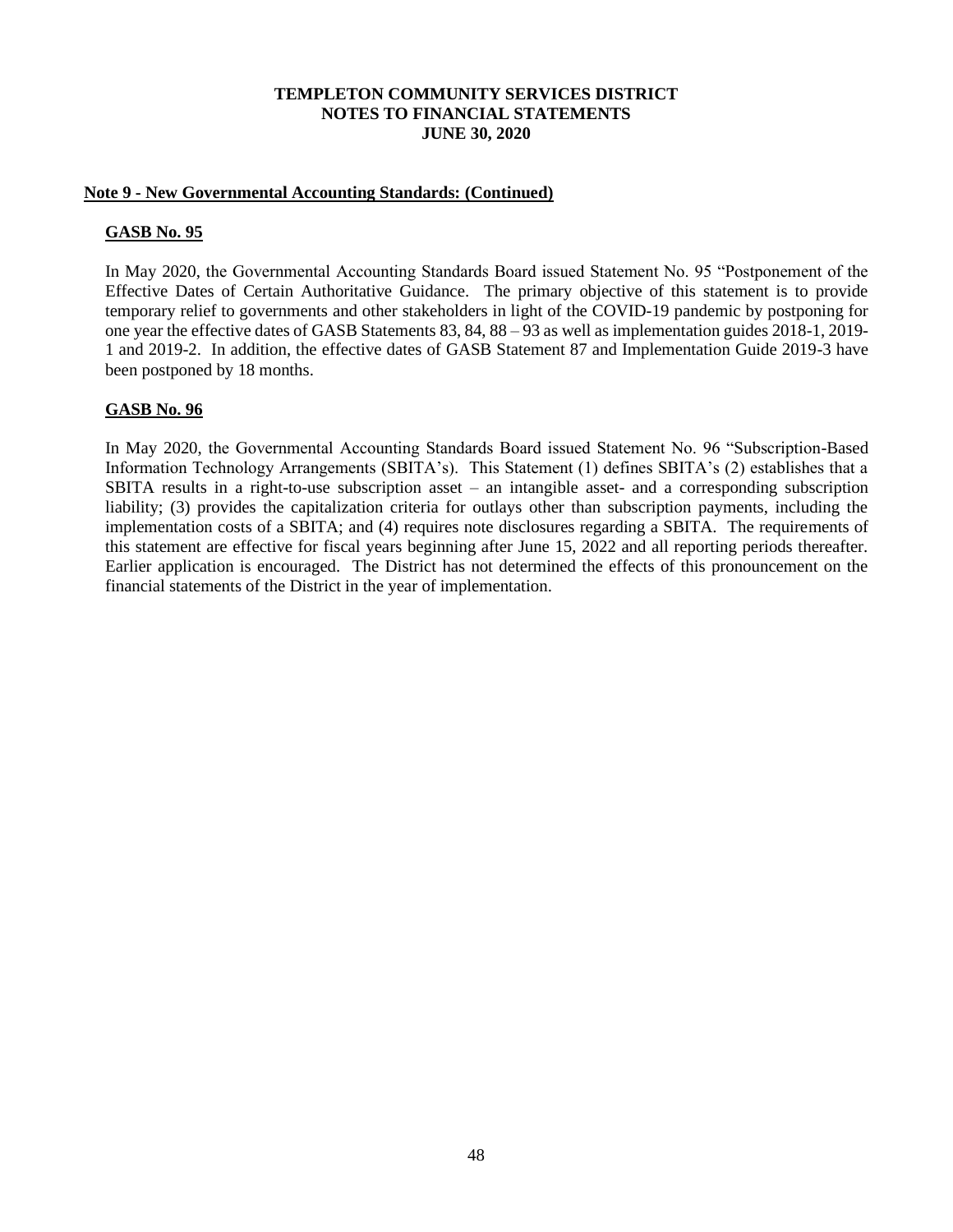## **Note 9 - New Governmental Accounting Standards: (Continued)**

## **GASB No. 95**

In May 2020, the Governmental Accounting Standards Board issued Statement No. 95 "Postponement of the Effective Dates of Certain Authoritative Guidance. The primary objective of this statement is to provide temporary relief to governments and other stakeholders in light of the COVID-19 pandemic by postponing for one year the effective dates of GASB Statements 83, 84, 88 – 93 as well as implementation guides 2018-1, 2019- 1 and 2019-2. In addition, the effective dates of GASB Statement 87 and Implementation Guide 2019-3 have been postponed by 18 months.

### **GASB No. 96**

In May 2020, the Governmental Accounting Standards Board issued Statement No. 96 "Subscription-Based Information Technology Arrangements (SBITA's). This Statement (1) defines SBITA's (2) establishes that a SBITA results in a right-to-use subscription asset – an intangible asset- and a corresponding subscription liability; (3) provides the capitalization criteria for outlays other than subscription payments, including the implementation costs of a SBITA; and (4) requires note disclosures regarding a SBITA. The requirements of this statement are effective for fiscal years beginning after June 15, 2022 and all reporting periods thereafter. Earlier application is encouraged. The District has not determined the effects of this pronouncement on the financial statements of the District in the year of implementation.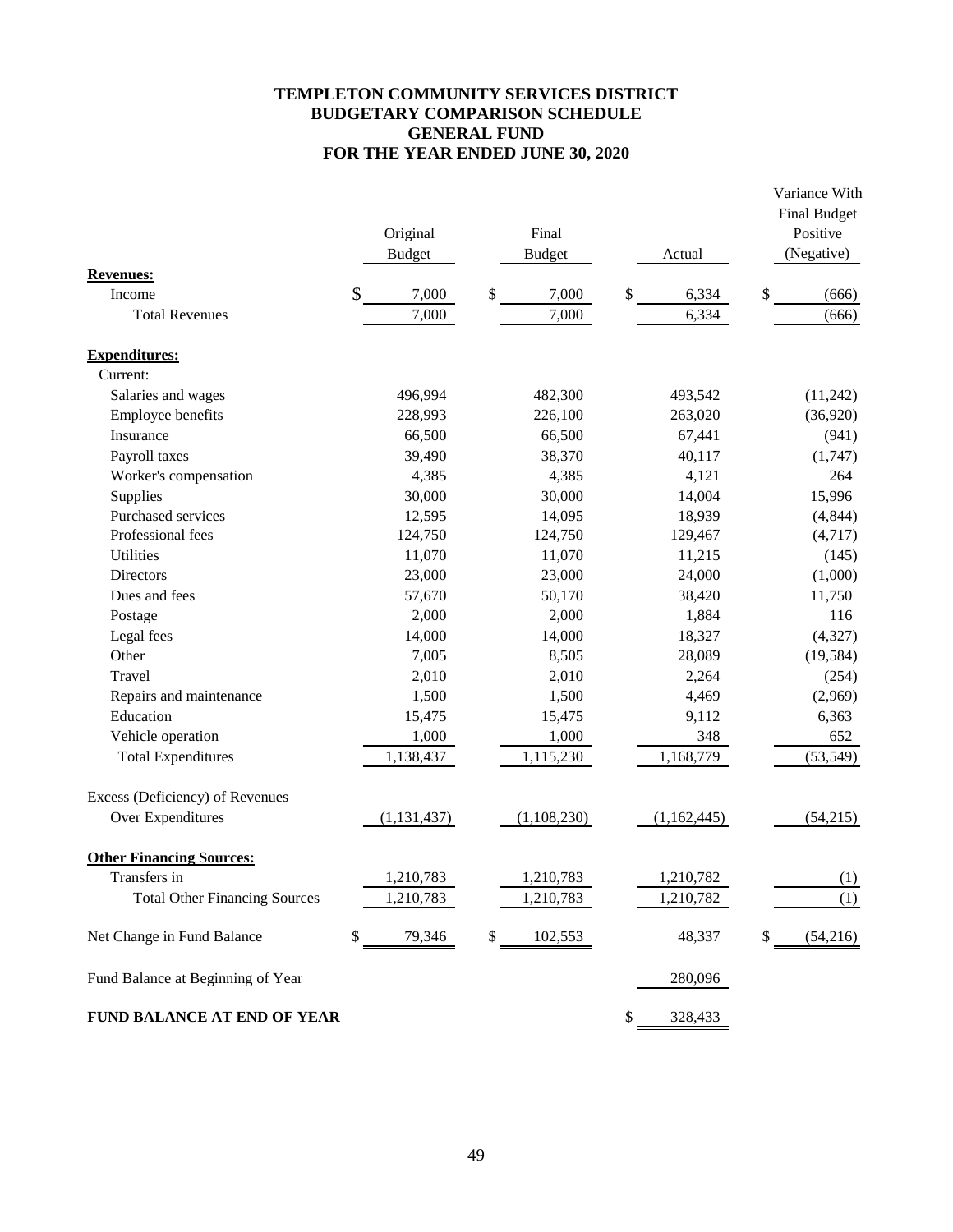# **TEMPLETON COMMUNITY SERVICES DISTRICT BUDGETARY COMPARISON SCHEDULE GENERAL FUND FOR THE YEAR ENDED JUNE 30, 2020**

|                                      |               |               |               | Variance With<br><b>Final Budget</b> |
|--------------------------------------|---------------|---------------|---------------|--------------------------------------|
|                                      | Original      | Final         |               | Positive                             |
|                                      | <b>Budget</b> | <b>Budget</b> | Actual        | (Negative)                           |
| <b>Revenues:</b>                     |               |               |               |                                      |
| Income                               | \$<br>7,000   | \$<br>7,000   | \$<br>6,334   | \$<br>(666)                          |
| <b>Total Revenues</b>                | 7,000         | 7,000         | 6,334         | (666)                                |
| <b>Expenditures:</b>                 |               |               |               |                                      |
| Current:                             |               |               |               |                                      |
| Salaries and wages                   | 496,994       | 482,300       | 493,542       | (11,242)                             |
| Employee benefits                    | 228,993       | 226,100       | 263,020       | (36,920)                             |
| Insurance                            | 66,500        | 66,500        | 67,441        | (941)                                |
| Payroll taxes                        | 39,490        | 38,370        | 40,117        | (1,747)                              |
| Worker's compensation                | 4,385         | 4,385         | 4,121         | 264                                  |
| Supplies                             | 30,000        | 30,000        | 14,004        | 15,996                               |
| Purchased services                   | 12,595        | 14,095        | 18,939        | (4, 844)                             |
| Professional fees                    | 124,750       | 124,750       | 129,467       | (4,717)                              |
| Utilities                            | 11,070        | 11,070        | 11,215        | (145)                                |
| Directors                            | 23,000        | 23,000        | 24,000        | (1,000)                              |
| Dues and fees                        | 57,670        | 50,170        | 38,420        | 11,750                               |
| Postage                              | 2,000         | 2,000         | 1,884         | 116                                  |
| Legal fees                           | 14,000        | 14,000        | 18,327        | (4,327)                              |
| Other                                | 7,005         | 8,505         | 28,089        | (19, 584)                            |
| Travel                               | 2,010         | 2,010         | 2,264         | (254)                                |
| Repairs and maintenance              | 1,500         | 1,500         | 4,469         | (2,969)                              |
| Education                            | 15,475        | 15,475        | 9,112         | 6,363                                |
| Vehicle operation                    | 1,000         | 1,000         | 348           | 652                                  |
| <b>Total Expenditures</b>            | 1,138,437     | 1,115,230     | 1,168,779     | (53, 549)                            |
| Excess (Deficiency) of Revenues      |               |               |               |                                      |
| Over Expenditures                    | (1, 131, 437) | (1,108,230)   | (1,162,445)   | (54,215)                             |
| <b>Other Financing Sources:</b>      |               |               |               |                                      |
| Transfers in                         | 1,210,783     | 1,210,783     | 1,210,782     | (1)                                  |
| <b>Total Other Financing Sources</b> | 1,210,783     | 1,210,783     | 1,210,782     | (1)                                  |
| Net Change in Fund Balance           | \$<br>79,346  | \$<br>102,553 | 48,337        | \$<br>(54,216)                       |
| Fund Balance at Beginning of Year    |               |               | 280,096       |                                      |
| FUND BALANCE AT END OF YEAR          |               |               | \$<br>328,433 |                                      |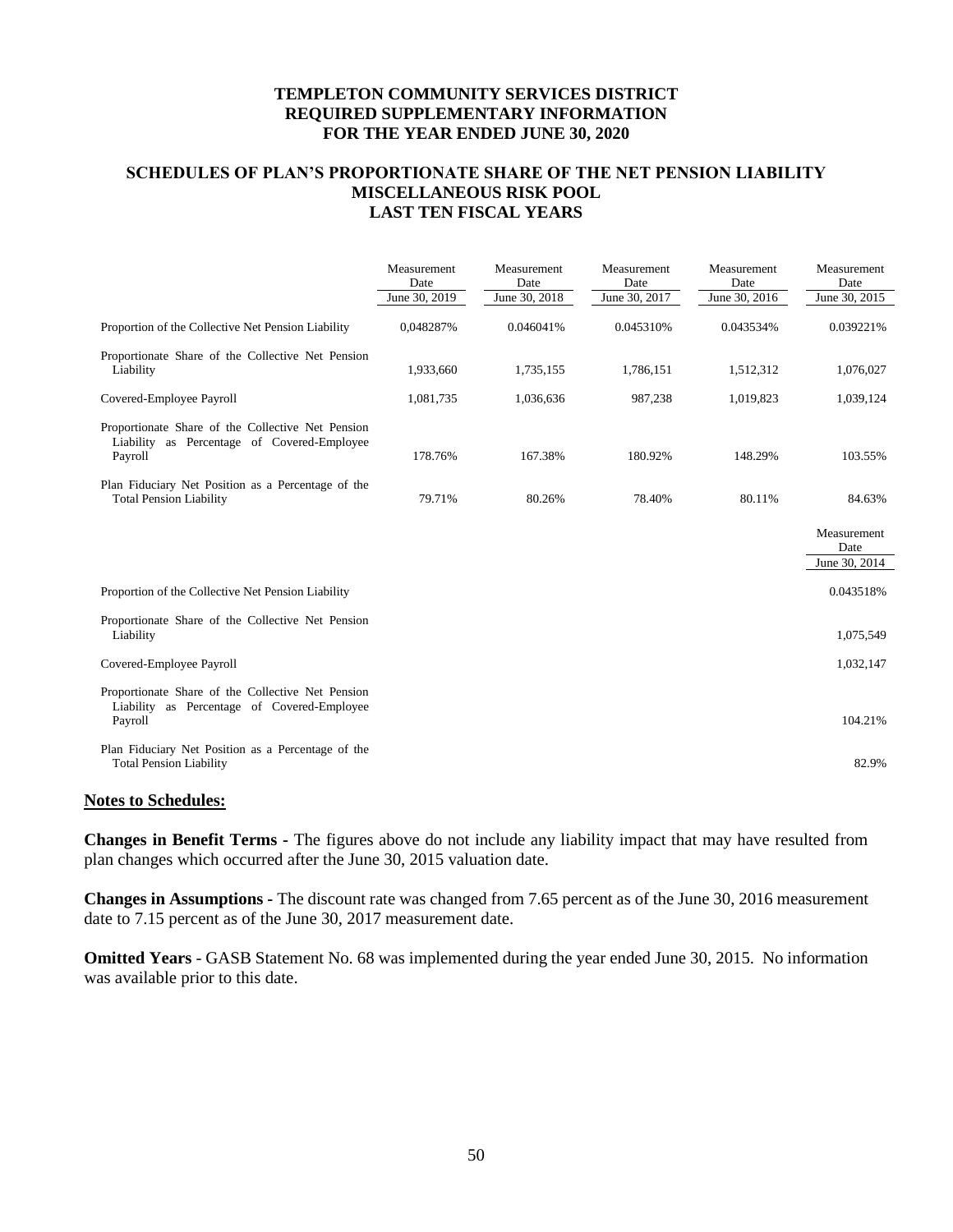### **SCHEDULES OF PLAN'S PROPORTIONATE SHARE OF THE NET PENSION LIABILITY MISCELLANEOUS RISK POOL LAST TEN FISCAL YEARS**

|                                                                                                             | Measurement<br>Date<br>June 30, 2019 | Measurement<br>Date<br>June 30, 2018 | Measurement<br>Date<br>June 30, 2017 | Measurement<br>Date<br>June 30, 2016 | Measurement<br>Date<br>June 30, 2015 |
|-------------------------------------------------------------------------------------------------------------|--------------------------------------|--------------------------------------|--------------------------------------|--------------------------------------|--------------------------------------|
| Proportion of the Collective Net Pension Liability                                                          | 0,048287%                            | 0.046041%                            | 0.045310%                            | 0.043534%                            | 0.039221%                            |
| Proportionate Share of the Collective Net Pension<br>Liability                                              | 1,933,660                            | 1,735,155                            | 1,786,151                            | 1,512,312                            | 1,076,027                            |
| Covered-Employee Payroll                                                                                    | 1,081,735                            | 1,036,636                            | 987,238                              | 1,019,823                            | 1,039,124                            |
| Proportionate Share of the Collective Net Pension<br>Liability as Percentage of Covered-Employee<br>Payroll | 178.76%                              | 167.38%                              | 180.92%                              | 148.29%                              | 103.55%                              |
| Plan Fiduciary Net Position as a Percentage of the<br><b>Total Pension Liability</b>                        | 79.71%                               | 80.26%                               | 78.40%                               | 80.11%                               | 84.63%                               |
|                                                                                                             |                                      |                                      |                                      |                                      | Measurement<br>Date                  |
|                                                                                                             |                                      |                                      |                                      |                                      | June 30, 2014                        |
| Proportion of the Collective Net Pension Liability                                                          |                                      |                                      |                                      |                                      | 0.043518%                            |
| Proportionate Share of the Collective Net Pension<br>Liability                                              |                                      |                                      |                                      |                                      | 1,075,549                            |
| Covered-Employee Payroll                                                                                    |                                      |                                      |                                      |                                      | 1,032,147                            |
| Proportionate Share of the Collective Net Pension<br>Liability as Percentage of Covered-Employee<br>Payroll |                                      |                                      |                                      |                                      | 104.21%                              |
| Plan Fiduciary Net Position as a Percentage of the<br><b>Total Pension Liability</b>                        |                                      |                                      |                                      |                                      | 82.9%                                |

### **Notes to Schedules:**

**Changes in Benefit Terms -** The figures above do not include any liability impact that may have resulted from plan changes which occurred after the June 30, 2015 valuation date.

**Changes in Assumptions -** The discount rate was changed from 7.65 percent as of the June 30, 2016 measurement date to 7.15 percent as of the June 30, 2017 measurement date.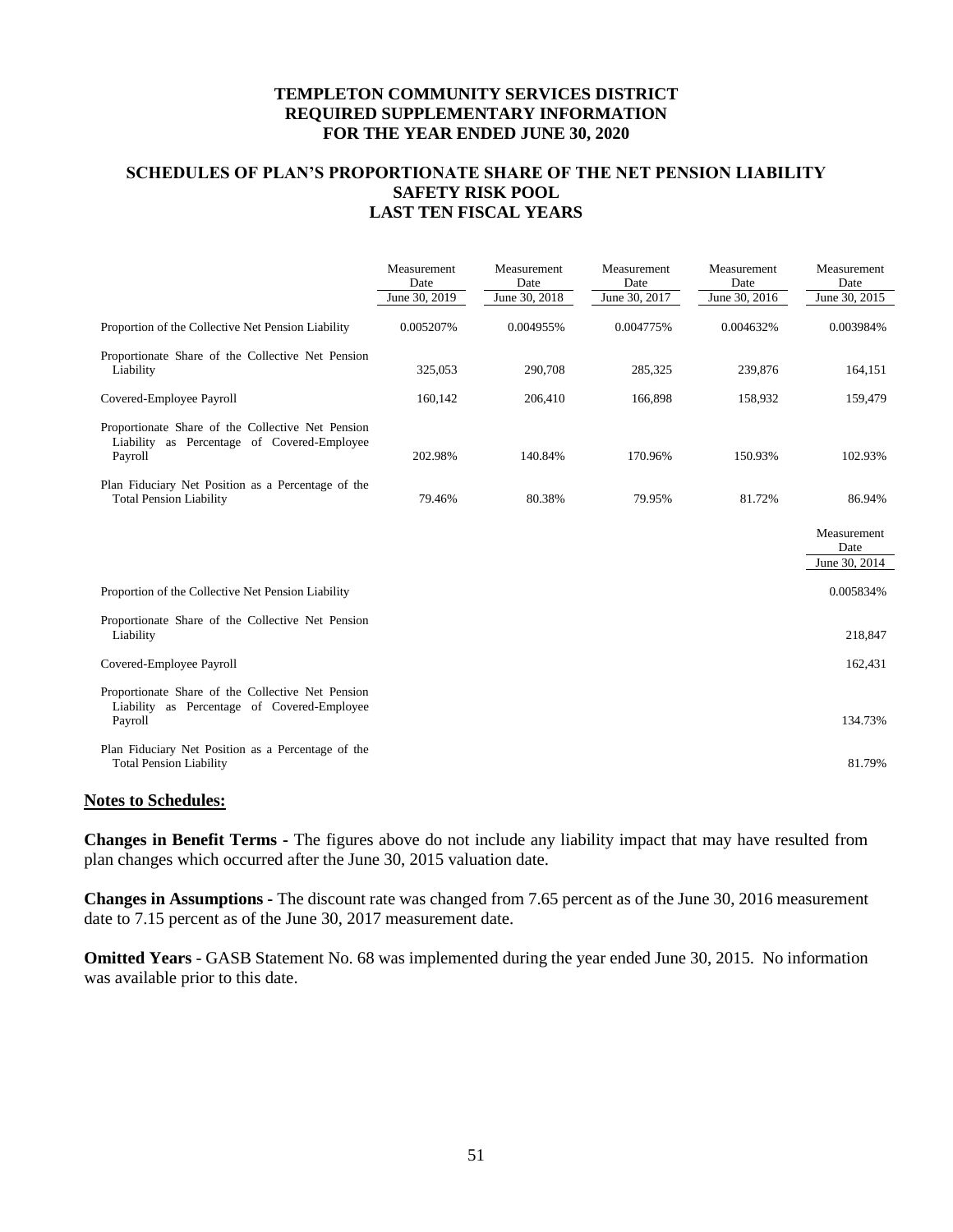## **SCHEDULES OF PLAN'S PROPORTIONATE SHARE OF THE NET PENSION LIABILITY SAFETY RISK POOL LAST TEN FISCAL YEARS**

|                                                                                                             | Measurement<br>Date<br>June 30, 2019 | Measurement<br>Date<br>June 30, 2018 | Measurement<br>Date<br>June 30, 2017 | Measurement<br>Date<br>June 30, 2016 | Measurement<br>Date<br>June 30, 2015 |
|-------------------------------------------------------------------------------------------------------------|--------------------------------------|--------------------------------------|--------------------------------------|--------------------------------------|--------------------------------------|
| Proportion of the Collective Net Pension Liability                                                          | 0.005207%                            | 0.004955%                            | 0.004775%                            | 0.004632%                            | 0.003984%                            |
| Proportionate Share of the Collective Net Pension<br>Liability                                              | 325,053                              | 290,708                              | 285,325                              | 239,876                              | 164,151                              |
| Covered-Employee Payroll                                                                                    | 160,142                              | 206,410                              | 166,898                              | 158,932                              | 159,479                              |
| Proportionate Share of the Collective Net Pension<br>Liability as Percentage of Covered-Employee<br>Payroll | 202.98%                              | 140.84%                              | 170.96%                              | 150.93%                              | 102.93%                              |
| Plan Fiduciary Net Position as a Percentage of the<br><b>Total Pension Liability</b>                        | 79.46%                               | 80.38%                               | 79.95%                               | 81.72%                               | 86.94%                               |
|                                                                                                             |                                      |                                      |                                      |                                      | Measurement<br>Date                  |
|                                                                                                             |                                      |                                      |                                      |                                      | June 30, 2014                        |
| Proportion of the Collective Net Pension Liability                                                          |                                      |                                      |                                      |                                      | 0.005834%                            |
| Proportionate Share of the Collective Net Pension<br>Liability                                              |                                      |                                      |                                      |                                      | 218,847                              |
| Covered-Employee Payroll                                                                                    |                                      |                                      |                                      |                                      | 162,431                              |
| Proportionate Share of the Collective Net Pension<br>Liability as Percentage of Covered-Employee<br>Payroll |                                      |                                      |                                      |                                      | 134.73%                              |
| Plan Fiduciary Net Position as a Percentage of the<br><b>Total Pension Liability</b>                        |                                      |                                      |                                      |                                      | 81.79%                               |

### **Notes to Schedules:**

**Changes in Benefit Terms -** The figures above do not include any liability impact that may have resulted from plan changes which occurred after the June 30, 2015 valuation date.

**Changes in Assumptions -** The discount rate was changed from 7.65 percent as of the June 30, 2016 measurement date to 7.15 percent as of the June 30, 2017 measurement date.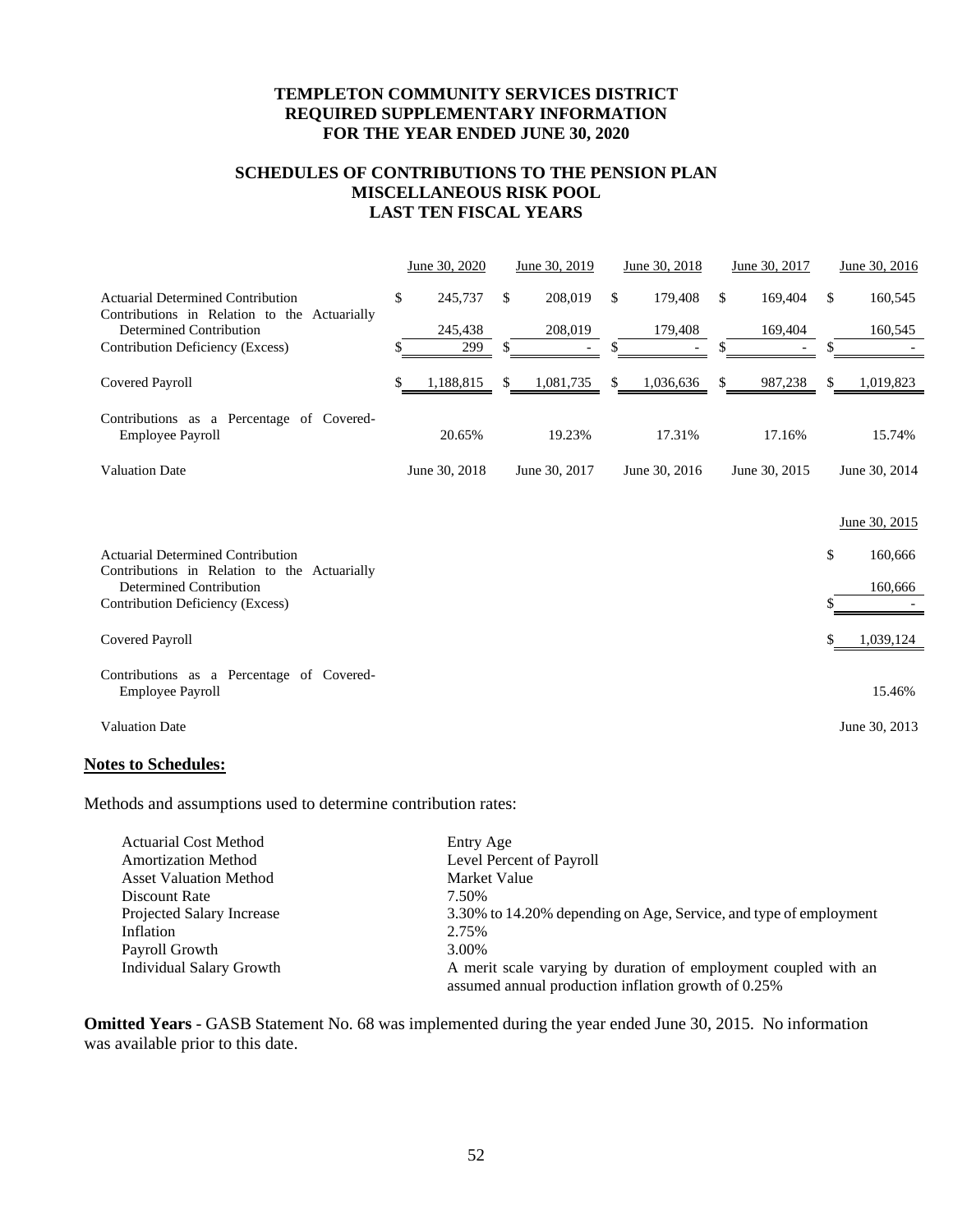## **SCHEDULES OF CONTRIBUTIONS TO THE PENSION PLAN MISCELLANEOUS RISK POOL LAST TEN FISCAL YEARS**

|                                                                                   | June 30, 2020 |     | June 30, 2019 |    | June 30, 2018 |     | June 30, 2017 |    | June 30, 2016 |
|-----------------------------------------------------------------------------------|---------------|-----|---------------|----|---------------|-----|---------------|----|---------------|
| Actuarial Determined Contribution<br>Contributions in Relation to the Actuarially | \$<br>245,737 | \$. | 208,019       | S  | 179,408       | \$  | 169,404       | \$ | 160,545       |
| Determined Contribution                                                           | 245,438       |     | 208,019       |    | 179,408       |     | 169,404       |    | 160,545       |
| Contribution Deficiency (Excess)                                                  | 299           |     |               |    |               |     |               | S  |               |
| Covered Payroll                                                                   | 1,188,815     | S.  | 1,081,735     | S. | 1,036,636     | \$. | 987,238       | \$ | 1,019,823     |
| Contributions as a Percentage of Covered-<br><b>Employee Payroll</b>              | 20.65%        |     | 19.23%        |    | 17.31%        |     | 17.16%        |    | 15.74%        |
| <b>Valuation Date</b>                                                             | June 30, 2018 |     | June 30, 2017 |    | June 30, 2016 |     | June 30, 2015 |    | June 30, 2014 |
|                                                                                   |               |     |               |    |               |     |               |    | June 30, 2015 |

| <b>Actuarial Determined Contribution</b><br>Contributions in Relation to the Actuarially<br>Determined Contribution | \$<br>160,666<br>160,666 |
|---------------------------------------------------------------------------------------------------------------------|--------------------------|
| Contribution Deficiency (Excess)                                                                                    |                          |
| Covered Payroll                                                                                                     | \$<br>1,039,124          |
| Contributions as a Percentage of Covered-<br>Employee Payroll                                                       | 15.46%                   |
| <b>Valuation Date</b>                                                                                               | June 30, 2013            |

### **Notes to Schedules:**

Methods and assumptions used to determine contribution rates:

| <b>Actuarial Cost Method</b>    | Entry Age                                                                                                              |
|---------------------------------|------------------------------------------------------------------------------------------------------------------------|
| <b>Amortization Method</b>      | Level Percent of Payroll                                                                                               |
| <b>Asset Valuation Method</b>   | Market Value                                                                                                           |
| Discount Rate                   | 7.50%                                                                                                                  |
| Projected Salary Increase       | 3.30% to 14.20% depending on Age, Service, and type of employment                                                      |
| Inflation                       | 2.75%                                                                                                                  |
| Payroll Growth                  | 3.00%                                                                                                                  |
| <b>Individual Salary Growth</b> | A merit scale varying by duration of employment coupled with an<br>assumed annual production inflation growth of 0.25% |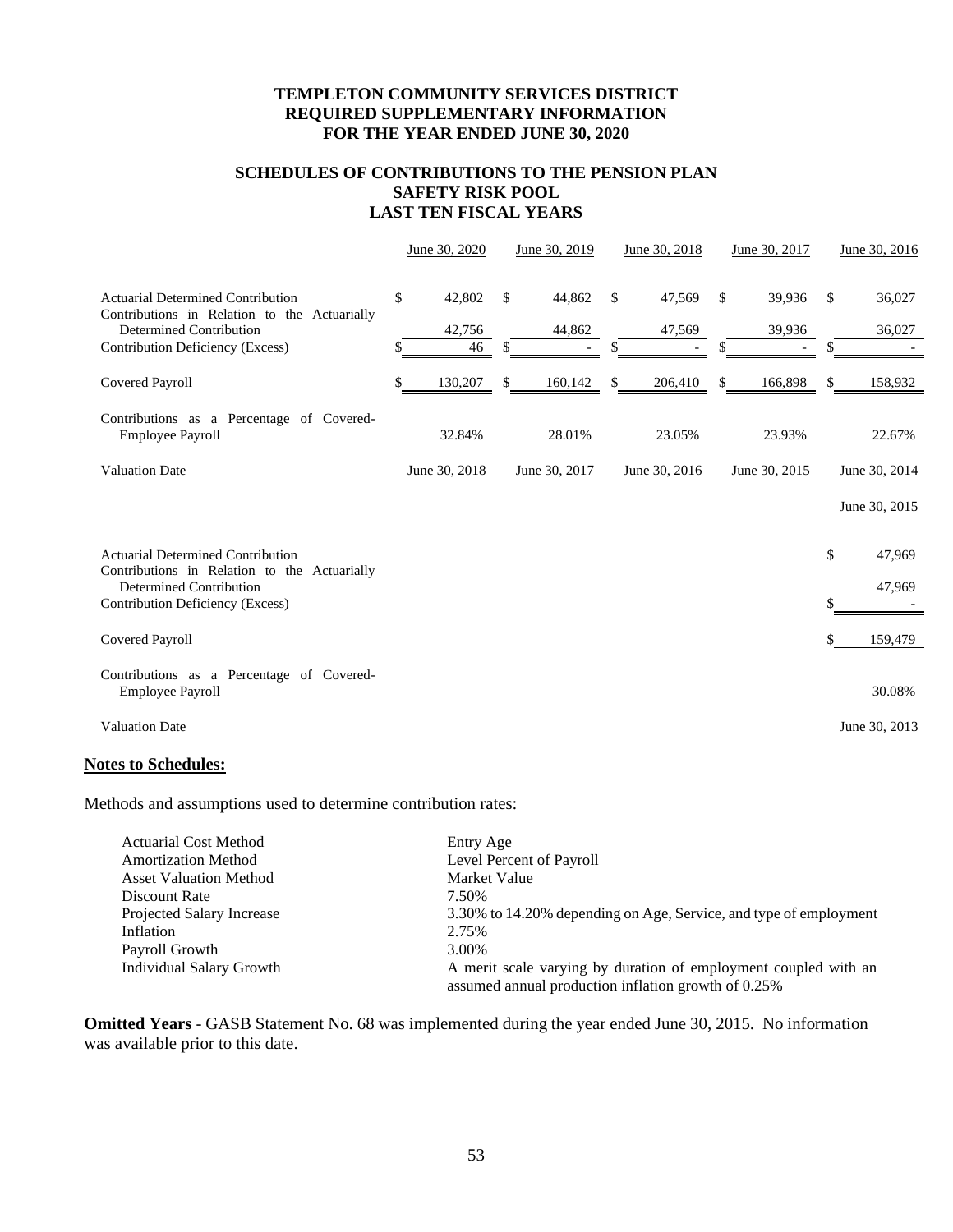## **SCHEDULES OF CONTRIBUTIONS TO THE PENSION PLAN SAFETY RISK POOL LAST TEN FISCAL YEARS**

|                                                                                                                                                                                   | June 30, 2020                           | June 30, 2019                                 | June 30, 2018                                 | June 30, 2017                                 | June 30, 2016                                 |
|-----------------------------------------------------------------------------------------------------------------------------------------------------------------------------------|-----------------------------------------|-----------------------------------------------|-----------------------------------------------|-----------------------------------------------|-----------------------------------------------|
| <b>Actuarial Determined Contribution</b><br>Contributions in Relation to the Actuarially<br><b>Determined Contribution</b><br>Contribution Deficiency (Excess)<br>Covered Payroll | \$<br>42,802<br>42,756<br>46<br>130,207 | \$<br>44,862<br>44,862<br>\$<br>\$<br>160,142 | \$<br>47,569<br>47,569<br>\$<br>\$<br>206,410 | \$<br>39,936<br>39,936<br>\$<br>\$<br>166,898 | \$<br>36,027<br>36,027<br>\$<br>\$<br>158,932 |
| Contributions as a Percentage of Covered-<br><b>Employee Payroll</b>                                                                                                              | 32.84%                                  | 28.01%                                        | 23.05%                                        | 23.93%                                        | 22.67%                                        |
| <b>Valuation Date</b>                                                                                                                                                             | June 30, 2018                           | June 30, 2017                                 | June 30, 2016                                 | June 30, 2015                                 | June 30, 2014                                 |
|                                                                                                                                                                                   |                                         |                                               |                                               |                                               | June 30, 2015                                 |
| <b>Actuarial Determined Contribution</b><br>Contributions in Relation to the Actuarially<br>Determined Contribution<br>Contribution Deficiency (Excess)                           |                                         |                                               |                                               |                                               | \$<br>47,969<br>47,969<br>S                   |
| Covered Payroll                                                                                                                                                                   |                                         |                                               |                                               |                                               | 159,479<br>\$                                 |
| Contributions as a Percentage of Covered-<br><b>Employee Payroll</b>                                                                                                              |                                         |                                               |                                               |                                               | 30.08%                                        |
| <b>Valuation Date</b>                                                                                                                                                             |                                         |                                               |                                               |                                               | June 30, 2013                                 |

### **Notes to Schedules:**

Methods and assumptions used to determine contribution rates:

| <b>Actuarial Cost Method</b>    | Entry Age                                                                                                              |
|---------------------------------|------------------------------------------------------------------------------------------------------------------------|
| <b>Amortization Method</b>      | Level Percent of Payroll                                                                                               |
| <b>Asset Valuation Method</b>   | Market Value                                                                                                           |
| Discount Rate                   | 7.50%                                                                                                                  |
| Projected Salary Increase       | 3.30% to 14.20% depending on Age, Service, and type of employment                                                      |
| Inflation                       | 2.75%                                                                                                                  |
| Payroll Growth                  | 3.00%                                                                                                                  |
| <b>Individual Salary Growth</b> | A merit scale varying by duration of employment coupled with an<br>assumed annual production inflation growth of 0.25% |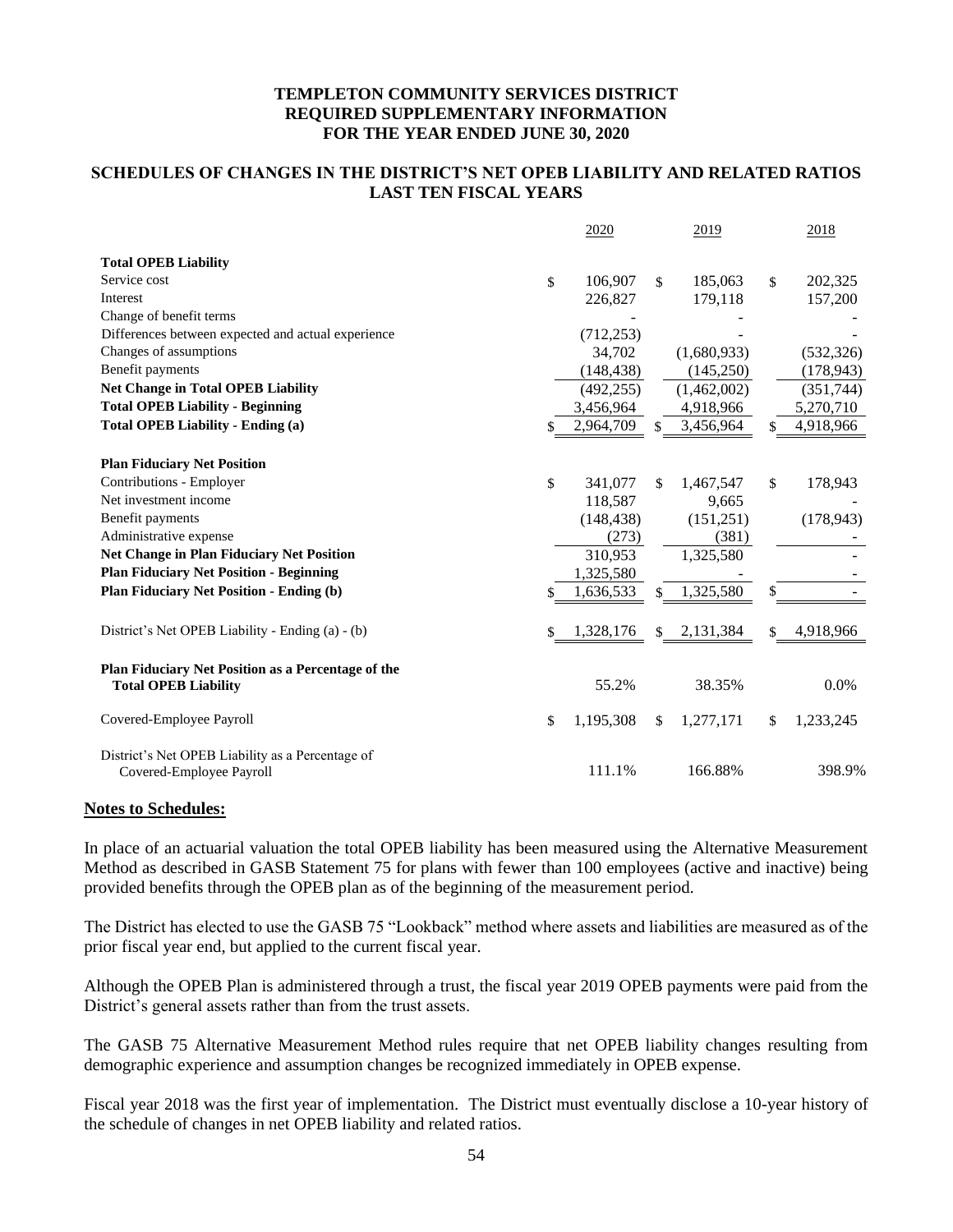## **SCHEDULES OF CHANGES IN THE DISTRICT'S NET OPEB LIABILITY AND RELATED RATIOS LAST TEN FISCAL YEARS**

|                                                                                   |    | 2020       |                    | 2019        |               | 2018       |
|-----------------------------------------------------------------------------------|----|------------|--------------------|-------------|---------------|------------|
| <b>Total OPEB Liability</b>                                                       |    |            |                    |             |               |            |
| Service cost                                                                      | \$ | 106,907    | \$                 | 185,063     | \$            | 202,325    |
| Interest                                                                          |    | 226,827    |                    | 179,118     |               | 157,200    |
| Change of benefit terms                                                           |    |            |                    |             |               |            |
| Differences between expected and actual experience                                |    | (712, 253) |                    |             |               |            |
| Changes of assumptions                                                            |    | 34,702     |                    | (1,680,933) |               | (532, 326) |
| Benefit payments                                                                  |    | (148, 438) |                    | (145,250)   |               | (178, 943) |
| <b>Net Change in Total OPEB Liability</b>                                         |    | (492, 255) |                    | (1,462,002) |               | (351,744)  |
| <b>Total OPEB Liability - Beginning</b>                                           |    | 3,456,964  |                    | 4,918,966   |               | 5,270,710  |
| <b>Total OPEB Liability - Ending (a)</b>                                          | S  | 2,964,709  | \$                 | 3,456,964   | \$            | 4,918,966  |
|                                                                                   |    |            |                    |             |               |            |
| <b>Plan Fiduciary Net Position</b>                                                |    |            |                    |             |               |            |
| Contributions - Employer                                                          | \$ | 341,077    | \$.                | 1,467,547   | <sup>\$</sup> | 178,943    |
| Net investment income                                                             |    | 118.587    |                    | 9.665       |               |            |
| Benefit payments                                                                  |    | (148, 438) |                    | (151,251)   |               | (178, 943) |
| Administrative expense                                                            |    | (273)      |                    | (381)       |               |            |
| Net Change in Plan Fiduciary Net Position                                         |    | 310,953    |                    | 1,325,580   |               |            |
| <b>Plan Fiduciary Net Position - Beginning</b>                                    |    | 1,325,580  |                    |             |               |            |
| <b>Plan Fiduciary Net Position - Ending (b)</b>                                   | \$ | 1,636,533  | $\mathbf{\hat{S}}$ | 1,325,580   | \$            |            |
| District's Net OPEB Liability - Ending (a) - (b)                                  | \$ | 1,328,176  | \$                 | 2,131,384   | \$            | 4,918,966  |
| Plan Fiduciary Net Position as a Percentage of the<br><b>Total OPEB Liability</b> |    | 55.2%      |                    | 38.35%      |               | 0.0%       |
| Covered-Employee Payroll                                                          | \$ | 1,195,308  | \$                 | 1,277,171   | \$.           | 1,233,245  |
| District's Net OPEB Liability as a Percentage of<br>Covered-Employee Payroll      |    | 111.1%     |                    | 166.88%     |               | 398.9%     |

#### **Notes to Schedules:**

In place of an actuarial valuation the total OPEB liability has been measured using the Alternative Measurement Method as described in GASB Statement 75 for plans with fewer than 100 employees (active and inactive) being provided benefits through the OPEB plan as of the beginning of the measurement period.

The District has elected to use the GASB 75 "Lookback" method where assets and liabilities are measured as of the prior fiscal year end, but applied to the current fiscal year.

Although the OPEB Plan is administered through a trust, the fiscal year 2019 OPEB payments were paid from the District's general assets rather than from the trust assets.

The GASB 75 Alternative Measurement Method rules require that net OPEB liability changes resulting from demographic experience and assumption changes be recognized immediately in OPEB expense.

Fiscal year 2018 was the first year of implementation. The District must eventually disclose a 10-year history of the schedule of changes in net OPEB liability and related ratios.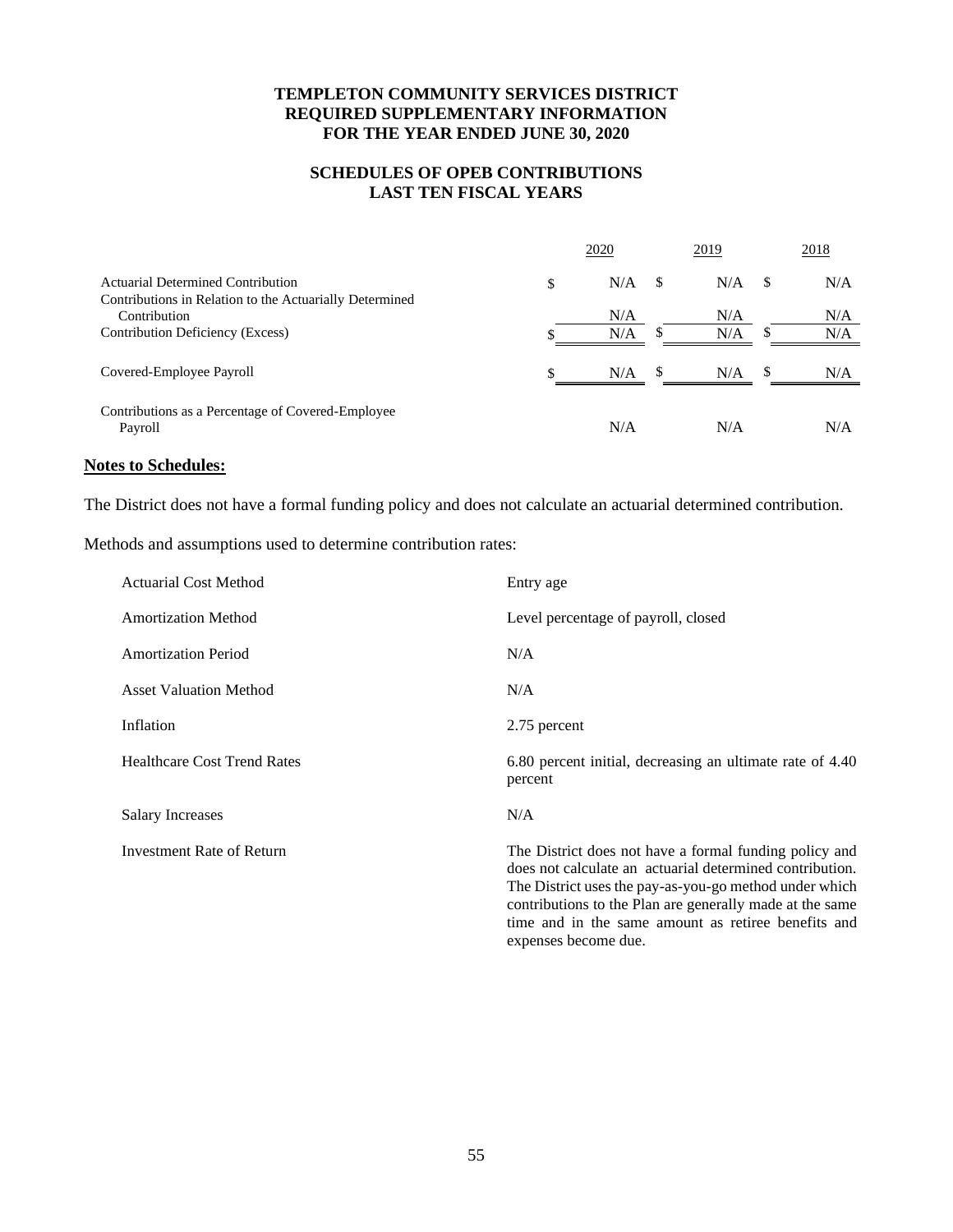# **SCHEDULES OF OPEB CONTRIBUTIONS LAST TEN FISCAL YEARS**

|                                                                         | 2020      |     | 2019 |     | 2018 |
|-------------------------------------------------------------------------|-----------|-----|------|-----|------|
| <b>Actuarial Determined Contribution</b>                                | \$<br>N/A | -S  | N/A  | S.  | N/A  |
| Contributions in Relation to the Actuarially Determined<br>Contribution | N/A       |     | N/A  |     | N/A  |
| Contribution Deficiency (Excess)                                        | N/A       |     | N/A  |     | N/A  |
| Covered-Employee Payroll                                                | N/A       | \$. | N/A  | \$. | N/A  |
| Contributions as a Percentage of Covered-Employee<br>Payroll            | N/A       |     | N/A  |     | N/A  |

### **Notes to Schedules:**

The District does not have a formal funding policy and does not calculate an actuarial determined contribution.

Methods and assumptions used to determine contribution rates:

| <b>Actuarial Cost Method</b>       | Entry age                                                                                                                                                                                                                                                                                                               |
|------------------------------------|-------------------------------------------------------------------------------------------------------------------------------------------------------------------------------------------------------------------------------------------------------------------------------------------------------------------------|
| <b>Amortization Method</b>         | Level percentage of payroll, closed                                                                                                                                                                                                                                                                                     |
| <b>Amortization Period</b>         | N/A                                                                                                                                                                                                                                                                                                                     |
| <b>Asset Valuation Method</b>      | N/A                                                                                                                                                                                                                                                                                                                     |
| Inflation                          | 2.75 percent                                                                                                                                                                                                                                                                                                            |
| <b>Healthcare Cost Trend Rates</b> | 6.80 percent initial, decreasing an ultimate rate of 4.40<br>percent                                                                                                                                                                                                                                                    |
| <b>Salary Increases</b>            | N/A                                                                                                                                                                                                                                                                                                                     |
| Investment Rate of Return          | The District does not have a formal funding policy and<br>does not calculate an actuarial determined contribution.<br>The District uses the pay-as-you-go method under which<br>contributions to the Plan are generally made at the same<br>time and in the same amount as retiree benefits and<br>expenses become due. |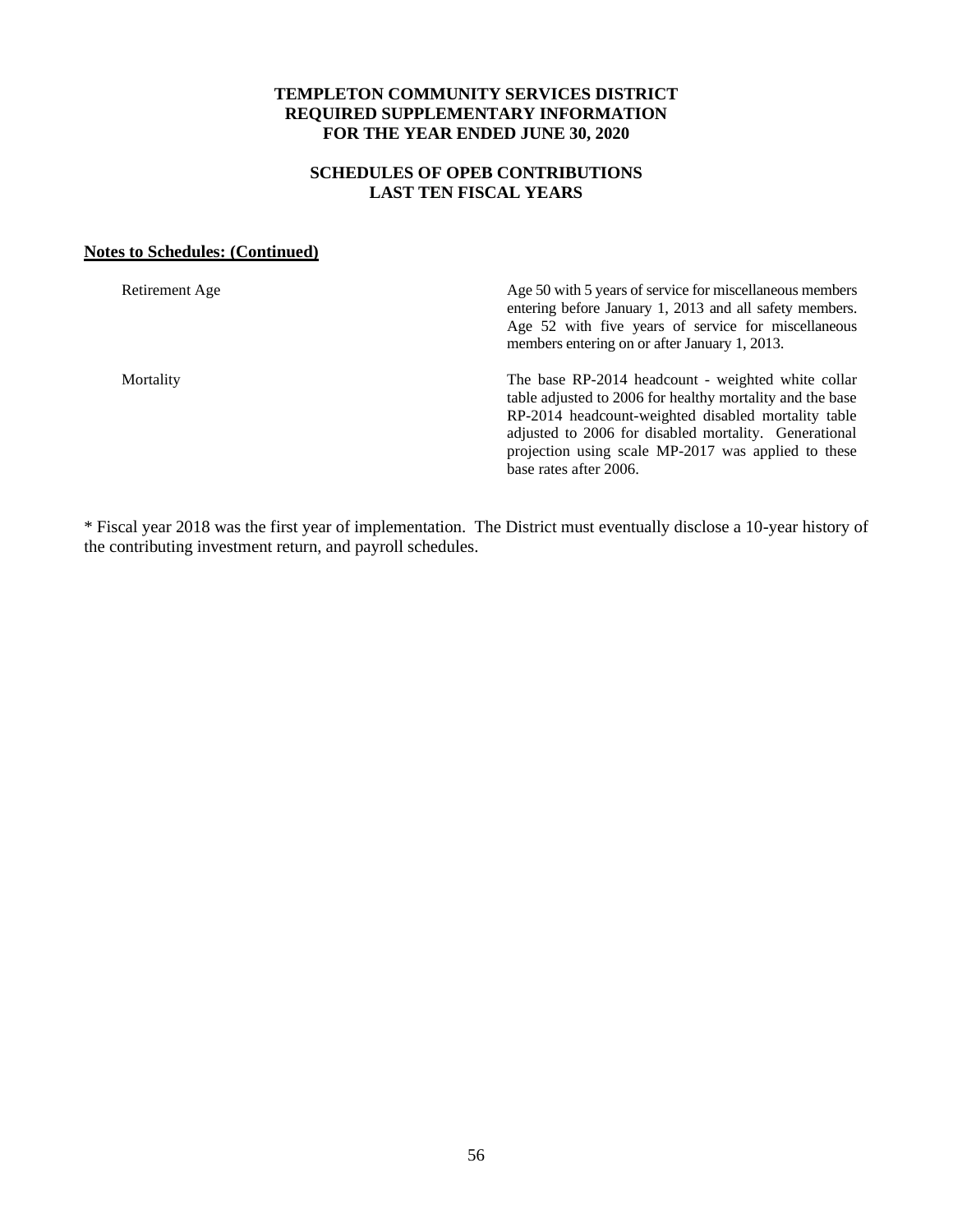## **SCHEDULES OF OPEB CONTRIBUTIONS LAST TEN FISCAL YEARS**

### **Notes to Schedules: (Continued)**

Retirement Age Age 50 with 5 years of service for miscellaneous members entering before January 1, 2013 and all safety members. Age 52 with five years of service for miscellaneous members entering on or after January 1, 2013.

Mortality The base RP-2014 headcount - weighted white collar table adjusted to 2006 for healthy mortality and the base RP-2014 headcount-weighted disabled mortality table adjusted to 2006 for disabled mortality. Generational projection using scale MP-2017 was applied to these base rates after 2006.

\* Fiscal year 2018 was the first year of implementation. The District must eventually disclose a 10-year history of the contributing investment return, and payroll schedules.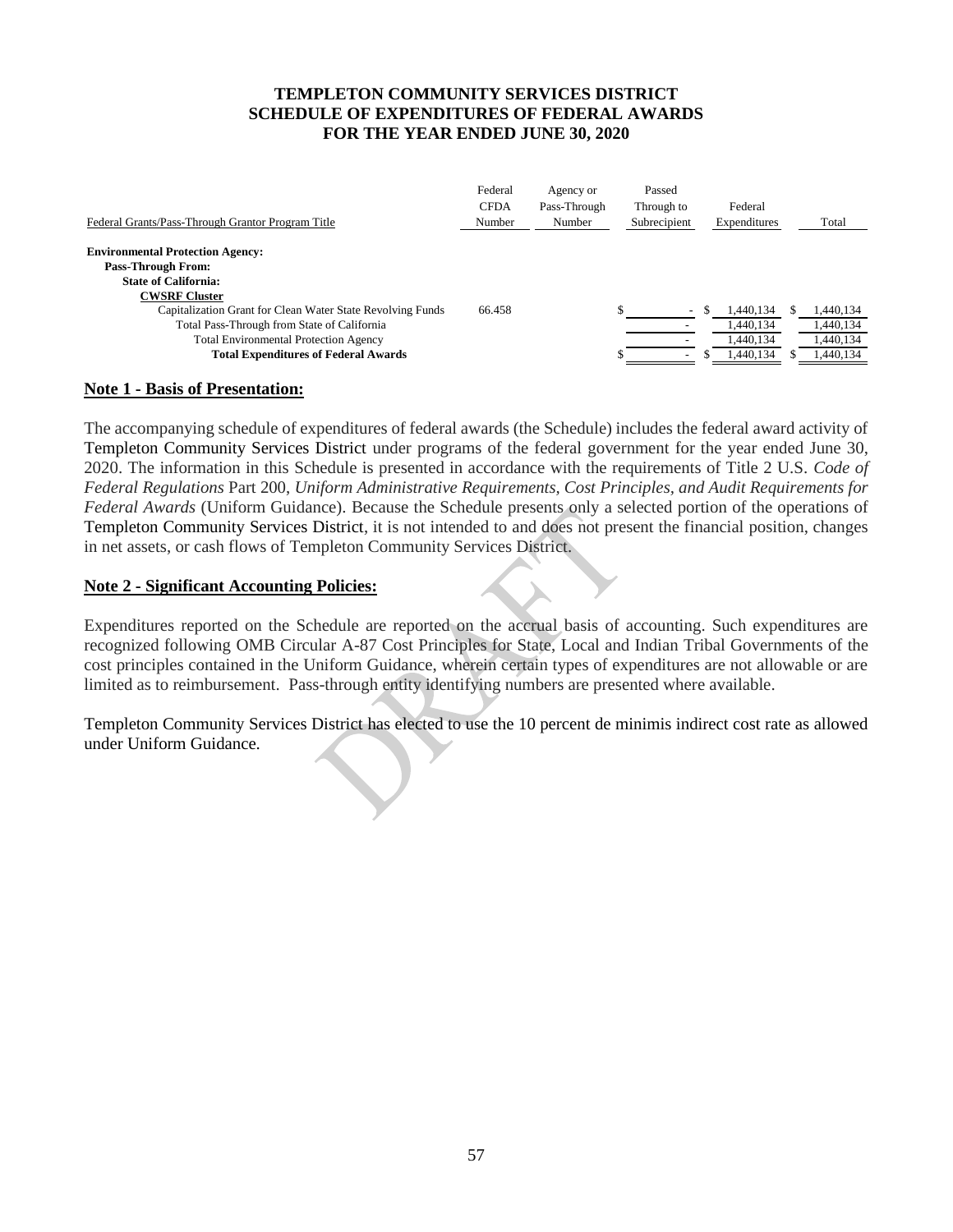## **TEMPLETON COMMUNITY SERVICES DISTRICT SCHEDULE OF EXPENDITURES OF FEDERAL AWARDS FOR THE YEAR ENDED JUNE 30, 2020**

| Federal Grants/Pass-Through Grantor Program Title          | Federal<br><b>CFDA</b><br>Number | Agency or<br>Pass-Through<br>Number | Passed<br>Through to<br>Subrecipient | Federal<br>Expenditures | Total     |
|------------------------------------------------------------|----------------------------------|-------------------------------------|--------------------------------------|-------------------------|-----------|
| <b>Environmental Protection Agency:</b>                    |                                  |                                     |                                      |                         |           |
| <b>Pass-Through From:</b>                                  |                                  |                                     |                                      |                         |           |
| <b>State of California:</b>                                |                                  |                                     |                                      |                         |           |
| <b>CWSRF Cluster</b>                                       |                                  |                                     |                                      |                         |           |
| Capitalization Grant for Clean Water State Revolving Funds | 66.458                           |                                     |                                      | .440.134                | 1,440,134 |
| Total Pass-Through from State of California                |                                  |                                     |                                      | 440,134                 | 1,440,134 |
| <b>Total Environmental Protection Agency</b>               |                                  |                                     |                                      | .440,134                | 1,440,134 |
| <b>Total Expenditures of Federal Awards</b>                |                                  |                                     | $\overline{\phantom{0}}$             | .440,134                | 1,440,134 |
|                                                            |                                  |                                     |                                      |                         |           |

## **Note 1 - Basis of Presentation:**

The accompanying schedule of expenditures of federal awards (the Schedule) includes the federal award activity of Templeton Community Services District under programs of the federal government for the year ended June 30, 2020. The information in this Schedule is presented in accordance with the requirements of Title 2 U.S. *Code of Federal Regulations* Part 200, *Uniform Administrative Requirements, Cost Principles, and Audit Requirements for Federal Awards* (Uniform Guidance). Because the Schedule presents only a selected portion of the operations of Templeton Community Services District, it is not intended to and does not present the financial position, changes in net assets, or cash flows of Templeton Community Services District.

## **Note 2 - Significant Accounting Policies:**

Expenditures reported on the Schedule are reported on the accrual basis of accounting. Such expenditures are recognized following OMB Circular A-87 Cost Principles for State, Local and Indian Tribal Governments of the cost principles contained in the Uniform Guidance, wherein certain types of expenditures are not allowable or are limited as to reimbursement. Pass-through entity identifying numbers are presented where available.

Templeton Community Services District has elected to use the 10 percent de minimis indirect cost rate as allowed under Uniform Guidance.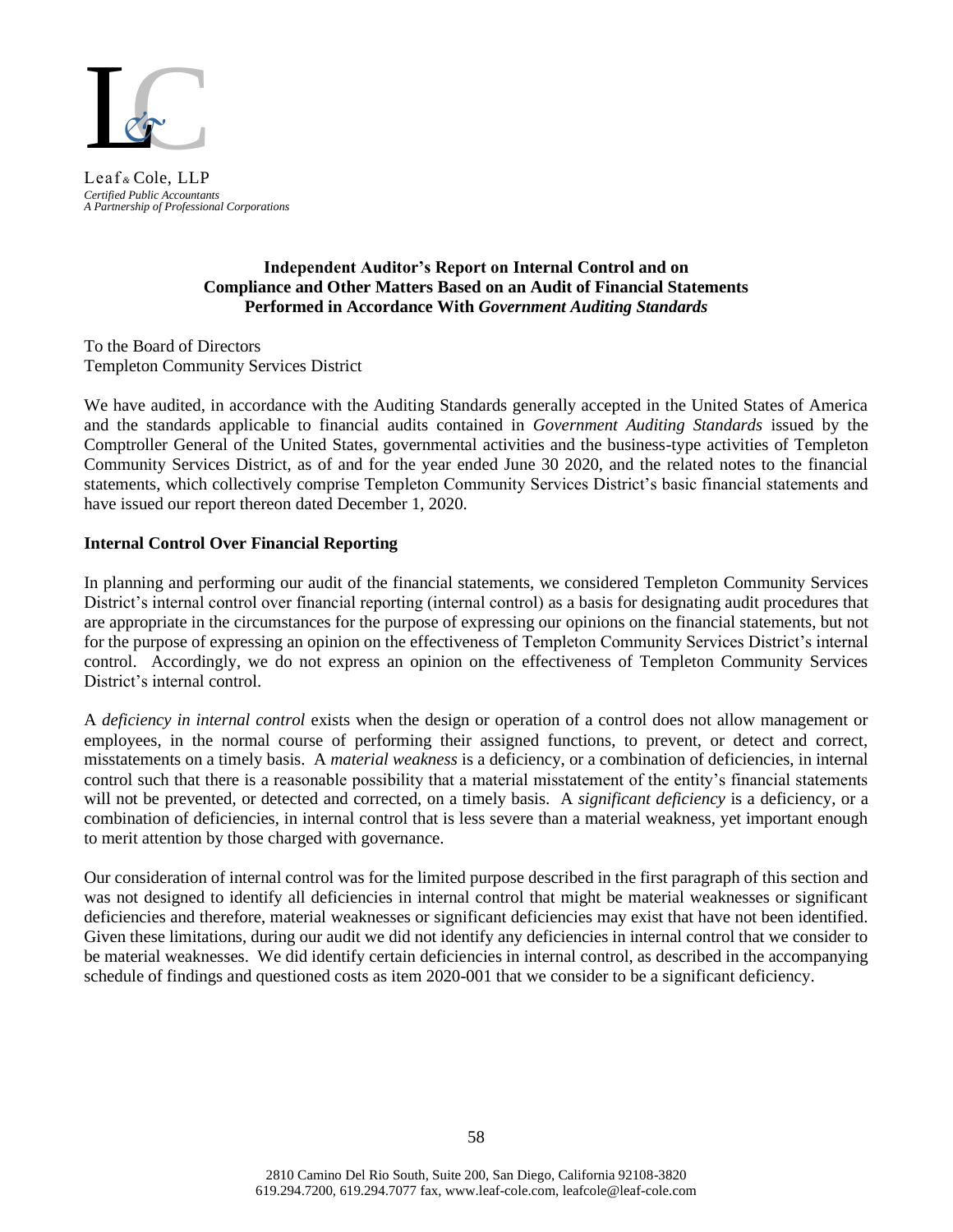

*Certified Public Accountants A Partnership of Professional Corporations* Leaf *&* Cole, LLP

## **Independent Auditor's Report on Internal Control and on Compliance and Other Matters Based on an Audit of Financial Statements Performed in Accordance With** *Government Auditing Standards*

To the Board of Directors Templeton Community Services District

We have audited, in accordance with the Auditing Standards generally accepted in the United States of America and the standards applicable to financial audits contained in *Government Auditing Standards* issued by the Comptroller General of the United States, governmental activities and the business-type activities of Templeton Community Services District, as of and for the year ended June 30 2020, and the related notes to the financial statements, which collectively comprise Templeton Community Services District's basic financial statements and have issued our report thereon dated December 1, 2020.

# **Internal Control Over Financial Reporting**

In planning and performing our audit of the financial statements, we considered Templeton Community Services District's internal control over financial reporting (internal control) as a basis for designating audit procedures that are appropriate in the circumstances for the purpose of expressing our opinions on the financial statements, but not for the purpose of expressing an opinion on the effectiveness of Templeton Community Services District's internal control. Accordingly, we do not express an opinion on the effectiveness of Templeton Community Services District's internal control.

A *deficiency in internal control* exists when the design or operation of a control does not allow management or employees, in the normal course of performing their assigned functions, to prevent, or detect and correct, misstatements on a timely basis. A *material weakness* is a deficiency, or a combination of deficiencies, in internal control such that there is a reasonable possibility that a material misstatement of the entity's financial statements will not be prevented, or detected and corrected, on a timely basis. A *significant deficiency* is a deficiency, or a combination of deficiencies, in internal control that is less severe than a material weakness, yet important enough to merit attention by those charged with governance.

Our consideration of internal control was for the limited purpose described in the first paragraph of this section and was not designed to identify all deficiencies in internal control that might be material weaknesses or significant deficiencies and therefore, material weaknesses or significant deficiencies may exist that have not been identified. Given these limitations, during our audit we did not identify any deficiencies in internal control that we consider to be material weaknesses. We did identify certain deficiencies in internal control, as described in the accompanying schedule of findings and questioned costs as item 2020-001 that we consider to be a significant deficiency.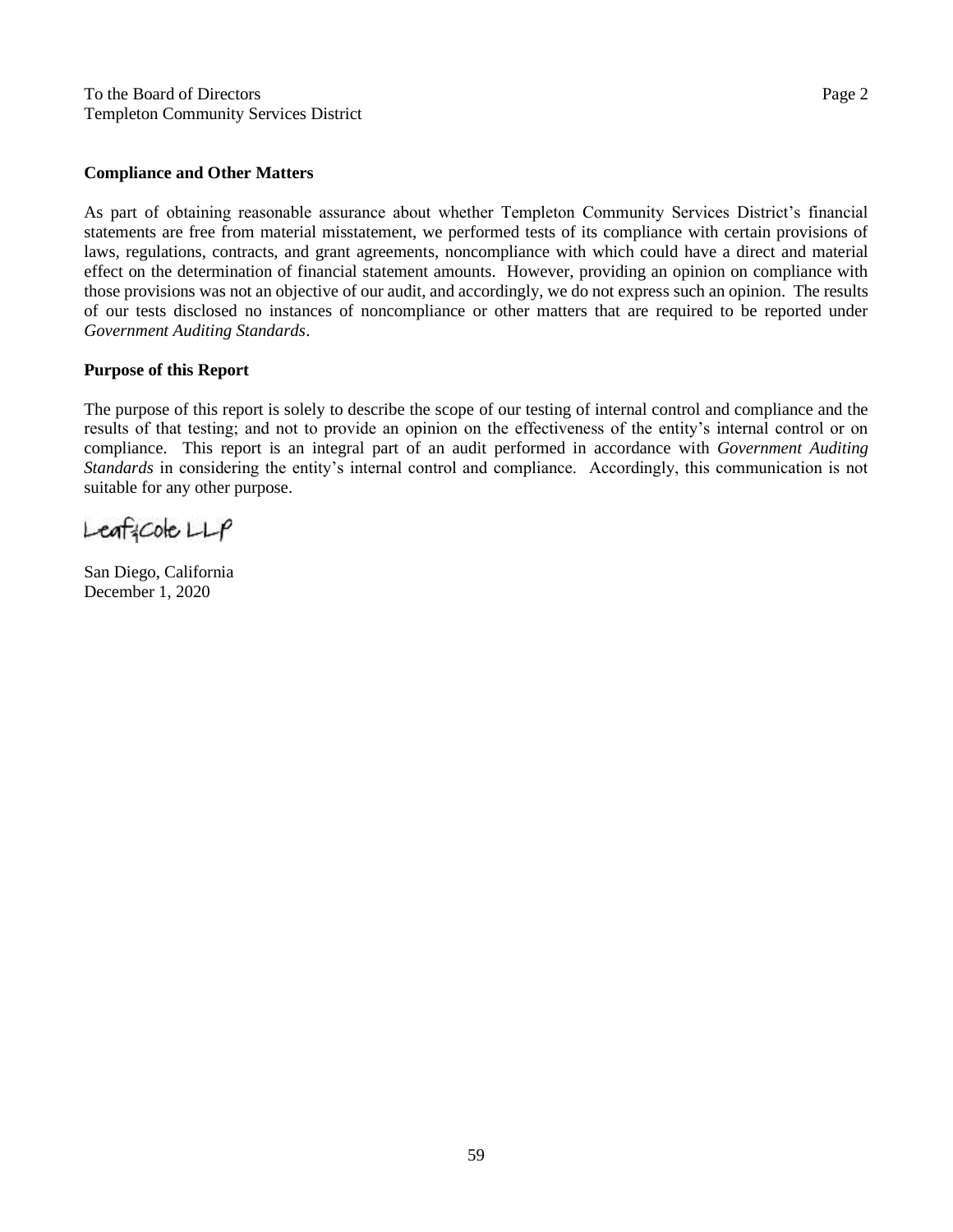### **Compliance and Other Matters**

As part of obtaining reasonable assurance about whether Templeton Community Services District's financial statements are free from material misstatement, we performed tests of its compliance with certain provisions of laws, regulations, contracts, and grant agreements, noncompliance with which could have a direct and material effect on the determination of financial statement amounts. However, providing an opinion on compliance with those provisions was not an objective of our audit, and accordingly, we do not express such an opinion. The results of our tests disclosed no instances of noncompliance or other matters that are required to be reported under *Government Auditing Standards*.

### **Purpose of this Report**

The purpose of this report is solely to describe the scope of our testing of internal control and compliance and the results of that testing; and not to provide an opinion on the effectiveness of the entity's internal control or on compliance. This report is an integral part of an audit performed in accordance with *Government Auditing Standards* in considering the entity's internal control and compliance. Accordingly, this communication is not suitable for any other purpose.

 $L$ eaf: $C$ ole $L$  $L$  $P$ 

San Diego, California December 1, 2020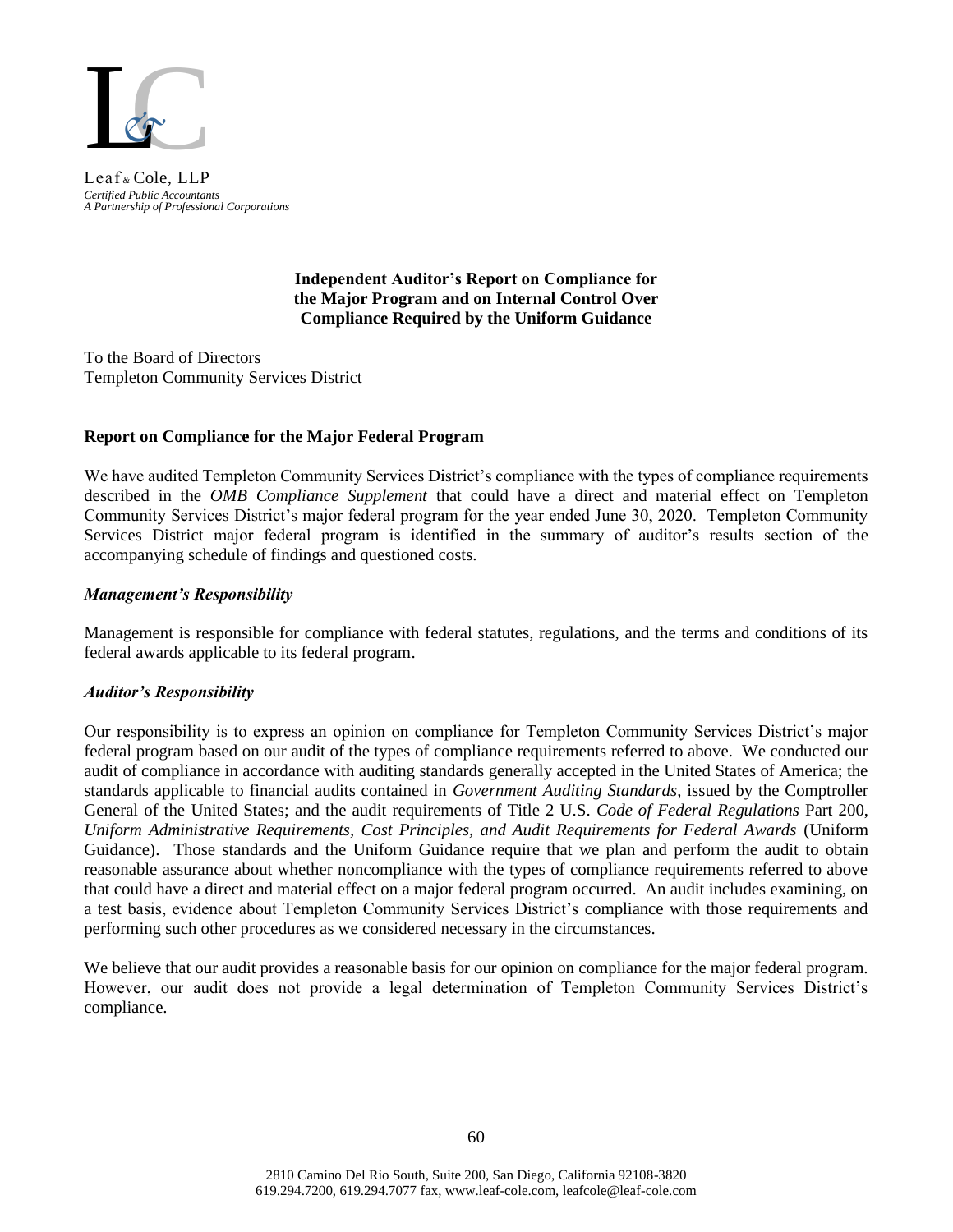

*Certified Public Accountants A Partnership of Professional Corporations* Leaf *&* Cole, LLP

> **Independent Auditor's Report on Compliance for the Major Program and on Internal Control Over Compliance Required by the Uniform Guidance**

To the Board of Directors Templeton Community Services District

## **Report on Compliance for the Major Federal Program**

We have audited Templeton Community Services District's compliance with the types of compliance requirements described in the *OMB Compliance Supplement* that could have a direct and material effect on Templeton Community Services District's major federal program for the year ended June 30, 2020. Templeton Community Services District major federal program is identified in the summary of auditor's results section of the accompanying schedule of findings and questioned costs.

### *Management's Responsibility*

Management is responsible for compliance with federal statutes, regulations, and the terms and conditions of its federal awards applicable to its federal program.

### *Auditor's Responsibility*

Our responsibility is to express an opinion on compliance for Templeton Community Services District's major federal program based on our audit of the types of compliance requirements referred to above. We conducted our audit of compliance in accordance with auditing standards generally accepted in the United States of America; the standards applicable to financial audits contained in *Government Auditing Standards*, issued by the Comptroller General of the United States; and the audit requirements of Title 2 U.S. *Code of Federal Regulations* Part 200, *Uniform Administrative Requirements, Cost Principles, and Audit Requirements for Federal Awards* (Uniform Guidance). Those standards and the Uniform Guidance require that we plan and perform the audit to obtain reasonable assurance about whether noncompliance with the types of compliance requirements referred to above that could have a direct and material effect on a major federal program occurred. An audit includes examining, on a test basis, evidence about Templeton Community Services District's compliance with those requirements and performing such other procedures as we considered necessary in the circumstances.

We believe that our audit provides a reasonable basis for our opinion on compliance for the major federal program. However, our audit does not provide a legal determination of Templeton Community Services District's compliance.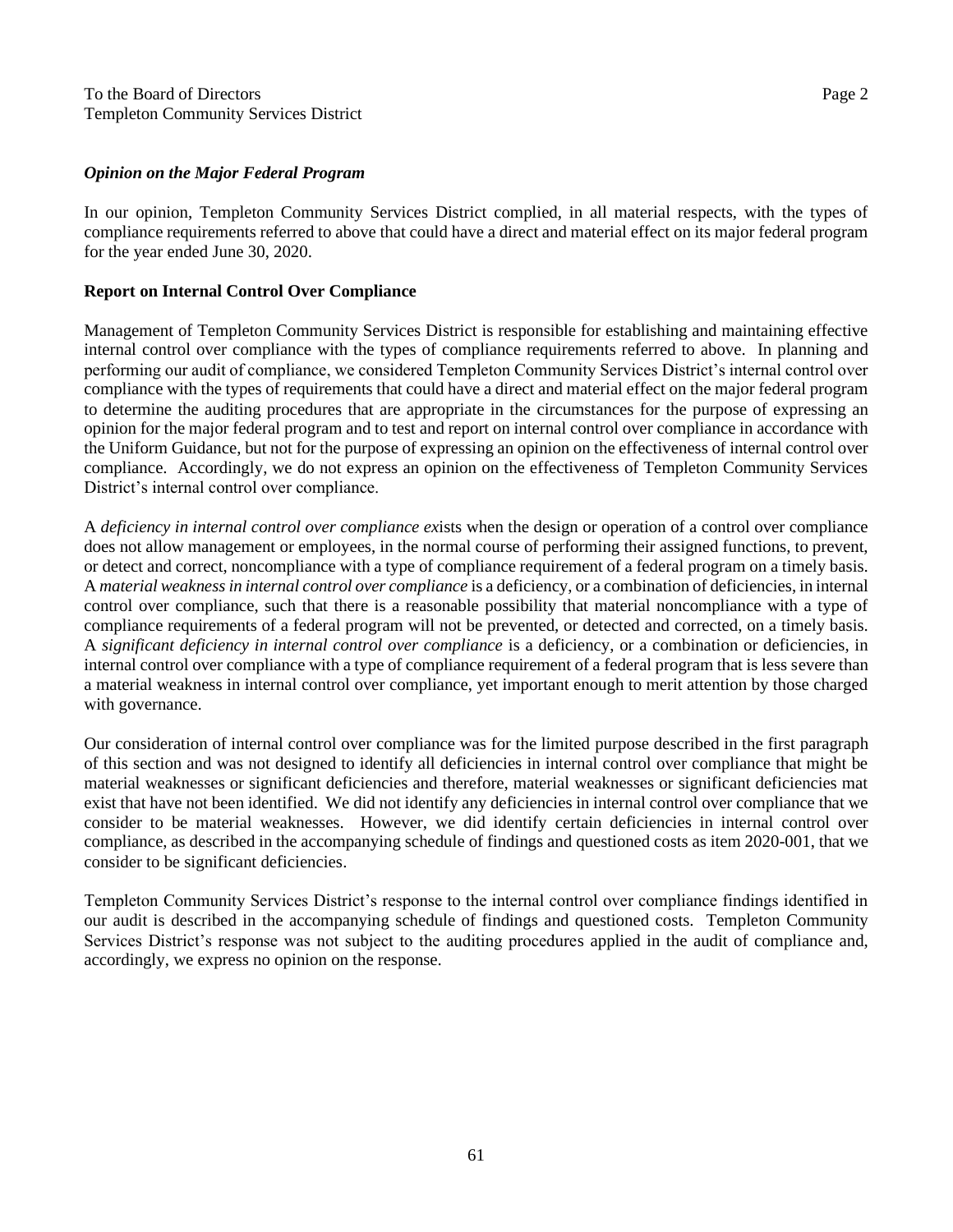## *Opinion on the Major Federal Program*

In our opinion, Templeton Community Services District complied, in all material respects, with the types of compliance requirements referred to above that could have a direct and material effect on its major federal program for the year ended June 30, 2020.

## **Report on Internal Control Over Compliance**

Management of Templeton Community Services District is responsible for establishing and maintaining effective internal control over compliance with the types of compliance requirements referred to above. In planning and performing our audit of compliance, we considered Templeton Community Services District's internal control over compliance with the types of requirements that could have a direct and material effect on the major federal program to determine the auditing procedures that are appropriate in the circumstances for the purpose of expressing an opinion for the major federal program and to test and report on internal control over compliance in accordance with the Uniform Guidance, but not for the purpose of expressing an opinion on the effectiveness of internal control over compliance. Accordingly, we do not express an opinion on the effectiveness of Templeton Community Services District's internal control over compliance.

A *deficiency in internal control over compliance ex*ists when the design or operation of a control over compliance does not allow management or employees, in the normal course of performing their assigned functions, to prevent, or detect and correct, noncompliance with a type of compliance requirement of a federal program on a timely basis. A *material weakness in internal control over compliance* is a deficiency, or a combination of deficiencies, in internal control over compliance, such that there is a reasonable possibility that material noncompliance with a type of compliance requirements of a federal program will not be prevented, or detected and corrected, on a timely basis. A *significant deficiency in internal control over compliance* is a deficiency, or a combination or deficiencies, in internal control over compliance with a type of compliance requirement of a federal program that is less severe than a material weakness in internal control over compliance, yet important enough to merit attention by those charged with governance.

Our consideration of internal control over compliance was for the limited purpose described in the first paragraph of this section and was not designed to identify all deficiencies in internal control over compliance that might be material weaknesses or significant deficiencies and therefore, material weaknesses or significant deficiencies mat exist that have not been identified. We did not identify any deficiencies in internal control over compliance that we consider to be material weaknesses. However, we did identify certain deficiencies in internal control over compliance, as described in the accompanying schedule of findings and questioned costs as item 2020-001, that we consider to be significant deficiencies.

Templeton Community Services District's response to the internal control over compliance findings identified in our audit is described in the accompanying schedule of findings and questioned costs. Templeton Community Services District's response was not subject to the auditing procedures applied in the audit of compliance and, accordingly, we express no opinion on the response.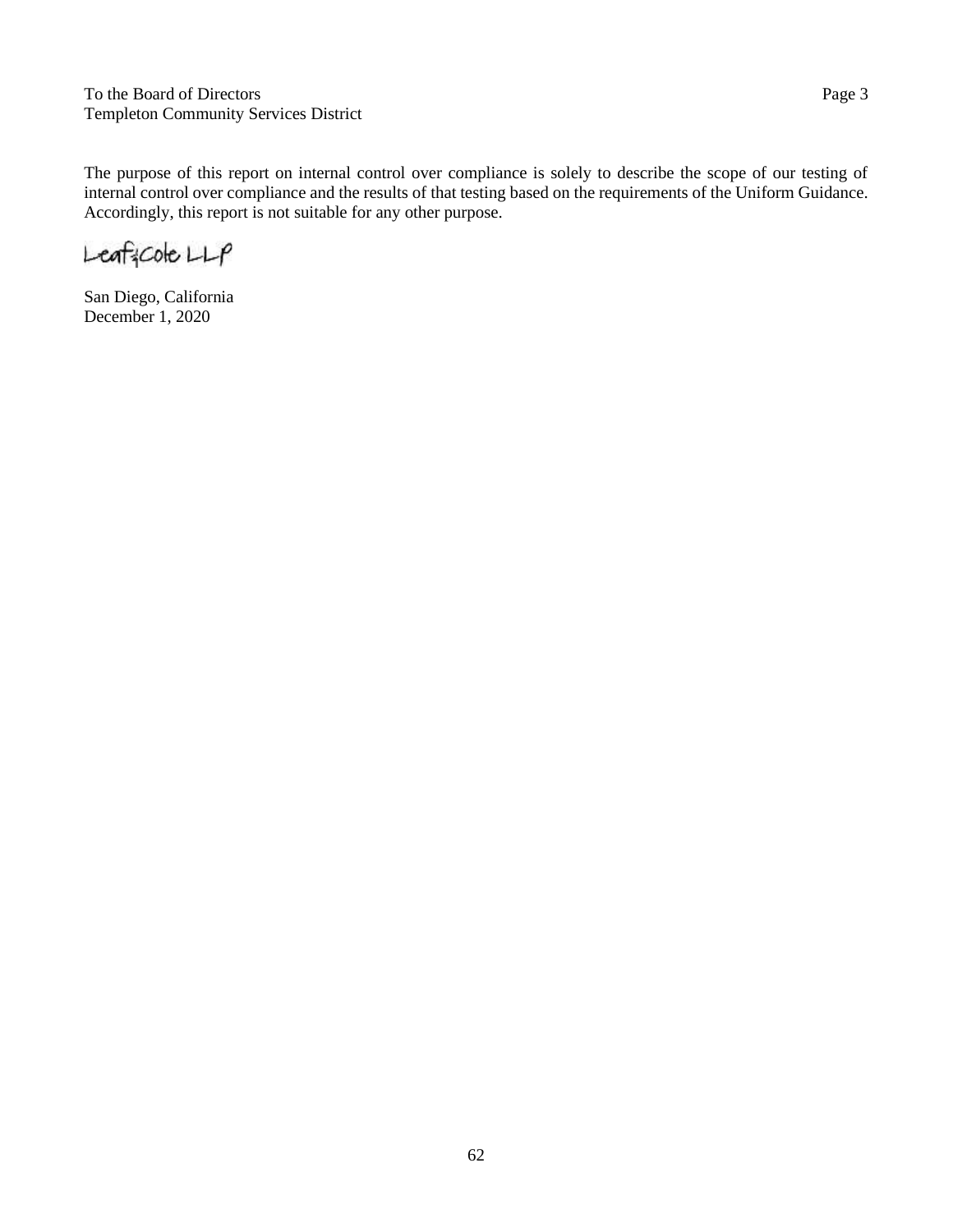To the Board of Directors Page 3 Templeton Community Services District

The purpose of this report on internal control over compliance is solely to describe the scope of our testing of internal control over compliance and the results of that testing based on the requirements of the Uniform Guidance. Accordingly, this report is not suitable for any other purpose.

Leafgcole LLP

San Diego, California December 1, 2020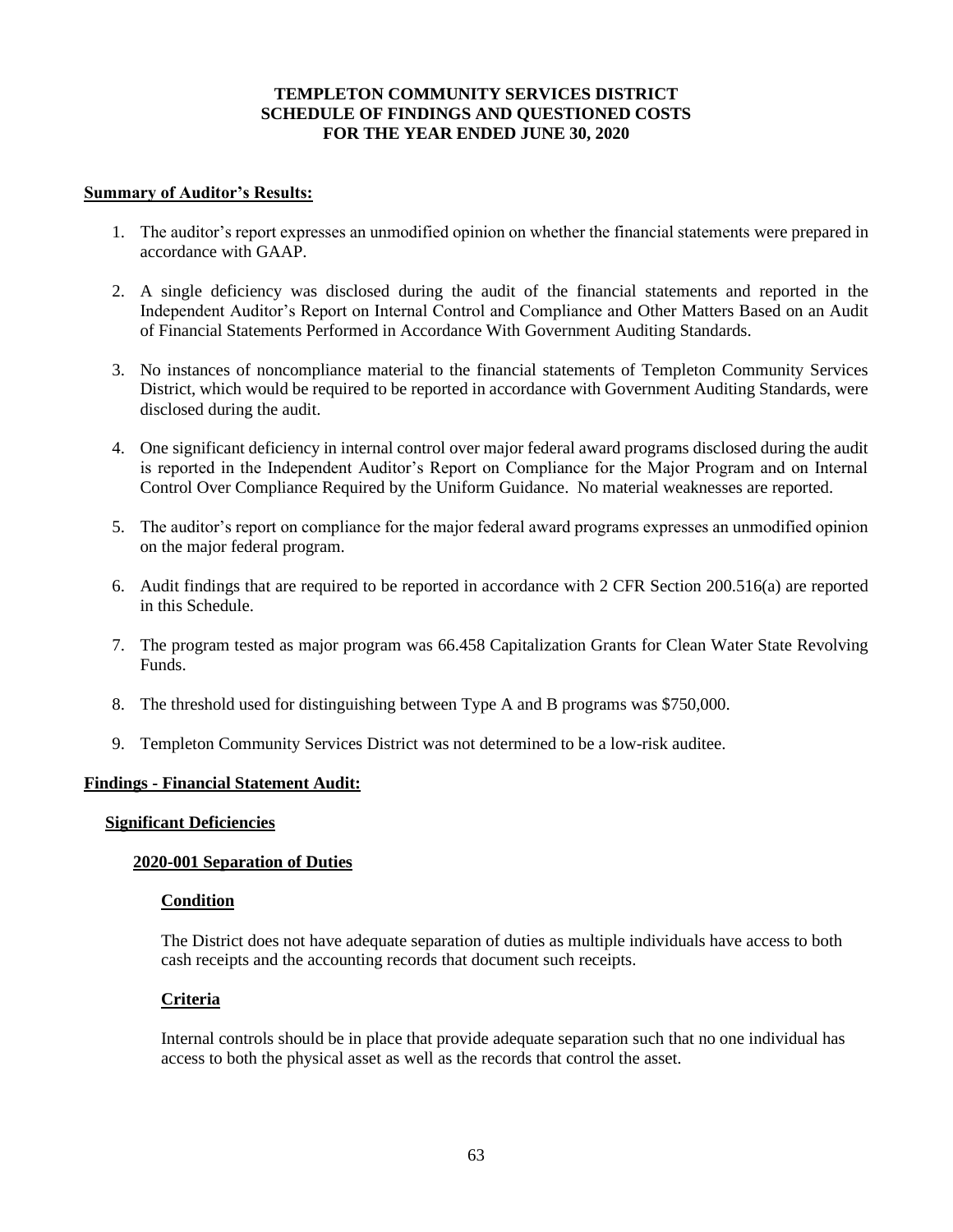## **TEMPLETON COMMUNITY SERVICES DISTRICT SCHEDULE OF FINDINGS AND QUESTIONED COSTS FOR THE YEAR ENDED JUNE 30, 2020**

### **Summary of Auditor's Results:**

- 1. The auditor's report expresses an unmodified opinion on whether the financial statements were prepared in accordance with GAAP.
- 2. A single deficiency was disclosed during the audit of the financial statements and reported in the Independent Auditor's Report on Internal Control and Compliance and Other Matters Based on an Audit of Financial Statements Performed in Accordance With Government Auditing Standards.
- 3. No instances of noncompliance material to the financial statements of Templeton Community Services District, which would be required to be reported in accordance with Government Auditing Standards, were disclosed during the audit.
- 4. One significant deficiency in internal control over major federal award programs disclosed during the audit is reported in the Independent Auditor's Report on Compliance for the Major Program and on Internal Control Over Compliance Required by the Uniform Guidance. No material weaknesses are reported.
- 5. The auditor's report on compliance for the major federal award programs expresses an unmodified opinion on the major federal program.
- 6. Audit findings that are required to be reported in accordance with 2 CFR Section 200.516(a) are reported in this Schedule.
- 7. The program tested as major program was 66.458 Capitalization Grants for Clean Water State Revolving Funds.
- 8. The threshold used for distinguishing between Type A and B programs was \$750,000.
- 9. Templeton Community Services District was not determined to be a low-risk auditee.

### **Findings - Financial Statement Audit:**

### **Significant Deficiencies**

## **2020-001 Separation of Duties**

### **Condition**

The District does not have adequate separation of duties as multiple individuals have access to both cash receipts and the accounting records that document such receipts.

# **Criteria**

Internal controls should be in place that provide adequate separation such that no one individual has access to both the physical asset as well as the records that control the asset.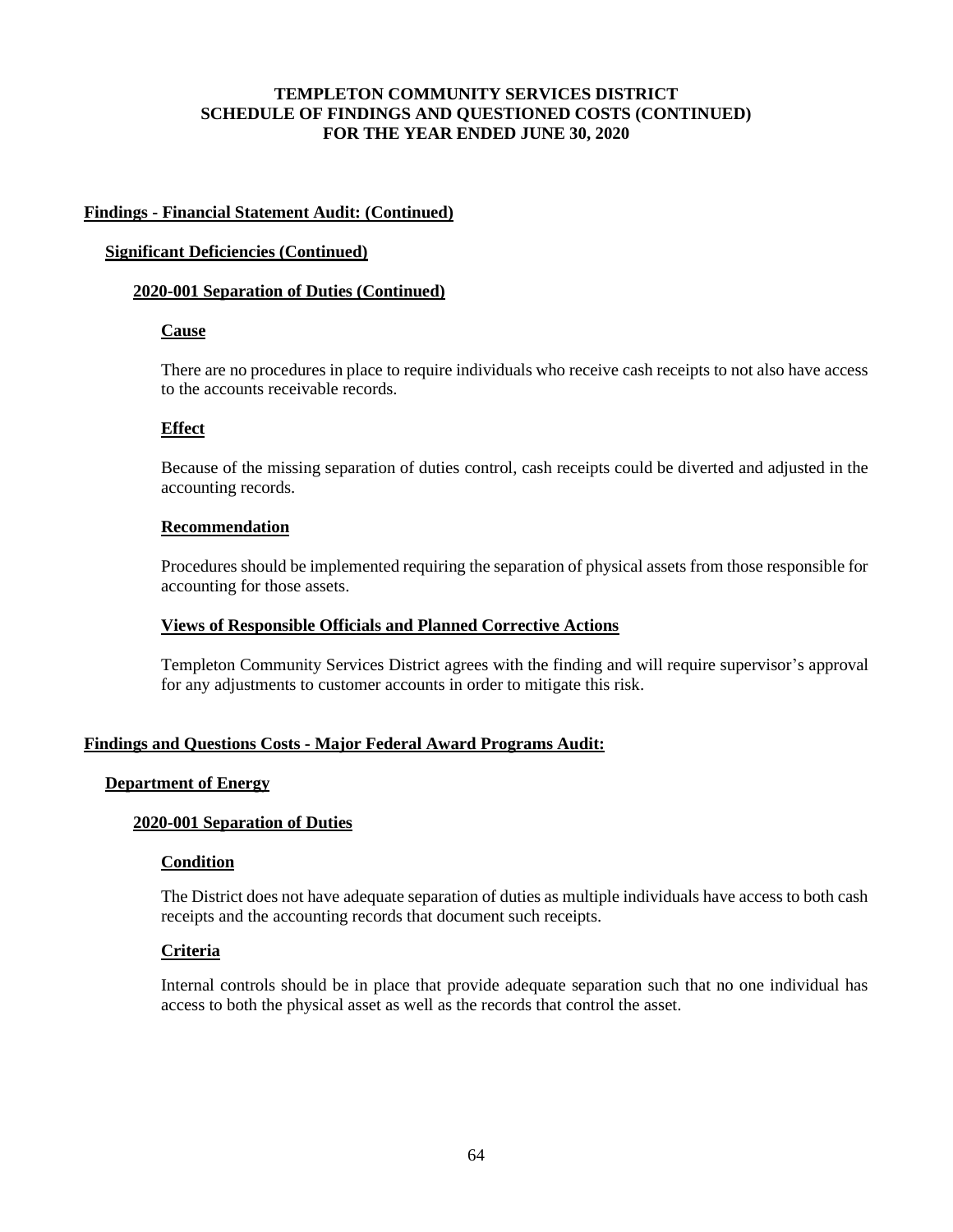## **TEMPLETON COMMUNITY SERVICES DISTRICT SCHEDULE OF FINDINGS AND QUESTIONED COSTS (CONTINUED) FOR THE YEAR ENDED JUNE 30, 2020**

## **Findings - Financial Statement Audit: (Continued)**

### **Significant Deficiencies (Continued)**

### **2020-001 Separation of Duties (Continued)**

### **Cause**

There are no procedures in place to require individuals who receive cash receipts to not also have access to the accounts receivable records.

## **Effect**

Because of the missing separation of duties control, cash receipts could be diverted and adjusted in the accounting records.

### **Recommendation**

Procedures should be implemented requiring the separation of physical assets from those responsible for accounting for those assets.

### **Views of Responsible Officials and Planned Corrective Actions**

Templeton Community Services District agrees with the finding and will require supervisor's approval for any adjustments to customer accounts in order to mitigate this risk.

## **Findings and Questions Costs - Major Federal Award Programs Audit:**

### **Department of Energy**

### **2020-001 Separation of Duties**

### **Condition**

The District does not have adequate separation of duties as multiple individuals have access to both cash receipts and the accounting records that document such receipts.

### **Criteria**

Internal controls should be in place that provide adequate separation such that no one individual has access to both the physical asset as well as the records that control the asset.